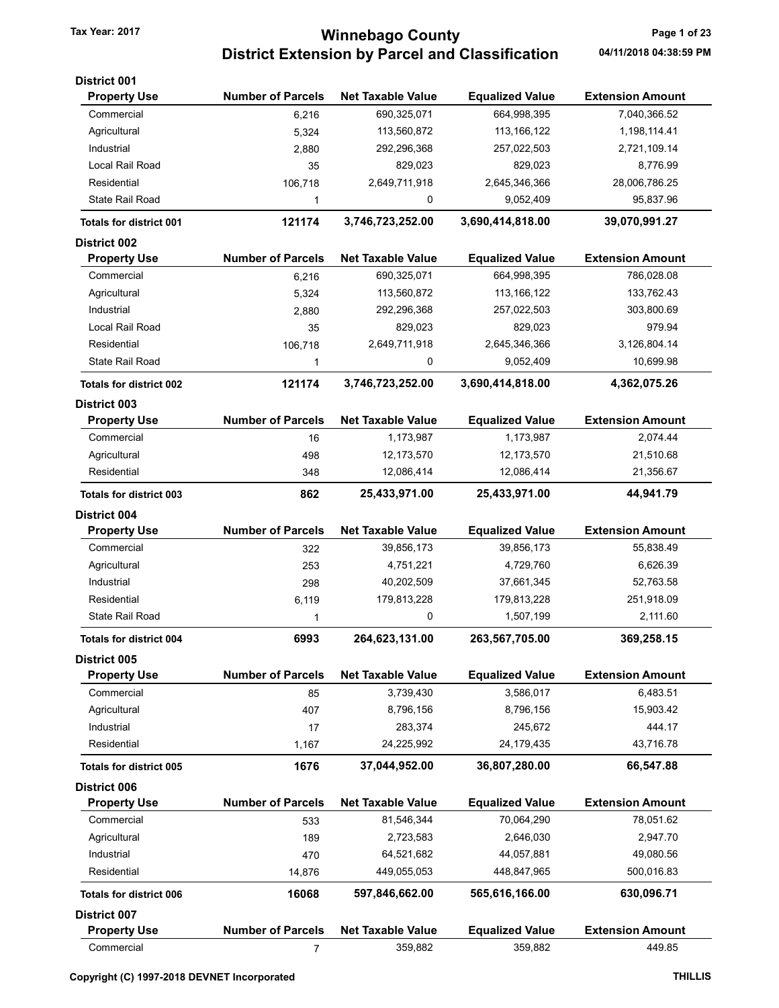# Tax Year: 2017 **Minnebago County Tax Year: 2017** Page 1 of 23 District Extension by Parcel and Classification 04/11/2018 04:38:59 PM

| District 001                   |                          |                          |                        |                         |
|--------------------------------|--------------------------|--------------------------|------------------------|-------------------------|
| <b>Property Use</b>            | <b>Number of Parcels</b> | <b>Net Taxable Value</b> | <b>Equalized Value</b> | <b>Extension Amount</b> |
| Commercial                     | 6,216                    | 690,325,071              | 664,998,395            | 7,040,366.52            |
| Agricultural                   | 5,324                    | 113,560,872              | 113, 166, 122          | 1,198,114.41            |
| Industrial                     | 2,880                    | 292,296,368              | 257,022,503            | 2,721,109.14            |
| Local Rail Road                | 35                       | 829,023                  | 829,023                | 8,776.99                |
| Residential                    | 106,718                  | 2,649,711,918            | 2,645,346,366          | 28,006,786.25           |
| <b>State Rail Road</b>         | 1                        | 0                        | 9,052,409              | 95,837.96               |
| <b>Totals for district 001</b> | 121174                   | 3,746,723,252.00         | 3,690,414,818.00       | 39,070,991.27           |
| District 002                   |                          |                          |                        |                         |
| <b>Property Use</b>            | <b>Number of Parcels</b> | <b>Net Taxable Value</b> | <b>Equalized Value</b> | <b>Extension Amount</b> |
| Commercial                     | 6,216                    | 690,325,071              | 664,998,395            | 786,028.08              |
| Agricultural                   | 5,324                    | 113,560,872              | 113, 166, 122          | 133,762.43              |
| Industrial                     | 2,880                    | 292,296,368              | 257,022,503            | 303,800.69              |
| Local Rail Road                | 35                       | 829,023                  | 829,023                | 979.94                  |
| Residential                    | 106,718                  | 2,649,711,918            | 2,645,346,366          | 3,126,804.14            |
| <b>State Rail Road</b>         | 1                        | 0                        | 9,052,409              | 10,699.98               |
| <b>Totals for district 002</b> | 121174                   | 3,746,723,252.00         | 3,690,414,818.00       | 4,362,075.26            |
| District 003                   |                          |                          |                        |                         |
| <b>Property Use</b>            | <b>Number of Parcels</b> | <b>Net Taxable Value</b> | <b>Equalized Value</b> | <b>Extension Amount</b> |
| Commercial                     | 16                       | 1,173,987                | 1,173,987              | 2,074.44                |
| Agricultural                   | 498                      | 12,173,570               | 12,173,570             | 21,510.68               |
| Residential                    | 348                      | 12,086,414               | 12,086,414             | 21,356.67               |
| <b>Totals for district 003</b> | 862                      | 25,433,971.00            | 25,433,971.00          | 44,941.79               |
| <b>District 004</b>            |                          |                          |                        |                         |
| <b>Property Use</b>            | <b>Number of Parcels</b> | <b>Net Taxable Value</b> | <b>Equalized Value</b> | <b>Extension Amount</b> |
| Commercial                     | 322                      | 39,856,173               | 39,856,173             | 55,838.49               |
| Agricultural                   | 253                      | 4,751,221                | 4,729,760              | 6,626.39                |
| Industrial                     | 298                      | 40,202,509               | 37,661,345             | 52,763.58               |
| Residential                    | 6,119                    | 179,813,228              | 179,813,228            | 251,918.09              |
| <b>State Rail Road</b>         | 1                        | 0                        | 1,507,199              | 2,111.60                |
| Totals for district 004        | 6993                     | 264,623,131.00           | 263,567,705.00         | 369,258.15              |
| District 005                   |                          |                          |                        |                         |
| <b>Property Use</b>            | <b>Number of Parcels</b> | <b>Net Taxable Value</b> | <b>Equalized Value</b> | <b>Extension Amount</b> |
| Commercial                     | 85                       | 3,739,430                | 3,586,017              | 6,483.51                |
| Agricultural                   | 407                      | 8,796,156                | 8,796,156              | 15,903.42               |
| Industrial                     | 17                       | 283,374                  | 245,672                | 444.17                  |
| Residential                    | 1,167                    | 24,225,992               | 24,179,435             | 43,716.78               |
| <b>Totals for district 005</b> | 1676                     | 37,044,952.00            | 36,807,280.00          | 66,547.88               |
| <b>District 006</b>            |                          |                          |                        |                         |
| <b>Property Use</b>            | <b>Number of Parcels</b> | <b>Net Taxable Value</b> | <b>Equalized Value</b> | <b>Extension Amount</b> |
| Commercial                     | 533                      | 81,546,344               | 70,064,290             | 78,051.62               |
| Agricultural                   | 189                      | 2,723,583                | 2,646,030              | 2,947.70                |
| Industrial                     | 470                      | 64,521,682               | 44,057,881             | 49,080.56               |
| Residential                    | 14,876                   | 449,055,053              | 448,847,965            | 500,016.83              |
| <b>Totals for district 006</b> | 16068                    | 597,846,662.00           | 565,616,166.00         | 630,096.71              |
| District 007                   |                          |                          |                        |                         |
| <b>Property Use</b>            | <b>Number of Parcels</b> | <b>Net Taxable Value</b> | <b>Equalized Value</b> | <b>Extension Amount</b> |
| Commercial                     | 7                        | 359,882                  | 359,882                | 449.85                  |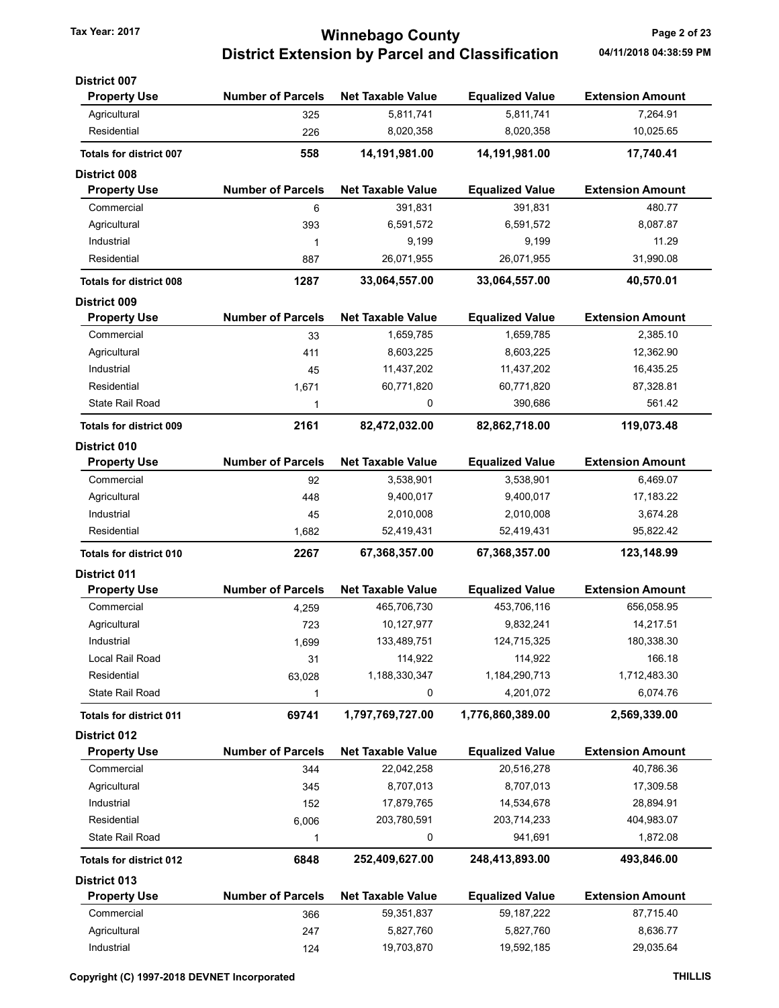# Tax Year: 2017 **Minnebago County Page 2 of 23** District Extension by Parcel and Classification 04/11/2018 04:38:59 PM

| <b>District 007</b>            |                          |                          |                        |                         |
|--------------------------------|--------------------------|--------------------------|------------------------|-------------------------|
| <b>Property Use</b>            | <b>Number of Parcels</b> | <b>Net Taxable Value</b> | <b>Equalized Value</b> | <b>Extension Amount</b> |
| Agricultural                   | 325                      | 5,811,741                | 5,811,741              | 7,264.91                |
| Residential                    | 226                      | 8,020,358                | 8,020,358              | 10,025.65               |
| <b>Totals for district 007</b> | 558                      | 14,191,981.00            | 14,191,981.00          | 17,740.41               |
| <b>District 008</b>            |                          |                          |                        |                         |
| <b>Property Use</b>            | <b>Number of Parcels</b> | <b>Net Taxable Value</b> | <b>Equalized Value</b> | <b>Extension Amount</b> |
| Commercial                     | 6                        | 391,831                  | 391,831                | 480.77                  |
| Agricultural                   | 393                      | 6,591,572                | 6,591,572              | 8,087.87                |
| Industrial                     | 1                        | 9,199                    | 9,199                  | 11.29                   |
| Residential                    | 887                      | 26,071,955               | 26,071,955             | 31,990.08               |
| <b>Totals for district 008</b> | 1287                     | 33,064,557.00            | 33,064,557.00          | 40,570.01               |
| <b>District 009</b>            |                          |                          |                        |                         |
| <b>Property Use</b>            | <b>Number of Parcels</b> | <b>Net Taxable Value</b> | <b>Equalized Value</b> | <b>Extension Amount</b> |
| Commercial                     | 33                       | 1,659,785                | 1,659,785              | 2,385.10                |
| Agricultural                   | 411                      | 8,603,225                | 8,603,225              | 12,362.90               |
| Industrial                     | 45                       | 11,437,202               | 11,437,202             | 16,435.25               |
| Residential                    | 1,671                    | 60,771,820               | 60,771,820             | 87,328.81               |
| State Rail Road                | 1                        | 0                        | 390,686                | 561.42                  |
| <b>Totals for district 009</b> | 2161                     | 82,472,032.00            | 82,862,718.00          | 119,073.48              |
| <b>District 010</b>            |                          |                          |                        |                         |
| <b>Property Use</b>            | <b>Number of Parcels</b> | <b>Net Taxable Value</b> | <b>Equalized Value</b> | <b>Extension Amount</b> |
| Commercial                     | 92                       | 3,538,901                | 3,538,901              | 6,469.07                |
| Agricultural                   | 448                      | 9,400,017                | 9,400,017              | 17,183.22               |
| Industrial                     | 45                       | 2,010,008                | 2,010,008              | 3,674.28                |
| Residential                    | 1,682                    | 52,419,431               | 52,419,431             | 95,822.42               |
| <b>Totals for district 010</b> | 2267                     | 67,368,357.00            | 67,368,357.00          | 123,148.99              |
| District 011                   |                          |                          |                        |                         |
| <b>Property Use</b>            | <b>Number of Parcels</b> | <b>Net Taxable Value</b> | <b>Equalized Value</b> | <b>Extension Amount</b> |
| Commercial                     | 4,259                    | 465,706,730              | 453,706,116            | 656,058.95              |
| Agricultural                   | 723                      | 10,127,977               | 9,832,241              | 14,217.51               |
| Industrial                     | 1,699                    | 133,489,751              | 124,715,325            | 180,338.30              |
| Local Rail Road                | 31                       | 114,922                  | 114,922                | 166.18                  |
| Residential                    | 63,028                   | 1,188,330,347            | 1,184,290,713          | 1,712,483.30            |
| State Rail Road                | 1                        | 0                        | 4,201,072              | 6,074.76                |
| <b>Totals for district 011</b> | 69741                    | 1,797,769,727.00         | 1,776,860,389.00       | 2,569,339.00            |
| District 012                   |                          |                          |                        |                         |
| <b>Property Use</b>            | <b>Number of Parcels</b> | <b>Net Taxable Value</b> | <b>Equalized Value</b> | <b>Extension Amount</b> |
| Commercial                     | 344                      | 22,042,258               | 20,516,278             | 40,786.36               |
| Agricultural                   | 345                      | 8,707,013                | 8,707,013              | 17,309.58               |
| Industrial                     | 152                      | 17,879,765               | 14,534,678             | 28,894.91               |
| Residential                    | 6,006                    | 203,780,591              | 203,714,233            | 404,983.07              |
| State Rail Road                | 1                        | 0                        | 941,691                | 1,872.08                |
| <b>Totals for district 012</b> | 6848                     | 252,409,627.00           | 248,413,893.00         | 493,846.00              |
| District 013                   |                          |                          |                        |                         |
| <b>Property Use</b>            | <b>Number of Parcels</b> | <b>Net Taxable Value</b> | <b>Equalized Value</b> | <b>Extension Amount</b> |
| Commercial                     | 366                      | 59,351,837               | 59, 187, 222           | 87,715.40               |
| Agricultural                   | 247                      | 5,827,760                | 5,827,760              | 8,636.77                |
|                                |                          |                          |                        |                         |

Industrial 124 19,703,870 19,592,185 29,035.64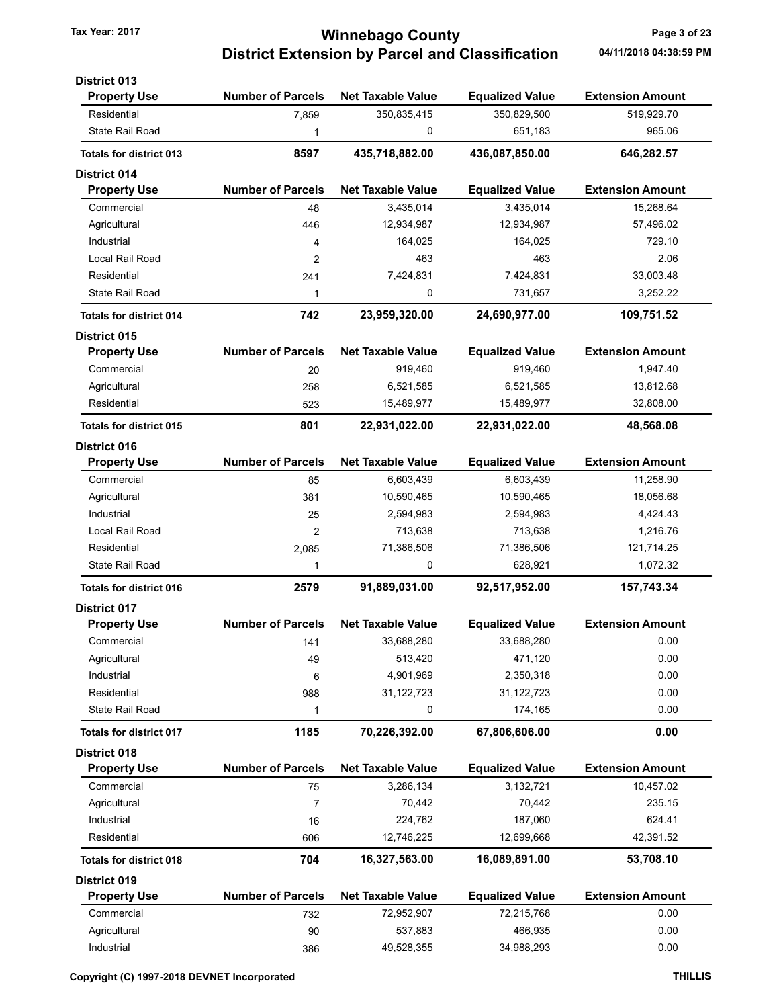## Tax Year: 2017 **Minnebago County Page 3 of 23** District Extension by Parcel and Classification 04/11/2018 04:38:59 PM

| <b>District 013</b>            |                          |                          |                        |                         |
|--------------------------------|--------------------------|--------------------------|------------------------|-------------------------|
| <b>Property Use</b>            | <b>Number of Parcels</b> | <b>Net Taxable Value</b> | <b>Equalized Value</b> | <b>Extension Amount</b> |
| Residential                    | 7,859                    | 350,835,415              | 350,829,500            | 519,929.70              |
| <b>State Rail Road</b>         | 1                        | 0                        | 651,183                | 965.06                  |
| <b>Totals for district 013</b> | 8597                     | 435,718,882.00           | 436,087,850.00         | 646,282.57              |
| <b>District 014</b>            |                          |                          |                        |                         |
| <b>Property Use</b>            | <b>Number of Parcels</b> | <b>Net Taxable Value</b> | <b>Equalized Value</b> | <b>Extension Amount</b> |
| Commercial                     | 48                       | 3,435,014                | 3,435,014              | 15,268.64               |
| Agricultural                   | 446                      | 12,934,987               | 12,934,987             | 57,496.02               |
| Industrial                     | 4                        | 164,025                  | 164,025                | 729.10                  |
| Local Rail Road                | 2                        | 463                      | 463                    | 2.06                    |
| Residential                    | 241                      | 7,424,831                | 7,424,831              | 33,003.48               |
| State Rail Road                | 1                        | 0                        | 731,657                | 3,252.22                |
| <b>Totals for district 014</b> | 742                      | 23,959,320.00            | 24,690,977.00          | 109,751.52              |
| District 015                   |                          |                          |                        |                         |
| <b>Property Use</b>            | <b>Number of Parcels</b> | <b>Net Taxable Value</b> | <b>Equalized Value</b> | <b>Extension Amount</b> |
| Commercial                     | 20                       | 919,460                  | 919,460                | 1,947.40                |
| Agricultural                   | 258                      | 6,521,585                | 6,521,585              | 13,812.68               |
| Residential                    | 523                      | 15,489,977               | 15,489,977             | 32,808.00               |
| <b>Totals for district 015</b> | 801                      | 22,931,022.00            | 22,931,022.00          | 48,568.08               |
| <b>District 016</b>            |                          |                          |                        |                         |
| <b>Property Use</b>            | <b>Number of Parcels</b> | <b>Net Taxable Value</b> | <b>Equalized Value</b> | <b>Extension Amount</b> |
| Commercial                     | 85                       | 6,603,439                | 6,603,439              | 11,258.90               |
| Agricultural                   | 381                      | 10,590,465               | 10,590,465             | 18,056.68               |
| Industrial                     | 25                       | 2,594,983                | 2,594,983              | 4,424.43                |
| Local Rail Road                | 2                        | 713,638                  | 713,638                | 1,216.76                |
| Residential                    | 2,085                    | 71,386,506               | 71,386,506             | 121,714.25              |
| <b>State Rail Road</b>         | 1                        | 0                        | 628,921                | 1,072.32                |
| <b>Totals for district 016</b> | 2579                     | 91,889,031.00            | 92,517,952.00          | 157,743.34              |
| <b>District 017</b>            |                          |                          |                        |                         |
| <b>Property Use</b>            | <b>Number of Parcels</b> | <b>Net Taxable Value</b> | <b>Equalized Value</b> | <b>Extension Amount</b> |
| Commercial                     | 141                      | 33,688,280               | 33,688,280             | 0.00                    |
| Agricultural                   | 49                       | 513,420                  | 471,120                | 0.00                    |
| Industrial                     | $\,6\,$                  | 4,901,969                | 2,350,318              | 0.00                    |
| Residential                    | 988                      | 31,122,723               | 31,122,723             | 0.00                    |
| <b>State Rail Road</b>         | 1                        | 0                        | 174,165                | 0.00                    |
| <b>Totals for district 017</b> | 1185                     | 70,226,392.00            | 67,806,606.00          | 0.00                    |
| <b>District 018</b>            |                          |                          |                        |                         |
| <b>Property Use</b>            | <b>Number of Parcels</b> | <b>Net Taxable Value</b> | <b>Equalized Value</b> | <b>Extension Amount</b> |
| Commercial                     | 75                       | 3,286,134                | 3,132,721              | 10,457.02               |
| Agricultural                   | 7                        | 70,442                   | 70,442                 | 235.15                  |
| Industrial                     | 16                       | 224,762                  | 187,060                | 624.41                  |
| Residential                    | 606                      | 12,746,225               | 12,699,668             | 42,391.52               |
| <b>Totals for district 018</b> | 704                      | 16,327,563.00            | 16,089,891.00          | 53,708.10               |
| <b>District 019</b>            |                          |                          |                        |                         |
| <b>Property Use</b>            | <b>Number of Parcels</b> | <b>Net Taxable Value</b> | <b>Equalized Value</b> | <b>Extension Amount</b> |
| Commercial                     | 732                      | 72,952,907               | 72,215,768             | 0.00                    |
| Agricultural                   | 90                       | 537,883                  | 466,935                | 0.00                    |
| Industrial                     | 386                      | 49,528,355               | 34,988,293             | 0.00                    |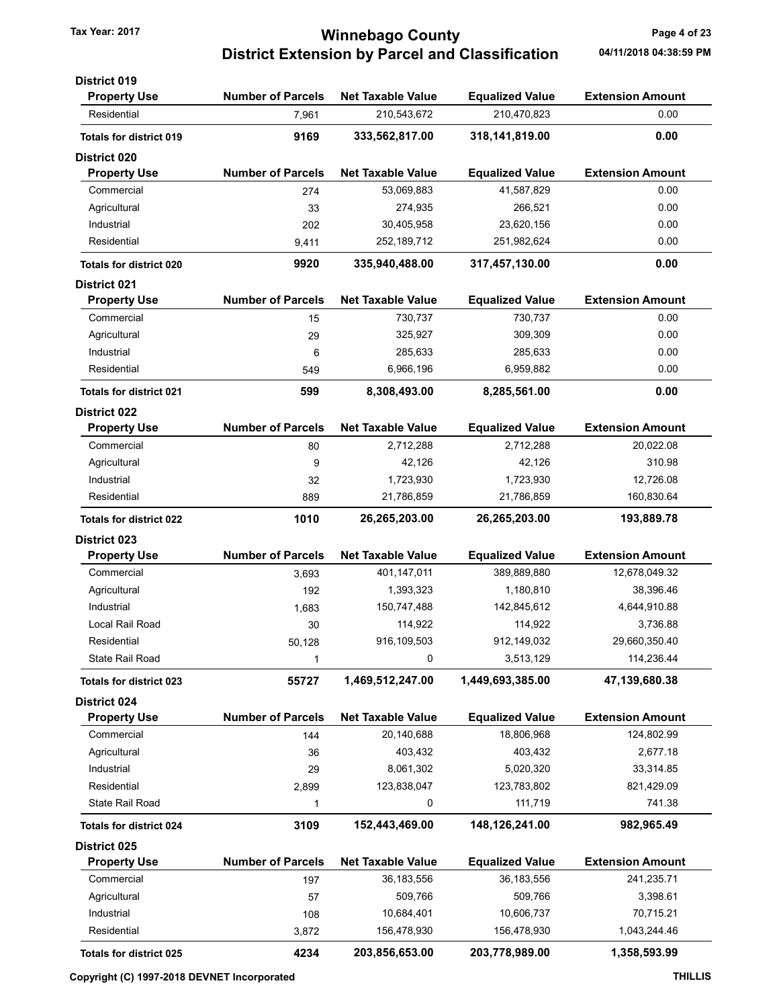# Tax Year: 2017 **Minnebago County Page 4 of 23** District Extension by Parcel and Classification 04/11/2018 04:38:59 PM

| <b>Property Use</b><br><b>Number of Parcels</b><br><b>Net Taxable Value</b><br><b>Equalized Value</b><br><b>Extension Amount</b><br>0.00<br>Residential<br>210,543,672<br>210,470,823<br>7,961<br>9169<br>0.00<br>333,562,817.00<br>318,141,819.00<br><b>Totals for district 019</b><br><b>Number of Parcels</b><br><b>Property Use</b><br><b>Net Taxable Value</b><br><b>Equalized Value</b><br><b>Extension Amount</b><br>0.00<br>53,069,883<br>41,587,829<br>Commercial<br>274<br>Agricultural<br>266,521<br>0.00<br>33<br>274,935<br>0.00<br>Industrial<br>30,405,958<br>23,620,156<br>202<br>0.00<br>Residential<br>252, 189, 712<br>251,982,624<br>9,411<br>0.00<br>9920<br>335,940,488.00<br>317,457,130.00<br><b>Totals for district 020</b><br><b>Number of Parcels</b><br><b>Net Taxable Value</b><br><b>Equalized Value</b><br><b>Extension Amount</b><br><b>Property Use</b><br>Commercial<br>730,737<br>730,737<br>0.00<br>15<br>0.00<br>Agricultural<br>325,927<br>309,309<br>29<br>Industrial<br>285,633<br>285,633<br>0.00<br>6<br>0.00<br>Residential<br>6,966,196<br>6,959,882<br>549<br>0.00<br>599<br>8,308,493.00<br>8,285,561.00<br><b>Totals for district 021</b><br><b>Number of Parcels</b><br><b>Extension Amount</b><br><b>Net Taxable Value</b><br><b>Equalized Value</b><br><b>Property Use</b><br>20,022.08<br>Commercial<br>2,712,288<br>2,712,288<br>80<br>42,126<br>42,126<br>310.98<br>Agricultural<br>9<br>Industrial<br>1,723,930<br>1,723,930<br>12,726.08<br>32<br>Residential<br>21,786,859<br>21,786,859<br>160,830.64<br>889<br>1010<br>26,265,203.00<br>26,265,203.00<br>193,889.78<br><b>Totals for district 022</b><br><b>Number of Parcels</b><br><b>Extension Amount</b><br><b>Property Use</b><br><b>Net Taxable Value</b><br><b>Equalized Value</b><br>Commercial<br>401,147,011<br>389,889,880<br>12,678,049.32<br>3,693<br>1,393,323<br>1,180,810<br>38,396.46<br>Agricultural<br>192<br>4,644,910.88<br>Industrial<br>150,747,488<br>142,845,612<br>1,683<br>Local Rail Road<br>114,922<br>114,922<br>3,736.88<br>30<br>916,109,503<br>912,149,032<br>29,660,350.40<br>Residential<br>50,128<br>State Rail Road<br>0<br>3,513,129<br>114,236.44<br>1<br>1,449,693,385.00<br>55727<br>1,469,512,247.00<br>47,139,680.38<br><b>Totals for district 023</b><br>District 024<br><b>Number of Parcels</b><br><b>Net Taxable Value</b><br><b>Equalized Value</b><br><b>Extension Amount</b><br><b>Property Use</b><br>124,802.99<br>Commercial<br>20,140,688<br>18,806,968<br>144<br>Agricultural<br>403,432<br>403,432<br>2,677.18<br>36<br>Industrial<br>29<br>8,061,302<br>5,020,320<br>33,314.85<br>Residential<br>123,838,047<br>123,783,802<br>821,429.09<br>2,899<br>741.38<br>State Rail Road<br>0<br>111,719<br>1<br>148,126,241.00<br>3109<br>152,443,469.00<br>982,965.49<br><b>Totals for district 024</b><br><b>Number of Parcels</b><br><b>Net Taxable Value</b><br><b>Equalized Value</b><br><b>Extension Amount</b><br><b>Property Use</b><br>36,183,556<br>241,235.71<br>Commercial<br>36,183,556<br>197<br>509,766<br>3,398.61<br>Agricultural<br>509,766<br>57<br>70,715.21<br>Industrial<br>10,684,401<br>10,606,737<br>108<br>Residential<br>156,478,930<br>156,478,930<br>1,043,244.46<br>3,872<br>4234<br>203,856,653.00<br>203,778,989.00<br>1,358,593.99<br>Totals for district 025 | <b>District 019</b> |  |  |
|-----------------------------------------------------------------------------------------------------------------------------------------------------------------------------------------------------------------------------------------------------------------------------------------------------------------------------------------------------------------------------------------------------------------------------------------------------------------------------------------------------------------------------------------------------------------------------------------------------------------------------------------------------------------------------------------------------------------------------------------------------------------------------------------------------------------------------------------------------------------------------------------------------------------------------------------------------------------------------------------------------------------------------------------------------------------------------------------------------------------------------------------------------------------------------------------------------------------------------------------------------------------------------------------------------------------------------------------------------------------------------------------------------------------------------------------------------------------------------------------------------------------------------------------------------------------------------------------------------------------------------------------------------------------------------------------------------------------------------------------------------------------------------------------------------------------------------------------------------------------------------------------------------------------------------------------------------------------------------------------------------------------------------------------------------------------------------------------------------------------------------------------------------------------------------------------------------------------------------------------------------------------------------------------------------------------------------------------------------------------------------------------------------------------------------------------------------------------------------------------------------------------------------------------------------------------------------------------------------------------------------------------------------------------------------------------------------------------------------------------------------------------------------------------------------------------------------------------------------------------------------------------------------------------------------------------------------------------------------------------------------------------------------------------------------------------------------------------------------------------------------------------------------------------------------------------------------------------------------------------------------------------------------------------------------------------------------------------------------------|---------------------|--|--|
|                                                                                                                                                                                                                                                                                                                                                                                                                                                                                                                                                                                                                                                                                                                                                                                                                                                                                                                                                                                                                                                                                                                                                                                                                                                                                                                                                                                                                                                                                                                                                                                                                                                                                                                                                                                                                                                                                                                                                                                                                                                                                                                                                                                                                                                                                                                                                                                                                                                                                                                                                                                                                                                                                                                                                                                                                                                                                                                                                                                                                                                                                                                                                                                                                                                                                                                                                           |                     |  |  |
|                                                                                                                                                                                                                                                                                                                                                                                                                                                                                                                                                                                                                                                                                                                                                                                                                                                                                                                                                                                                                                                                                                                                                                                                                                                                                                                                                                                                                                                                                                                                                                                                                                                                                                                                                                                                                                                                                                                                                                                                                                                                                                                                                                                                                                                                                                                                                                                                                                                                                                                                                                                                                                                                                                                                                                                                                                                                                                                                                                                                                                                                                                                                                                                                                                                                                                                                                           |                     |  |  |
|                                                                                                                                                                                                                                                                                                                                                                                                                                                                                                                                                                                                                                                                                                                                                                                                                                                                                                                                                                                                                                                                                                                                                                                                                                                                                                                                                                                                                                                                                                                                                                                                                                                                                                                                                                                                                                                                                                                                                                                                                                                                                                                                                                                                                                                                                                                                                                                                                                                                                                                                                                                                                                                                                                                                                                                                                                                                                                                                                                                                                                                                                                                                                                                                                                                                                                                                                           |                     |  |  |
|                                                                                                                                                                                                                                                                                                                                                                                                                                                                                                                                                                                                                                                                                                                                                                                                                                                                                                                                                                                                                                                                                                                                                                                                                                                                                                                                                                                                                                                                                                                                                                                                                                                                                                                                                                                                                                                                                                                                                                                                                                                                                                                                                                                                                                                                                                                                                                                                                                                                                                                                                                                                                                                                                                                                                                                                                                                                                                                                                                                                                                                                                                                                                                                                                                                                                                                                                           | <b>District 020</b> |  |  |
|                                                                                                                                                                                                                                                                                                                                                                                                                                                                                                                                                                                                                                                                                                                                                                                                                                                                                                                                                                                                                                                                                                                                                                                                                                                                                                                                                                                                                                                                                                                                                                                                                                                                                                                                                                                                                                                                                                                                                                                                                                                                                                                                                                                                                                                                                                                                                                                                                                                                                                                                                                                                                                                                                                                                                                                                                                                                                                                                                                                                                                                                                                                                                                                                                                                                                                                                                           |                     |  |  |
|                                                                                                                                                                                                                                                                                                                                                                                                                                                                                                                                                                                                                                                                                                                                                                                                                                                                                                                                                                                                                                                                                                                                                                                                                                                                                                                                                                                                                                                                                                                                                                                                                                                                                                                                                                                                                                                                                                                                                                                                                                                                                                                                                                                                                                                                                                                                                                                                                                                                                                                                                                                                                                                                                                                                                                                                                                                                                                                                                                                                                                                                                                                                                                                                                                                                                                                                                           |                     |  |  |
|                                                                                                                                                                                                                                                                                                                                                                                                                                                                                                                                                                                                                                                                                                                                                                                                                                                                                                                                                                                                                                                                                                                                                                                                                                                                                                                                                                                                                                                                                                                                                                                                                                                                                                                                                                                                                                                                                                                                                                                                                                                                                                                                                                                                                                                                                                                                                                                                                                                                                                                                                                                                                                                                                                                                                                                                                                                                                                                                                                                                                                                                                                                                                                                                                                                                                                                                                           |                     |  |  |
|                                                                                                                                                                                                                                                                                                                                                                                                                                                                                                                                                                                                                                                                                                                                                                                                                                                                                                                                                                                                                                                                                                                                                                                                                                                                                                                                                                                                                                                                                                                                                                                                                                                                                                                                                                                                                                                                                                                                                                                                                                                                                                                                                                                                                                                                                                                                                                                                                                                                                                                                                                                                                                                                                                                                                                                                                                                                                                                                                                                                                                                                                                                                                                                                                                                                                                                                                           |                     |  |  |
|                                                                                                                                                                                                                                                                                                                                                                                                                                                                                                                                                                                                                                                                                                                                                                                                                                                                                                                                                                                                                                                                                                                                                                                                                                                                                                                                                                                                                                                                                                                                                                                                                                                                                                                                                                                                                                                                                                                                                                                                                                                                                                                                                                                                                                                                                                                                                                                                                                                                                                                                                                                                                                                                                                                                                                                                                                                                                                                                                                                                                                                                                                                                                                                                                                                                                                                                                           |                     |  |  |
|                                                                                                                                                                                                                                                                                                                                                                                                                                                                                                                                                                                                                                                                                                                                                                                                                                                                                                                                                                                                                                                                                                                                                                                                                                                                                                                                                                                                                                                                                                                                                                                                                                                                                                                                                                                                                                                                                                                                                                                                                                                                                                                                                                                                                                                                                                                                                                                                                                                                                                                                                                                                                                                                                                                                                                                                                                                                                                                                                                                                                                                                                                                                                                                                                                                                                                                                                           |                     |  |  |
|                                                                                                                                                                                                                                                                                                                                                                                                                                                                                                                                                                                                                                                                                                                                                                                                                                                                                                                                                                                                                                                                                                                                                                                                                                                                                                                                                                                                                                                                                                                                                                                                                                                                                                                                                                                                                                                                                                                                                                                                                                                                                                                                                                                                                                                                                                                                                                                                                                                                                                                                                                                                                                                                                                                                                                                                                                                                                                                                                                                                                                                                                                                                                                                                                                                                                                                                                           | <b>District 021</b> |  |  |
|                                                                                                                                                                                                                                                                                                                                                                                                                                                                                                                                                                                                                                                                                                                                                                                                                                                                                                                                                                                                                                                                                                                                                                                                                                                                                                                                                                                                                                                                                                                                                                                                                                                                                                                                                                                                                                                                                                                                                                                                                                                                                                                                                                                                                                                                                                                                                                                                                                                                                                                                                                                                                                                                                                                                                                                                                                                                                                                                                                                                                                                                                                                                                                                                                                                                                                                                                           |                     |  |  |
|                                                                                                                                                                                                                                                                                                                                                                                                                                                                                                                                                                                                                                                                                                                                                                                                                                                                                                                                                                                                                                                                                                                                                                                                                                                                                                                                                                                                                                                                                                                                                                                                                                                                                                                                                                                                                                                                                                                                                                                                                                                                                                                                                                                                                                                                                                                                                                                                                                                                                                                                                                                                                                                                                                                                                                                                                                                                                                                                                                                                                                                                                                                                                                                                                                                                                                                                                           |                     |  |  |
|                                                                                                                                                                                                                                                                                                                                                                                                                                                                                                                                                                                                                                                                                                                                                                                                                                                                                                                                                                                                                                                                                                                                                                                                                                                                                                                                                                                                                                                                                                                                                                                                                                                                                                                                                                                                                                                                                                                                                                                                                                                                                                                                                                                                                                                                                                                                                                                                                                                                                                                                                                                                                                                                                                                                                                                                                                                                                                                                                                                                                                                                                                                                                                                                                                                                                                                                                           |                     |  |  |
|                                                                                                                                                                                                                                                                                                                                                                                                                                                                                                                                                                                                                                                                                                                                                                                                                                                                                                                                                                                                                                                                                                                                                                                                                                                                                                                                                                                                                                                                                                                                                                                                                                                                                                                                                                                                                                                                                                                                                                                                                                                                                                                                                                                                                                                                                                                                                                                                                                                                                                                                                                                                                                                                                                                                                                                                                                                                                                                                                                                                                                                                                                                                                                                                                                                                                                                                                           |                     |  |  |
|                                                                                                                                                                                                                                                                                                                                                                                                                                                                                                                                                                                                                                                                                                                                                                                                                                                                                                                                                                                                                                                                                                                                                                                                                                                                                                                                                                                                                                                                                                                                                                                                                                                                                                                                                                                                                                                                                                                                                                                                                                                                                                                                                                                                                                                                                                                                                                                                                                                                                                                                                                                                                                                                                                                                                                                                                                                                                                                                                                                                                                                                                                                                                                                                                                                                                                                                                           |                     |  |  |
|                                                                                                                                                                                                                                                                                                                                                                                                                                                                                                                                                                                                                                                                                                                                                                                                                                                                                                                                                                                                                                                                                                                                                                                                                                                                                                                                                                                                                                                                                                                                                                                                                                                                                                                                                                                                                                                                                                                                                                                                                                                                                                                                                                                                                                                                                                                                                                                                                                                                                                                                                                                                                                                                                                                                                                                                                                                                                                                                                                                                                                                                                                                                                                                                                                                                                                                                                           |                     |  |  |
|                                                                                                                                                                                                                                                                                                                                                                                                                                                                                                                                                                                                                                                                                                                                                                                                                                                                                                                                                                                                                                                                                                                                                                                                                                                                                                                                                                                                                                                                                                                                                                                                                                                                                                                                                                                                                                                                                                                                                                                                                                                                                                                                                                                                                                                                                                                                                                                                                                                                                                                                                                                                                                                                                                                                                                                                                                                                                                                                                                                                                                                                                                                                                                                                                                                                                                                                                           | <b>District 022</b> |  |  |
|                                                                                                                                                                                                                                                                                                                                                                                                                                                                                                                                                                                                                                                                                                                                                                                                                                                                                                                                                                                                                                                                                                                                                                                                                                                                                                                                                                                                                                                                                                                                                                                                                                                                                                                                                                                                                                                                                                                                                                                                                                                                                                                                                                                                                                                                                                                                                                                                                                                                                                                                                                                                                                                                                                                                                                                                                                                                                                                                                                                                                                                                                                                                                                                                                                                                                                                                                           |                     |  |  |
|                                                                                                                                                                                                                                                                                                                                                                                                                                                                                                                                                                                                                                                                                                                                                                                                                                                                                                                                                                                                                                                                                                                                                                                                                                                                                                                                                                                                                                                                                                                                                                                                                                                                                                                                                                                                                                                                                                                                                                                                                                                                                                                                                                                                                                                                                                                                                                                                                                                                                                                                                                                                                                                                                                                                                                                                                                                                                                                                                                                                                                                                                                                                                                                                                                                                                                                                                           |                     |  |  |
|                                                                                                                                                                                                                                                                                                                                                                                                                                                                                                                                                                                                                                                                                                                                                                                                                                                                                                                                                                                                                                                                                                                                                                                                                                                                                                                                                                                                                                                                                                                                                                                                                                                                                                                                                                                                                                                                                                                                                                                                                                                                                                                                                                                                                                                                                                                                                                                                                                                                                                                                                                                                                                                                                                                                                                                                                                                                                                                                                                                                                                                                                                                                                                                                                                                                                                                                                           |                     |  |  |
|                                                                                                                                                                                                                                                                                                                                                                                                                                                                                                                                                                                                                                                                                                                                                                                                                                                                                                                                                                                                                                                                                                                                                                                                                                                                                                                                                                                                                                                                                                                                                                                                                                                                                                                                                                                                                                                                                                                                                                                                                                                                                                                                                                                                                                                                                                                                                                                                                                                                                                                                                                                                                                                                                                                                                                                                                                                                                                                                                                                                                                                                                                                                                                                                                                                                                                                                                           |                     |  |  |
|                                                                                                                                                                                                                                                                                                                                                                                                                                                                                                                                                                                                                                                                                                                                                                                                                                                                                                                                                                                                                                                                                                                                                                                                                                                                                                                                                                                                                                                                                                                                                                                                                                                                                                                                                                                                                                                                                                                                                                                                                                                                                                                                                                                                                                                                                                                                                                                                                                                                                                                                                                                                                                                                                                                                                                                                                                                                                                                                                                                                                                                                                                                                                                                                                                                                                                                                                           |                     |  |  |
|                                                                                                                                                                                                                                                                                                                                                                                                                                                                                                                                                                                                                                                                                                                                                                                                                                                                                                                                                                                                                                                                                                                                                                                                                                                                                                                                                                                                                                                                                                                                                                                                                                                                                                                                                                                                                                                                                                                                                                                                                                                                                                                                                                                                                                                                                                                                                                                                                                                                                                                                                                                                                                                                                                                                                                                                                                                                                                                                                                                                                                                                                                                                                                                                                                                                                                                                                           |                     |  |  |
|                                                                                                                                                                                                                                                                                                                                                                                                                                                                                                                                                                                                                                                                                                                                                                                                                                                                                                                                                                                                                                                                                                                                                                                                                                                                                                                                                                                                                                                                                                                                                                                                                                                                                                                                                                                                                                                                                                                                                                                                                                                                                                                                                                                                                                                                                                                                                                                                                                                                                                                                                                                                                                                                                                                                                                                                                                                                                                                                                                                                                                                                                                                                                                                                                                                                                                                                                           | <b>District 023</b> |  |  |
|                                                                                                                                                                                                                                                                                                                                                                                                                                                                                                                                                                                                                                                                                                                                                                                                                                                                                                                                                                                                                                                                                                                                                                                                                                                                                                                                                                                                                                                                                                                                                                                                                                                                                                                                                                                                                                                                                                                                                                                                                                                                                                                                                                                                                                                                                                                                                                                                                                                                                                                                                                                                                                                                                                                                                                                                                                                                                                                                                                                                                                                                                                                                                                                                                                                                                                                                                           |                     |  |  |
|                                                                                                                                                                                                                                                                                                                                                                                                                                                                                                                                                                                                                                                                                                                                                                                                                                                                                                                                                                                                                                                                                                                                                                                                                                                                                                                                                                                                                                                                                                                                                                                                                                                                                                                                                                                                                                                                                                                                                                                                                                                                                                                                                                                                                                                                                                                                                                                                                                                                                                                                                                                                                                                                                                                                                                                                                                                                                                                                                                                                                                                                                                                                                                                                                                                                                                                                                           |                     |  |  |
|                                                                                                                                                                                                                                                                                                                                                                                                                                                                                                                                                                                                                                                                                                                                                                                                                                                                                                                                                                                                                                                                                                                                                                                                                                                                                                                                                                                                                                                                                                                                                                                                                                                                                                                                                                                                                                                                                                                                                                                                                                                                                                                                                                                                                                                                                                                                                                                                                                                                                                                                                                                                                                                                                                                                                                                                                                                                                                                                                                                                                                                                                                                                                                                                                                                                                                                                                           |                     |  |  |
|                                                                                                                                                                                                                                                                                                                                                                                                                                                                                                                                                                                                                                                                                                                                                                                                                                                                                                                                                                                                                                                                                                                                                                                                                                                                                                                                                                                                                                                                                                                                                                                                                                                                                                                                                                                                                                                                                                                                                                                                                                                                                                                                                                                                                                                                                                                                                                                                                                                                                                                                                                                                                                                                                                                                                                                                                                                                                                                                                                                                                                                                                                                                                                                                                                                                                                                                                           |                     |  |  |
|                                                                                                                                                                                                                                                                                                                                                                                                                                                                                                                                                                                                                                                                                                                                                                                                                                                                                                                                                                                                                                                                                                                                                                                                                                                                                                                                                                                                                                                                                                                                                                                                                                                                                                                                                                                                                                                                                                                                                                                                                                                                                                                                                                                                                                                                                                                                                                                                                                                                                                                                                                                                                                                                                                                                                                                                                                                                                                                                                                                                                                                                                                                                                                                                                                                                                                                                                           |                     |  |  |
|                                                                                                                                                                                                                                                                                                                                                                                                                                                                                                                                                                                                                                                                                                                                                                                                                                                                                                                                                                                                                                                                                                                                                                                                                                                                                                                                                                                                                                                                                                                                                                                                                                                                                                                                                                                                                                                                                                                                                                                                                                                                                                                                                                                                                                                                                                                                                                                                                                                                                                                                                                                                                                                                                                                                                                                                                                                                                                                                                                                                                                                                                                                                                                                                                                                                                                                                                           |                     |  |  |
|                                                                                                                                                                                                                                                                                                                                                                                                                                                                                                                                                                                                                                                                                                                                                                                                                                                                                                                                                                                                                                                                                                                                                                                                                                                                                                                                                                                                                                                                                                                                                                                                                                                                                                                                                                                                                                                                                                                                                                                                                                                                                                                                                                                                                                                                                                                                                                                                                                                                                                                                                                                                                                                                                                                                                                                                                                                                                                                                                                                                                                                                                                                                                                                                                                                                                                                                                           |                     |  |  |
|                                                                                                                                                                                                                                                                                                                                                                                                                                                                                                                                                                                                                                                                                                                                                                                                                                                                                                                                                                                                                                                                                                                                                                                                                                                                                                                                                                                                                                                                                                                                                                                                                                                                                                                                                                                                                                                                                                                                                                                                                                                                                                                                                                                                                                                                                                                                                                                                                                                                                                                                                                                                                                                                                                                                                                                                                                                                                                                                                                                                                                                                                                                                                                                                                                                                                                                                                           |                     |  |  |
|                                                                                                                                                                                                                                                                                                                                                                                                                                                                                                                                                                                                                                                                                                                                                                                                                                                                                                                                                                                                                                                                                                                                                                                                                                                                                                                                                                                                                                                                                                                                                                                                                                                                                                                                                                                                                                                                                                                                                                                                                                                                                                                                                                                                                                                                                                                                                                                                                                                                                                                                                                                                                                                                                                                                                                                                                                                                                                                                                                                                                                                                                                                                                                                                                                                                                                                                                           |                     |  |  |
|                                                                                                                                                                                                                                                                                                                                                                                                                                                                                                                                                                                                                                                                                                                                                                                                                                                                                                                                                                                                                                                                                                                                                                                                                                                                                                                                                                                                                                                                                                                                                                                                                                                                                                                                                                                                                                                                                                                                                                                                                                                                                                                                                                                                                                                                                                                                                                                                                                                                                                                                                                                                                                                                                                                                                                                                                                                                                                                                                                                                                                                                                                                                                                                                                                                                                                                                                           |                     |  |  |
|                                                                                                                                                                                                                                                                                                                                                                                                                                                                                                                                                                                                                                                                                                                                                                                                                                                                                                                                                                                                                                                                                                                                                                                                                                                                                                                                                                                                                                                                                                                                                                                                                                                                                                                                                                                                                                                                                                                                                                                                                                                                                                                                                                                                                                                                                                                                                                                                                                                                                                                                                                                                                                                                                                                                                                                                                                                                                                                                                                                                                                                                                                                                                                                                                                                                                                                                                           |                     |  |  |
|                                                                                                                                                                                                                                                                                                                                                                                                                                                                                                                                                                                                                                                                                                                                                                                                                                                                                                                                                                                                                                                                                                                                                                                                                                                                                                                                                                                                                                                                                                                                                                                                                                                                                                                                                                                                                                                                                                                                                                                                                                                                                                                                                                                                                                                                                                                                                                                                                                                                                                                                                                                                                                                                                                                                                                                                                                                                                                                                                                                                                                                                                                                                                                                                                                                                                                                                                           |                     |  |  |
|                                                                                                                                                                                                                                                                                                                                                                                                                                                                                                                                                                                                                                                                                                                                                                                                                                                                                                                                                                                                                                                                                                                                                                                                                                                                                                                                                                                                                                                                                                                                                                                                                                                                                                                                                                                                                                                                                                                                                                                                                                                                                                                                                                                                                                                                                                                                                                                                                                                                                                                                                                                                                                                                                                                                                                                                                                                                                                                                                                                                                                                                                                                                                                                                                                                                                                                                                           |                     |  |  |
|                                                                                                                                                                                                                                                                                                                                                                                                                                                                                                                                                                                                                                                                                                                                                                                                                                                                                                                                                                                                                                                                                                                                                                                                                                                                                                                                                                                                                                                                                                                                                                                                                                                                                                                                                                                                                                                                                                                                                                                                                                                                                                                                                                                                                                                                                                                                                                                                                                                                                                                                                                                                                                                                                                                                                                                                                                                                                                                                                                                                                                                                                                                                                                                                                                                                                                                                                           |                     |  |  |
|                                                                                                                                                                                                                                                                                                                                                                                                                                                                                                                                                                                                                                                                                                                                                                                                                                                                                                                                                                                                                                                                                                                                                                                                                                                                                                                                                                                                                                                                                                                                                                                                                                                                                                                                                                                                                                                                                                                                                                                                                                                                                                                                                                                                                                                                                                                                                                                                                                                                                                                                                                                                                                                                                                                                                                                                                                                                                                                                                                                                                                                                                                                                                                                                                                                                                                                                                           |                     |  |  |
|                                                                                                                                                                                                                                                                                                                                                                                                                                                                                                                                                                                                                                                                                                                                                                                                                                                                                                                                                                                                                                                                                                                                                                                                                                                                                                                                                                                                                                                                                                                                                                                                                                                                                                                                                                                                                                                                                                                                                                                                                                                                                                                                                                                                                                                                                                                                                                                                                                                                                                                                                                                                                                                                                                                                                                                                                                                                                                                                                                                                                                                                                                                                                                                                                                                                                                                                                           |                     |  |  |
|                                                                                                                                                                                                                                                                                                                                                                                                                                                                                                                                                                                                                                                                                                                                                                                                                                                                                                                                                                                                                                                                                                                                                                                                                                                                                                                                                                                                                                                                                                                                                                                                                                                                                                                                                                                                                                                                                                                                                                                                                                                                                                                                                                                                                                                                                                                                                                                                                                                                                                                                                                                                                                                                                                                                                                                                                                                                                                                                                                                                                                                                                                                                                                                                                                                                                                                                                           | District 025        |  |  |
|                                                                                                                                                                                                                                                                                                                                                                                                                                                                                                                                                                                                                                                                                                                                                                                                                                                                                                                                                                                                                                                                                                                                                                                                                                                                                                                                                                                                                                                                                                                                                                                                                                                                                                                                                                                                                                                                                                                                                                                                                                                                                                                                                                                                                                                                                                                                                                                                                                                                                                                                                                                                                                                                                                                                                                                                                                                                                                                                                                                                                                                                                                                                                                                                                                                                                                                                                           |                     |  |  |
|                                                                                                                                                                                                                                                                                                                                                                                                                                                                                                                                                                                                                                                                                                                                                                                                                                                                                                                                                                                                                                                                                                                                                                                                                                                                                                                                                                                                                                                                                                                                                                                                                                                                                                                                                                                                                                                                                                                                                                                                                                                                                                                                                                                                                                                                                                                                                                                                                                                                                                                                                                                                                                                                                                                                                                                                                                                                                                                                                                                                                                                                                                                                                                                                                                                                                                                                                           |                     |  |  |
|                                                                                                                                                                                                                                                                                                                                                                                                                                                                                                                                                                                                                                                                                                                                                                                                                                                                                                                                                                                                                                                                                                                                                                                                                                                                                                                                                                                                                                                                                                                                                                                                                                                                                                                                                                                                                                                                                                                                                                                                                                                                                                                                                                                                                                                                                                                                                                                                                                                                                                                                                                                                                                                                                                                                                                                                                                                                                                                                                                                                                                                                                                                                                                                                                                                                                                                                                           |                     |  |  |
|                                                                                                                                                                                                                                                                                                                                                                                                                                                                                                                                                                                                                                                                                                                                                                                                                                                                                                                                                                                                                                                                                                                                                                                                                                                                                                                                                                                                                                                                                                                                                                                                                                                                                                                                                                                                                                                                                                                                                                                                                                                                                                                                                                                                                                                                                                                                                                                                                                                                                                                                                                                                                                                                                                                                                                                                                                                                                                                                                                                                                                                                                                                                                                                                                                                                                                                                                           |                     |  |  |
|                                                                                                                                                                                                                                                                                                                                                                                                                                                                                                                                                                                                                                                                                                                                                                                                                                                                                                                                                                                                                                                                                                                                                                                                                                                                                                                                                                                                                                                                                                                                                                                                                                                                                                                                                                                                                                                                                                                                                                                                                                                                                                                                                                                                                                                                                                                                                                                                                                                                                                                                                                                                                                                                                                                                                                                                                                                                                                                                                                                                                                                                                                                                                                                                                                                                                                                                                           |                     |  |  |
|                                                                                                                                                                                                                                                                                                                                                                                                                                                                                                                                                                                                                                                                                                                                                                                                                                                                                                                                                                                                                                                                                                                                                                                                                                                                                                                                                                                                                                                                                                                                                                                                                                                                                                                                                                                                                                                                                                                                                                                                                                                                                                                                                                                                                                                                                                                                                                                                                                                                                                                                                                                                                                                                                                                                                                                                                                                                                                                                                                                                                                                                                                                                                                                                                                                                                                                                                           |                     |  |  |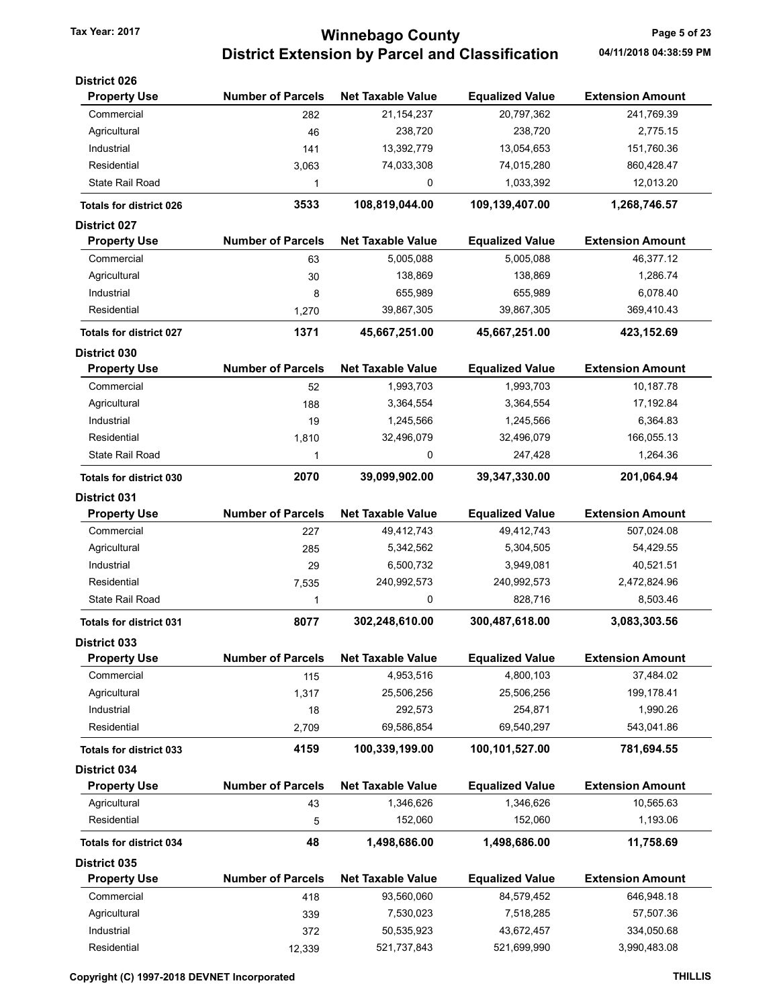# Tax Year: 2017 **Minnebago County Tax Year: 2017** Page 5 of 23 District Extension by Parcel and Classification 04/11/2018 04:38:59 PM

| <b>Extension Amount</b><br>241,769.39<br>2,775.15<br>151,760.36<br>860,428.47<br>12,013.20<br>1,268,746.57<br><b>Extension Amount</b><br>46,377.12<br>1,286.74<br>6,078.40<br>369,410.43<br>423,152.69 |
|--------------------------------------------------------------------------------------------------------------------------------------------------------------------------------------------------------|
|                                                                                                                                                                                                        |
|                                                                                                                                                                                                        |
|                                                                                                                                                                                                        |
|                                                                                                                                                                                                        |
|                                                                                                                                                                                                        |
|                                                                                                                                                                                                        |
|                                                                                                                                                                                                        |
|                                                                                                                                                                                                        |
|                                                                                                                                                                                                        |
|                                                                                                                                                                                                        |
|                                                                                                                                                                                                        |
|                                                                                                                                                                                                        |
|                                                                                                                                                                                                        |
|                                                                                                                                                                                                        |
|                                                                                                                                                                                                        |
| <b>Extension Amount</b>                                                                                                                                                                                |
| 10,187.78                                                                                                                                                                                              |
| 17,192.84                                                                                                                                                                                              |
| 6,364.83                                                                                                                                                                                               |
| 166,055.13                                                                                                                                                                                             |
| 1,264.36                                                                                                                                                                                               |
| 201,064.94                                                                                                                                                                                             |
|                                                                                                                                                                                                        |
| <b>Extension Amount</b>                                                                                                                                                                                |
| 507,024.08                                                                                                                                                                                             |
| 54,429.55                                                                                                                                                                                              |
| 40,521.51                                                                                                                                                                                              |
| 2,472,824.96                                                                                                                                                                                           |
| 8,503.46                                                                                                                                                                                               |
| 3,083,303.56                                                                                                                                                                                           |
|                                                                                                                                                                                                        |
| <b>Extension Amount</b>                                                                                                                                                                                |
| 37,484.02                                                                                                                                                                                              |
| 199,178.41                                                                                                                                                                                             |
| 1,990.26                                                                                                                                                                                               |
| 543,041.86                                                                                                                                                                                             |
| 781,694.55                                                                                                                                                                                             |
|                                                                                                                                                                                                        |
| <b>Extension Amount</b>                                                                                                                                                                                |
| 10,565.63                                                                                                                                                                                              |
| 1,193.06                                                                                                                                                                                               |
| 11,758.69                                                                                                                                                                                              |
|                                                                                                                                                                                                        |
| <b>Extension Amount</b>                                                                                                                                                                                |
| 646,948.18                                                                                                                                                                                             |
| 57,507.36                                                                                                                                                                                              |
|                                                                                                                                                                                                        |
| 334,050.68                                                                                                                                                                                             |
|                                                                                                                                                                                                        |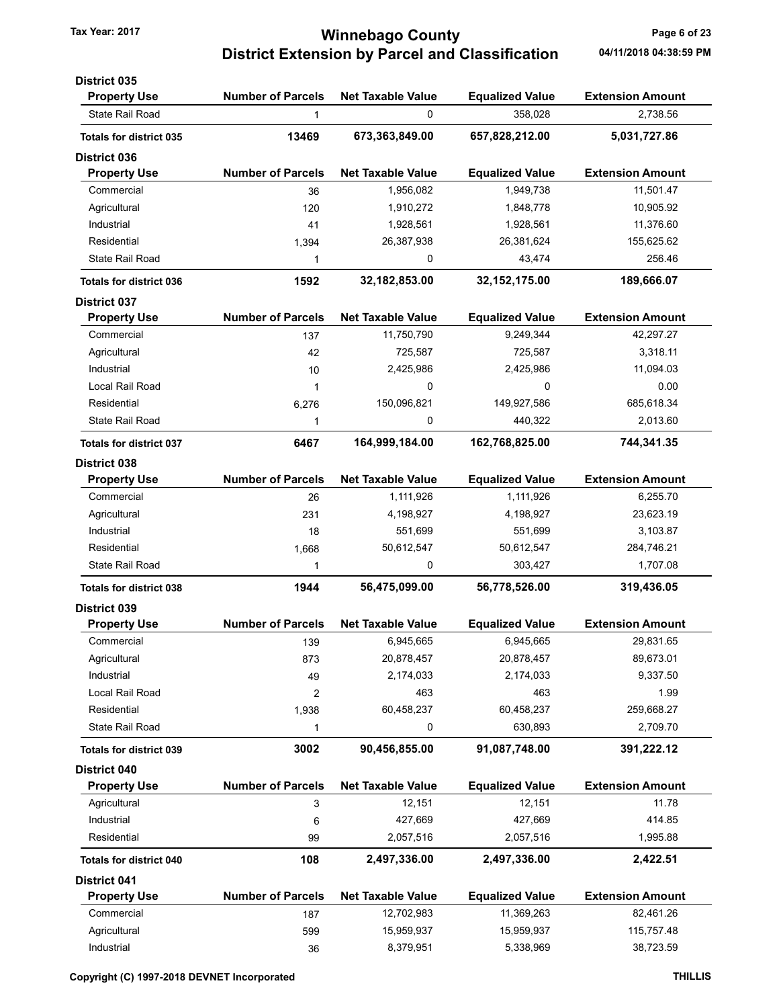# Tax Year: 2017 **Minnebago County Tax Year: 2017** Page 6 of 23 District Extension by Parcel and Classification 04/11/2018 04:38:59 PM

| <b>District 035</b>            |                          |                          |                        |                         |
|--------------------------------|--------------------------|--------------------------|------------------------|-------------------------|
| <b>Property Use</b>            | <b>Number of Parcels</b> | <b>Net Taxable Value</b> | <b>Equalized Value</b> | <b>Extension Amount</b> |
| State Rail Road                | 1                        | 0                        | 358,028                | 2,738.56                |
| <b>Totals for district 035</b> | 13469                    | 673,363,849.00           | 657,828,212.00         | 5,031,727.86            |
| <b>District 036</b>            |                          |                          |                        |                         |
| <b>Property Use</b>            | <b>Number of Parcels</b> | <b>Net Taxable Value</b> | <b>Equalized Value</b> | <b>Extension Amount</b> |
| Commercial                     | 36                       | 1,956,082                | 1,949,738              | 11,501.47               |
| Agricultural                   | 120                      | 1,910,272                | 1,848,778              | 10,905.92               |
| Industrial                     | 41                       | 1,928,561                | 1,928,561              | 11,376.60               |
| Residential                    | 1,394                    | 26,387,938               | 26,381,624             | 155,625.62              |
| <b>State Rail Road</b>         | 1                        | 0                        | 43,474                 | 256.46                  |
| <b>Totals for district 036</b> | 1592                     | 32, 182, 853.00          | 32, 152, 175.00        | 189,666.07              |
| <b>District 037</b>            |                          |                          |                        |                         |
| <b>Property Use</b>            | <b>Number of Parcels</b> | <b>Net Taxable Value</b> | <b>Equalized Value</b> | <b>Extension Amount</b> |
| Commercial                     | 137                      | 11,750,790               | 9,249,344              | 42,297.27               |
| Agricultural                   | 42                       | 725,587                  | 725,587                | 3,318.11                |
| Industrial                     | 10                       | 2,425,986                | 2,425,986              | 11,094.03               |
| Local Rail Road                | 1                        | 0                        | 0                      | 0.00                    |
| Residential                    | 6,276                    | 150,096,821              | 149,927,586            | 685,618.34              |
| <b>State Rail Road</b>         | 1                        | 0                        | 440,322                | 2,013.60                |
| <b>Totals for district 037</b> | 6467                     | 164,999,184.00           | 162,768,825.00         | 744,341.35              |
| District 038                   |                          |                          |                        |                         |
| <b>Property Use</b>            | <b>Number of Parcels</b> | <b>Net Taxable Value</b> | <b>Equalized Value</b> | <b>Extension Amount</b> |
| Commercial                     | 26                       | 1,111,926                | 1,111,926              | 6,255.70                |
| Agricultural                   | 231                      | 4,198,927                | 4,198,927              | 23,623.19               |
| Industrial                     | 18                       | 551,699                  | 551,699                | 3,103.87                |
| Residential                    | 1,668                    | 50,612,547               | 50,612,547             | 284,746.21              |
| <b>State Rail Road</b>         | 1                        | 0                        | 303,427                | 1,707.08                |
| <b>Totals for district 038</b> | 1944                     | 56,475,099.00            | 56,778,526.00          | 319,436.05              |
| <b>District 039</b>            |                          |                          |                        |                         |
| <b>Property Use</b>            | <b>Number of Parcels</b> | <b>Net Taxable Value</b> | <b>Equalized Value</b> | <b>Extension Amount</b> |
| Commercial                     | 139                      | 6,945,665                | 6,945,665              | 29,831.65               |
| Agricultural                   | 873                      | 20,878,457               | 20,878,457             | 89,673.01               |
| Industrial                     | 49                       | 2,174,033                | 2,174,033              | 9,337.50                |
| <b>Local Rail Road</b>         | 2                        | 463                      | 463                    | 1.99                    |
| Residential                    | 1,938                    | 60,458,237               | 60,458,237             | 259,668.27              |
| <b>State Rail Road</b>         | 1                        | 0                        | 630,893                | 2,709.70                |
| <b>Totals for district 039</b> | 3002                     | 90,456,855.00            | 91,087,748.00          | 391,222.12              |
| District 040                   |                          |                          |                        |                         |
| <b>Property Use</b>            | <b>Number of Parcels</b> | <b>Net Taxable Value</b> | <b>Equalized Value</b> | <b>Extension Amount</b> |
| Agricultural                   | 3                        | 12,151                   | 12,151                 | 11.78                   |
| Industrial                     | 6                        | 427,669                  | 427,669                | 414.85                  |
| Residential                    | 99                       | 2,057,516                | 2,057,516              | 1,995.88                |
| <b>Totals for district 040</b> | 108                      | 2,497,336.00             | 2,497,336.00           | 2,422.51                |
| <b>District 041</b>            |                          |                          |                        |                         |
| <b>Property Use</b>            | <b>Number of Parcels</b> | <b>Net Taxable Value</b> | <b>Equalized Value</b> | <b>Extension Amount</b> |
| Commercial                     | 187                      | 12,702,983               | 11,369,263             | 82,461.26               |
| Agricultural                   | 599                      | 15,959,937               | 15,959,937             | 115,757.48              |
| Industrial                     | $36\,$                   | 8,379,951                | 5,338,969              | 38,723.59               |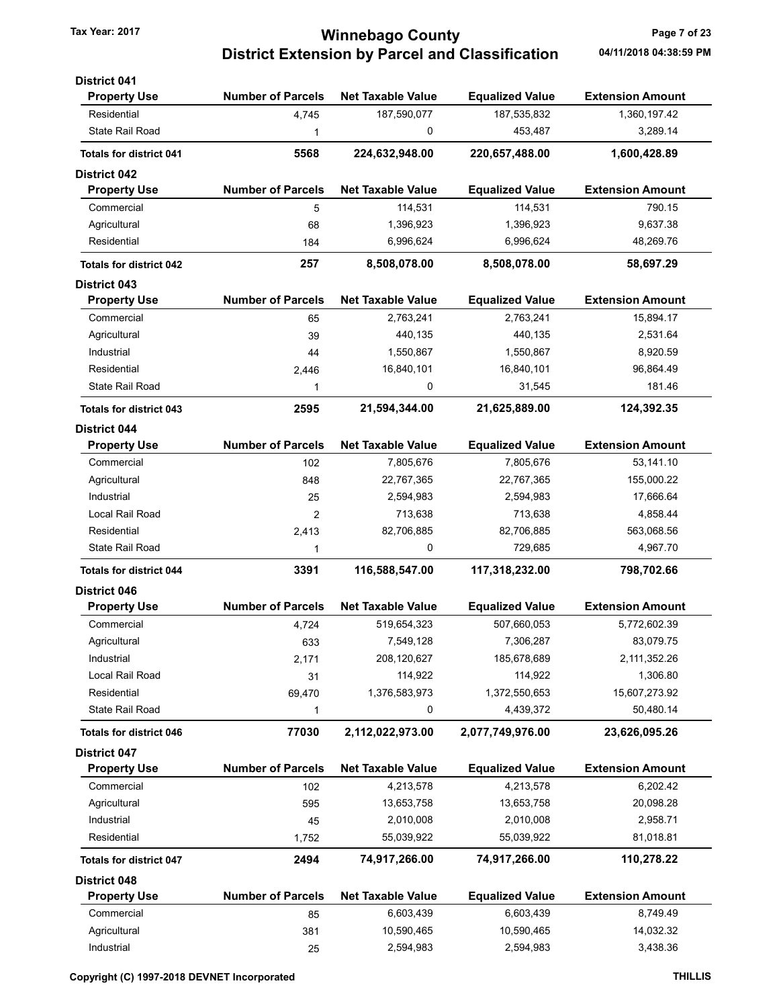# Tax Year: 2017 **Minnebago County Tax Year: 2017** Page 7 of 23 District Extension by Parcel and Classification 04/11/2018 04:38:59 PM

| <b>District 041</b>            |                          |                          |                        |                         |
|--------------------------------|--------------------------|--------------------------|------------------------|-------------------------|
| <b>Property Use</b>            | <b>Number of Parcels</b> | <b>Net Taxable Value</b> | <b>Equalized Value</b> | <b>Extension Amount</b> |
| Residential                    | 4,745                    | 187,590,077              | 187,535,832            | 1,360,197.42            |
| <b>State Rail Road</b>         | 1                        | 0                        | 453,487                | 3,289.14                |
| <b>Totals for district 041</b> | 5568                     | 224,632,948.00           | 220,657,488.00         | 1,600,428.89            |
| <b>District 042</b>            |                          |                          |                        |                         |
| <b>Property Use</b>            | <b>Number of Parcels</b> | <b>Net Taxable Value</b> | <b>Equalized Value</b> | <b>Extension Amount</b> |
| Commercial                     | 5                        | 114,531                  | 114,531                | 790.15                  |
| Agricultural                   | 68                       | 1,396,923                | 1,396,923              | 9,637.38                |
| Residential                    | 184                      | 6,996,624                | 6,996,624              | 48,269.76               |
| <b>Totals for district 042</b> | 257                      | 8,508,078.00             | 8,508,078.00           | 58,697.29               |
| <b>District 043</b>            |                          |                          |                        |                         |
| <b>Property Use</b>            | <b>Number of Parcels</b> | <b>Net Taxable Value</b> | <b>Equalized Value</b> | <b>Extension Amount</b> |
| Commercial                     | 65                       | 2,763,241                | 2,763,241              | 15,894.17               |
| Agricultural                   | 39                       | 440,135                  | 440,135                | 2,531.64                |
| Industrial                     | 44                       | 1,550,867                | 1,550,867              | 8,920.59                |
| Residential                    | 2,446                    | 16,840,101               | 16,840,101             | 96,864.49               |
| State Rail Road                | 1                        | 0                        | 31,545                 | 181.46                  |
| <b>Totals for district 043</b> | 2595                     | 21,594,344.00            | 21,625,889.00          | 124,392.35              |
| <b>District 044</b>            |                          |                          |                        |                         |
| <b>Property Use</b>            | <b>Number of Parcels</b> | <b>Net Taxable Value</b> | <b>Equalized Value</b> | <b>Extension Amount</b> |
| Commercial                     | 102                      | 7,805,676                | 7,805,676              | 53,141.10               |
| Agricultural                   | 848                      | 22,767,365               | 22,767,365             | 155,000.22              |
| Industrial                     | 25                       | 2,594,983                | 2,594,983              | 17,666.64               |
| Local Rail Road                | $\overline{2}$           | 713,638                  | 713,638                | 4,858.44                |
| Residential                    | 2,413                    | 82,706,885               | 82,706,885             | 563,068.56              |
| State Rail Road                | 1                        | 0                        | 729,685                | 4,967.70                |
| <b>Totals for district 044</b> | 3391                     | 116,588,547.00           | 117,318,232.00         | 798,702.66              |
| <b>District 046</b>            |                          |                          |                        |                         |
| <b>Property Use</b>            | <b>Number of Parcels</b> | <b>Net Taxable Value</b> | <b>Equalized Value</b> | <b>Extension Amount</b> |
| Commercial                     | 4,724                    | 519,654,323              | 507,660,053            | 5,772,602.39            |
| Agricultural                   | 633                      | 7,549,128                | 7,306,287              | 83,079.75               |
| Industrial                     | 2,171                    | 208,120,627              | 185,678,689            | 2,111,352.26            |
| Local Rail Road                | 31                       | 114,922                  | 114,922                | 1,306.80                |
| Residential                    | 69,470                   | 1,376,583,973            | 1,372,550,653          | 15,607,273.92           |
| State Rail Road                | 1                        | 0                        | 4,439,372              | 50,480.14               |
| <b>Totals for district 046</b> | 77030                    | 2,112,022,973.00         | 2,077,749,976.00       | 23,626,095.26           |
| <b>District 047</b>            |                          |                          |                        |                         |
| <b>Property Use</b>            | <b>Number of Parcels</b> | <b>Net Taxable Value</b> | <b>Equalized Value</b> | <b>Extension Amount</b> |
| Commercial                     | 102                      | 4,213,578                | 4,213,578              | 6,202.42                |
| Agricultural                   | 595                      | 13,653,758               | 13,653,758             | 20,098.28               |
| Industrial                     | 45                       | 2,010,008                | 2,010,008              | 2,958.71                |
| Residential                    | 1,752                    | 55,039,922               | 55,039,922             | 81,018.81               |
| <b>Totals for district 047</b> | 2494                     | 74,917,266.00            | 74,917,266.00          | 110,278.22              |
| <b>District 048</b>            |                          |                          |                        |                         |
| <b>Property Use</b>            | <b>Number of Parcels</b> | <b>Net Taxable Value</b> | <b>Equalized Value</b> | <b>Extension Amount</b> |
| Commercial                     | 85                       | 6,603,439                | 6,603,439              | 8,749.49                |
| Agricultural                   | 381                      | 10,590,465               | 10,590,465             | 14,032.32               |
| Industrial                     | 25                       | 2,594,983                | 2,594,983              | 3,438.36                |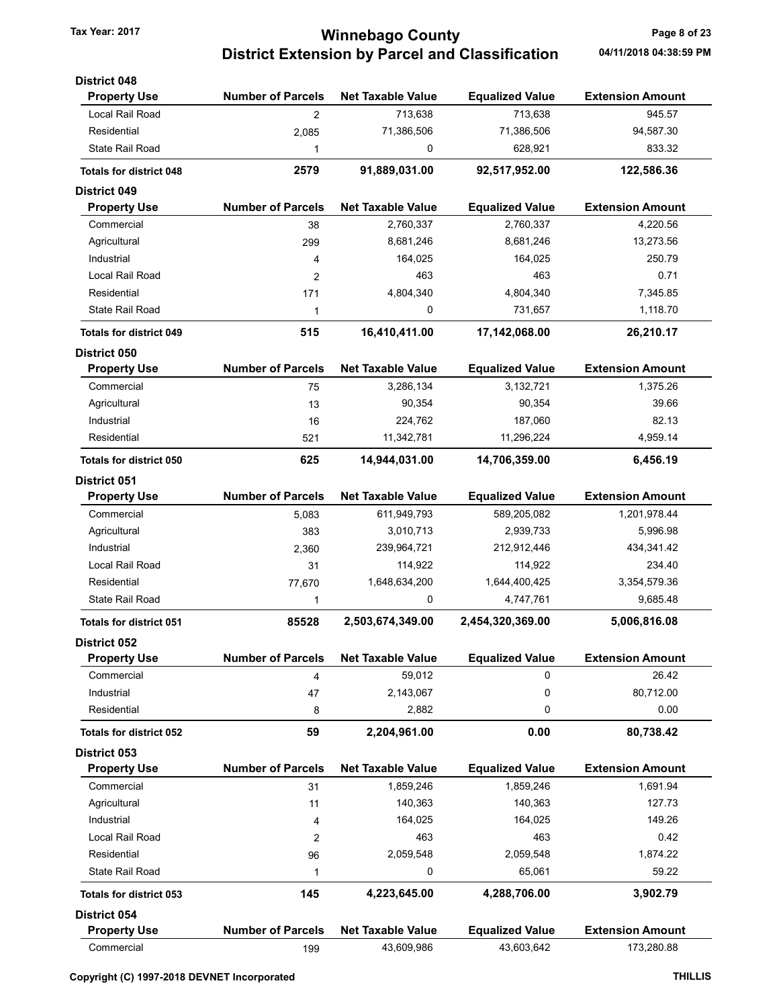# Tax Year: 2017 **Minnebago County Tax Year: 2017** Page 8 of 23 District Extension by Parcel and Classification 04/11/2018 04:38:59 PM

| <b>District 048</b>            |                          |                          |                        |                         |
|--------------------------------|--------------------------|--------------------------|------------------------|-------------------------|
| <b>Property Use</b>            | <b>Number of Parcels</b> | <b>Net Taxable Value</b> | <b>Equalized Value</b> | <b>Extension Amount</b> |
| Local Rail Road                | $\overline{2}$           | 713,638                  | 713,638                | 945.57                  |
| Residential                    | 2,085                    | 71,386,506               | 71,386,506             | 94,587.30               |
| <b>State Rail Road</b>         | 1                        | 0                        | 628,921                | 833.32                  |
| <b>Totals for district 048</b> | 2579                     | 91,889,031.00            | 92,517,952.00          | 122,586.36              |
| <b>District 049</b>            |                          |                          |                        |                         |
| <b>Property Use</b>            | <b>Number of Parcels</b> | <b>Net Taxable Value</b> | <b>Equalized Value</b> | <b>Extension Amount</b> |
| Commercial                     | 38                       | 2,760,337                | 2,760,337              | 4,220.56                |
| Agricultural                   | 299                      | 8,681,246                | 8,681,246              | 13,273.56               |
| Industrial                     | 4                        | 164,025                  | 164,025                | 250.79                  |
| Local Rail Road                | 2                        | 463                      | 463                    | 0.71                    |
| Residential                    | 171                      | 4,804,340                | 4,804,340              | 7,345.85                |
| <b>State Rail Road</b>         | 1                        | 0                        | 731,657                | 1,118.70                |
| <b>Totals for district 049</b> | 515                      | 16,410,411.00            | 17,142,068.00          | 26,210.17               |
| <b>District 050</b>            |                          |                          |                        |                         |
| <b>Property Use</b>            | <b>Number of Parcels</b> | <b>Net Taxable Value</b> | <b>Equalized Value</b> | <b>Extension Amount</b> |
| Commercial                     | 75                       | 3,286,134                | 3,132,721              | 1,375.26                |
| Agricultural                   | 13                       | 90,354                   | 90,354                 | 39.66                   |
| Industrial                     | 16                       | 224,762                  | 187,060                | 82.13                   |
| Residential                    | 521                      | 11,342,781               | 11,296,224             | 4,959.14                |
| <b>Totals for district 050</b> | 625                      | 14,944,031.00            | 14,706,359.00          | 6,456.19                |
| <b>District 051</b>            |                          |                          |                        |                         |
| <b>Property Use</b>            | <b>Number of Parcels</b> | <b>Net Taxable Value</b> | <b>Equalized Value</b> | <b>Extension Amount</b> |
| Commercial                     | 5,083                    | 611,949,793              | 589,205,082            | 1,201,978.44            |
| Agricultural                   | 383                      | 3,010,713                | 2,939,733              | 5,996.98                |
| Industrial                     | 2,360                    | 239,964,721              | 212,912,446            | 434,341.42              |
| Local Rail Road                | 31                       | 114,922                  | 114,922                | 234.40                  |
| Residential                    | 77,670                   | 1,648,634,200            | 1,644,400,425          | 3,354,579.36            |
| <b>State Rail Road</b>         | 1                        | 0                        | 4,747,761              | 9,685.48                |
| <b>Totals for district 051</b> | 85528                    | 2,503,674,349.00         | 2,454,320,369.00       | 5,006,816.08            |
| <b>District 052</b>            |                          |                          |                        |                         |
| <b>Property Use</b>            | <b>Number of Parcels</b> | <b>Net Taxable Value</b> | <b>Equalized Value</b> | <b>Extension Amount</b> |
| Commercial                     | 4                        | 59,012                   | 0                      | 26.42                   |
| Industrial                     | 47                       | 2,143,067                | 0                      | 80,712.00               |
| Residential                    | 8                        | 2,882                    | 0                      | 0.00                    |
| <b>Totals for district 052</b> | 59                       | 2,204,961.00             | 0.00                   | 80,738.42               |
| <b>District 053</b>            |                          |                          |                        |                         |
| <b>Property Use</b>            | <b>Number of Parcels</b> | <b>Net Taxable Value</b> | <b>Equalized Value</b> | <b>Extension Amount</b> |
| Commercial                     | 31                       | 1,859,246                | 1,859,246              | 1,691.94                |
| Agricultural                   | 11                       | 140,363                  | 140,363                | 127.73                  |
| Industrial                     | 4                        | 164,025                  | 164,025                | 149.26                  |
| Local Rail Road                | 2                        | 463                      | 463                    | 0.42                    |
| Residential                    | 96                       | 2,059,548                | 2,059,548              | 1,874.22                |
| <b>State Rail Road</b>         | 1                        | 0                        | 65,061                 | 59.22                   |
| <b>Totals for district 053</b> | 145                      | 4,223,645.00             | 4,288,706.00           | 3,902.79                |
| <b>District 054</b>            |                          |                          |                        |                         |
| <b>Property Use</b>            | <b>Number of Parcels</b> | <b>Net Taxable Value</b> | <b>Equalized Value</b> | <b>Extension Amount</b> |
| Commercial                     | 199                      | 43,609,986               | 43,603,642             | 173,280.88              |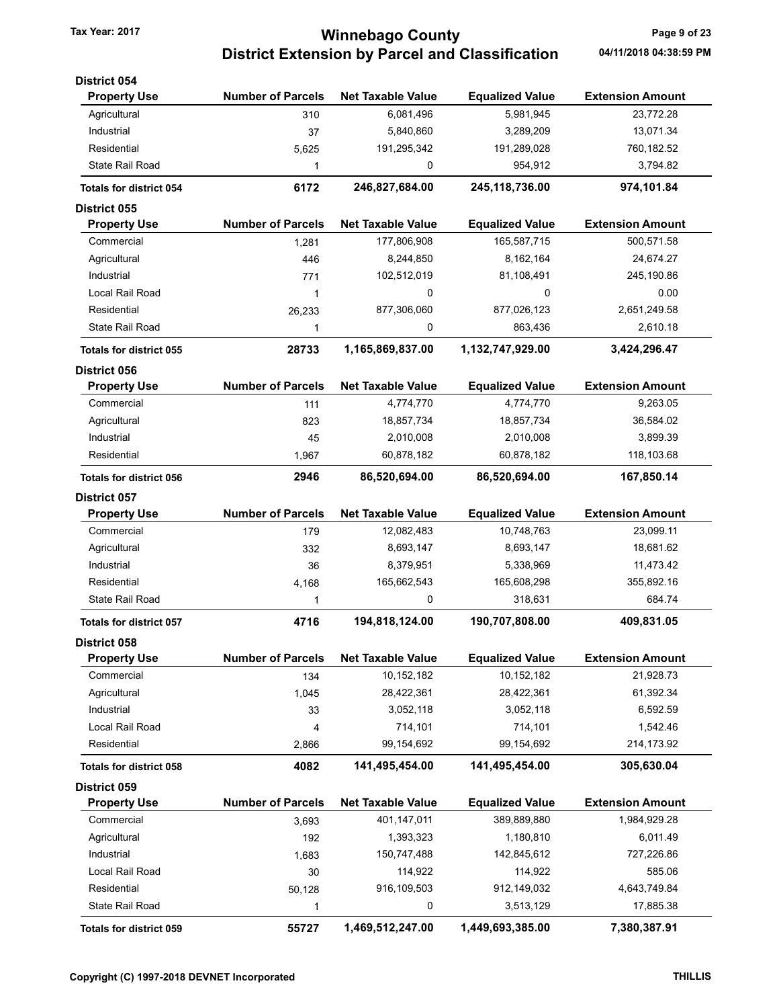# Tax Year: 2017 **Minnebago County Page 9 of 23** District Extension by Parcel and Classification 04/11/2018 04:38:59 PM

| <b>District 054</b>            |                          |                          |                        |                         |
|--------------------------------|--------------------------|--------------------------|------------------------|-------------------------|
| <b>Property Use</b>            | <b>Number of Parcels</b> | <b>Net Taxable Value</b> | <b>Equalized Value</b> | <b>Extension Amount</b> |
| Agricultural                   | 310                      | 6,081,496                | 5,981,945              | 23,772.28               |
| Industrial                     | 37                       | 5,840,860                | 3,289,209              | 13,071.34               |
| Residential                    | 5,625                    | 191,295,342              | 191,289,028            | 760,182.52              |
| <b>State Rail Road</b>         | 1                        | 0                        | 954,912                | 3,794.82                |
| <b>Totals for district 054</b> | 6172                     | 246,827,684.00           | 245,118,736.00         | 974,101.84              |
| <b>District 055</b>            |                          |                          |                        |                         |
| <b>Property Use</b>            | <b>Number of Parcels</b> | <b>Net Taxable Value</b> | <b>Equalized Value</b> | <b>Extension Amount</b> |
| Commercial                     | 1,281                    | 177,806,908              | 165,587,715            | 500,571.58              |
| Agricultural                   | 446                      | 8,244,850                | 8,162,164              | 24,674.27               |
| Industrial                     | 771                      | 102,512,019              | 81,108,491             | 245,190.86              |
| Local Rail Road                | 1                        | 0                        | 0                      | 0.00                    |
| Residential                    | 26,233                   | 877,306,060              | 877,026,123            | 2,651,249.58            |
| <b>State Rail Road</b>         | 1                        | 0                        | 863,436                | 2,610.18                |
| <b>Totals for district 055</b> | 28733                    | 1,165,869,837.00         | 1,132,747,929.00       | 3,424,296.47            |
| <b>District 056</b>            |                          |                          |                        |                         |
| <b>Property Use</b>            | <b>Number of Parcels</b> | <b>Net Taxable Value</b> | <b>Equalized Value</b> | <b>Extension Amount</b> |
| Commercial                     | 111                      | 4,774,770                | 4,774,770              | 9,263.05                |
| Agricultural                   | 823                      | 18,857,734               | 18,857,734             | 36,584.02               |
| Industrial                     | 45                       | 2,010,008                | 2,010,008              | 3,899.39                |
| Residential                    | 1,967                    | 60,878,182               | 60,878,182             | 118,103.68              |
| <b>Totals for district 056</b> | 2946                     | 86,520,694.00            | 86,520,694.00          | 167,850.14              |
| <b>District 057</b>            |                          |                          |                        |                         |
| <b>Property Use</b>            | <b>Number of Parcels</b> | <b>Net Taxable Value</b> | <b>Equalized Value</b> | <b>Extension Amount</b> |
| Commercial                     | 179                      | 12,082,483               | 10,748,763             | 23,099.11               |
| Agricultural                   | 332                      | 8,693,147                | 8,693,147              | 18,681.62               |
| Industrial                     | 36                       | 8,379,951                | 5,338,969              | 11,473.42               |
| Residential                    | 4,168                    | 165,662,543              | 165,608,298            | 355,892.16              |
| <b>State Rail Road</b>         | 1                        | 0                        | 318,631                | 684.74                  |
| <b>Totals for district 057</b> | 4716                     | 194,818,124.00           | 190,707,808.00         | 409,831.05              |
| <b>District 058</b>            |                          |                          |                        |                         |
| <b>Property Use</b>            | <b>Number of Parcels</b> | <b>Net Taxable Value</b> | <b>Equalized Value</b> | <b>Extension Amount</b> |
| Commercial                     | 134                      | 10,152,182               | 10,152,182             | 21,928.73               |
| Agricultural                   | 1,045                    | 28,422,361               | 28,422,361             | 61,392.34               |
| Industrial                     | 33                       | 3,052,118                | 3,052,118              | 6,592.59                |
| Local Rail Road                | 4                        | 714,101                  | 714,101                | 1,542.46                |
| Residential                    | 2,866                    | 99,154,692               | 99,154,692             | 214,173.92              |
| <b>Totals for district 058</b> | 4082                     | 141,495,454.00           | 141,495,454.00         | 305,630.04              |
| District 059                   |                          |                          |                        |                         |
| <b>Property Use</b>            | <b>Number of Parcels</b> | <b>Net Taxable Value</b> | <b>Equalized Value</b> | <b>Extension Amount</b> |
| Commercial                     | 3,693                    | 401,147,011              | 389,889,880            | 1,984,929.28            |
| Agricultural                   | 192                      | 1,393,323                | 1,180,810              | 6,011.49                |
| Industrial                     | 1,683                    | 150,747,488              | 142,845,612            | 727,226.86              |
| Local Rail Road                | 30                       | 114,922                  | 114,922                | 585.06                  |
| Residential                    | 50,128                   | 916,109,503              | 912,149,032            | 4,643,749.84            |
| <b>State Rail Road</b>         | 1                        | 0                        | 3,513,129              | 17,885.38               |
| Totals for district 059        | 55727                    | 1,469,512,247.00         | 1,449,693,385.00       | 7,380,387.91            |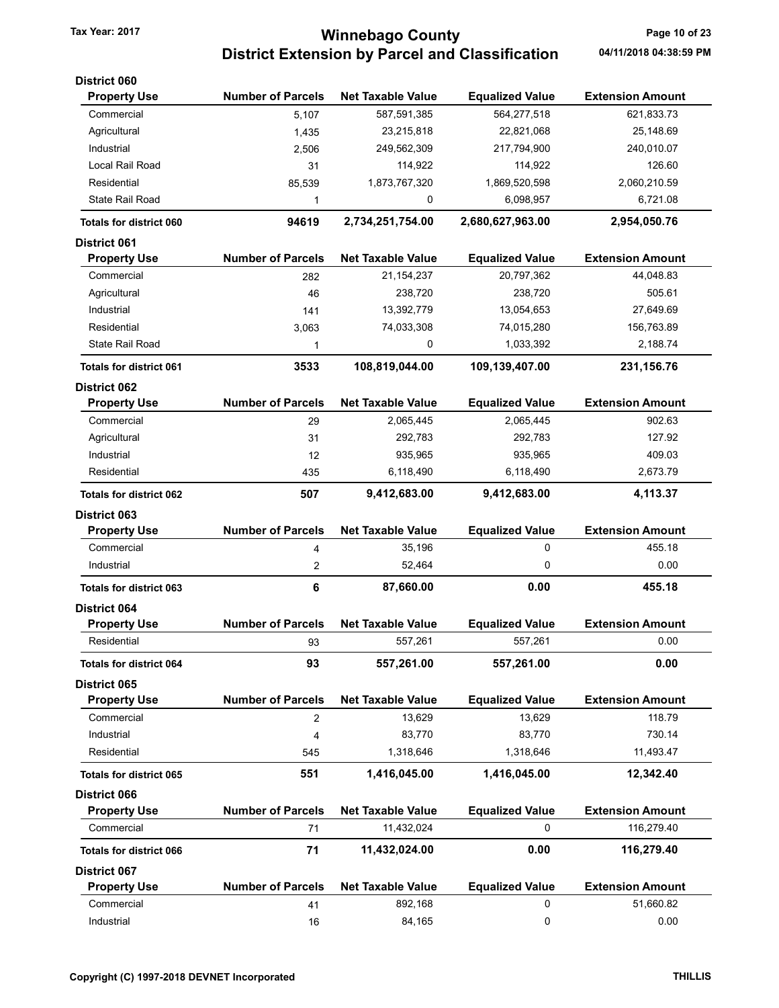# Tax Year: 2017 **Tax Year: 2017 Tax Year: 2017** Page 10 of 23 District Extension by Parcel and Classification 04/11/2018 04:38:59 PM

| <b>District 060</b>            |                          |                          |                        |                         |
|--------------------------------|--------------------------|--------------------------|------------------------|-------------------------|
| <b>Property Use</b>            | <b>Number of Parcels</b> | <b>Net Taxable Value</b> | <b>Equalized Value</b> | <b>Extension Amount</b> |
| Commercial                     | 5,107                    | 587,591,385              | 564,277,518            | 621,833.73              |
| Agricultural                   | 1,435                    | 23,215,818               | 22,821,068             | 25,148.69               |
| Industrial                     | 2,506                    | 249,562,309              | 217,794,900            | 240,010.07              |
| Local Rail Road                | 31                       | 114,922                  | 114,922                | 126.60                  |
| Residential                    | 85,539                   | 1,873,767,320            | 1,869,520,598          | 2,060,210.59            |
| <b>State Rail Road</b>         | 1                        | 0                        | 6,098,957              | 6,721.08                |
| <b>Totals for district 060</b> | 94619                    | 2,734,251,754.00         | 2,680,627,963.00       | 2,954,050.76            |
| <b>District 061</b>            |                          |                          |                        |                         |
| <b>Property Use</b>            | <b>Number of Parcels</b> | <b>Net Taxable Value</b> | <b>Equalized Value</b> | <b>Extension Amount</b> |
| Commercial                     | 282                      | 21,154,237               | 20,797,362             | 44,048.83               |
| Agricultural                   | 46                       | 238,720                  | 238,720                | 505.61                  |
| Industrial                     | 141                      | 13,392,779               | 13,054,653             | 27,649.69               |
| Residential                    | 3,063                    | 74,033,308               | 74,015,280             | 156,763.89              |
| <b>State Rail Road</b>         |                          | 0                        |                        | 2,188.74                |
|                                | 1                        |                          | 1,033,392              |                         |
| <b>Totals for district 061</b> | 3533                     | 108,819,044.00           | 109,139,407.00         | 231, 156. 76            |
| <b>District 062</b>            |                          |                          |                        |                         |
| <b>Property Use</b>            | <b>Number of Parcels</b> | <b>Net Taxable Value</b> | <b>Equalized Value</b> | <b>Extension Amount</b> |
| Commercial                     | 29                       | 2,065,445                | 2,065,445              | 902.63                  |
| Agricultural                   | 31                       | 292,783                  | 292,783                | 127.92                  |
| Industrial                     | 12                       | 935,965                  | 935,965                | 409.03                  |
| Residential                    | 435                      | 6,118,490                | 6,118,490              | 2,673.79                |
| <b>Totals for district 062</b> | 507                      | 9,412,683.00             | 9,412,683.00           | 4,113.37                |
| <b>District 063</b>            |                          |                          |                        |                         |
| <b>Property Use</b>            | <b>Number of Parcels</b> | <b>Net Taxable Value</b> | <b>Equalized Value</b> | <b>Extension Amount</b> |
| Commercial                     | 4                        | 35,196                   | 0                      | 455.18                  |
| Industrial                     | 2                        | 52,464                   | 0                      | 0.00                    |
| <b>Totals for district 063</b> | 6                        | 87,660.00                | 0.00                   | 455.18                  |
| <b>District 064</b>            |                          |                          |                        |                         |
| <b>Property Use</b>            | <b>Number of Parcels</b> | <b>Net Taxable Value</b> | <b>Equalized Value</b> | <b>Extension Amount</b> |
| Residential                    | 93                       | 557,261                  | 557,261                | 0.00                    |
| <b>Totals for district 064</b> | 93                       | 557,261.00               | 557,261.00             | 0.00                    |
| <b>District 065</b>            |                          |                          |                        |                         |
| <b>Property Use</b>            | <b>Number of Parcels</b> | <b>Net Taxable Value</b> | <b>Equalized Value</b> | <b>Extension Amount</b> |
| Commercial                     | 2                        | 13,629                   | 13,629                 | 118.79                  |
| Industrial                     | 4                        | 83,770                   | 83,770                 | 730.14                  |
| Residential                    | 545                      | 1,318,646                | 1,318,646              | 11,493.47               |
| <b>Totals for district 065</b> | 551                      | 1,416,045.00             | 1,416,045.00           | 12,342.40               |
| District 066                   |                          |                          |                        |                         |
| <b>Property Use</b>            | <b>Number of Parcels</b> | <b>Net Taxable Value</b> | <b>Equalized Value</b> | <b>Extension Amount</b> |
| Commercial                     | 71                       | 11,432,024               | 0                      | 116,279.40              |
|                                |                          |                          |                        |                         |
| <b>Totals for district 066</b> | 71                       | 11,432,024.00            | 0.00                   | 116,279.40              |
| <b>District 067</b>            |                          |                          |                        |                         |
| <b>Property Use</b>            | <b>Number of Parcels</b> | <b>Net Taxable Value</b> | <b>Equalized Value</b> | <b>Extension Amount</b> |
| Commercial                     | 41                       | 892,168                  | 0                      | 51,660.82               |
| Industrial                     | 16                       | 84,165                   | 0                      | 0.00                    |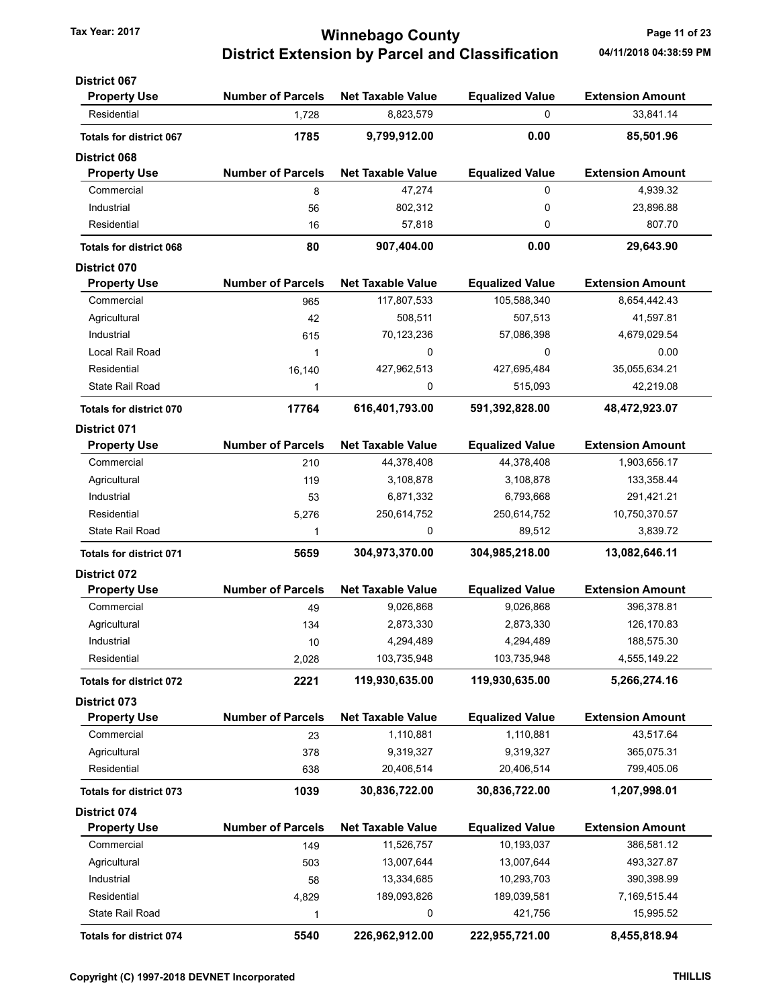## Tax Year: 2017 **Ninnebago County Tax Year: 2017** Page 11 of 23 District Extension by Parcel and Classification 04/11/2018 04:38:59 PM

| <b>District 067</b>            |                          |                          |                        |                         |
|--------------------------------|--------------------------|--------------------------|------------------------|-------------------------|
| <b>Property Use</b>            | <b>Number of Parcels</b> | <b>Net Taxable Value</b> | <b>Equalized Value</b> | <b>Extension Amount</b> |
| Residential                    | 1,728                    | 8,823,579                | 0                      | 33,841.14               |
| <b>Totals for district 067</b> | 1785                     | 9,799,912.00             | 0.00                   | 85,501.96               |
| <b>District 068</b>            |                          |                          |                        |                         |
| <b>Property Use</b>            | <b>Number of Parcels</b> | <b>Net Taxable Value</b> | <b>Equalized Value</b> | <b>Extension Amount</b> |
| Commercial                     | 8                        | 47,274                   | 0                      | 4,939.32                |
| Industrial                     | 56                       | 802,312                  | 0                      | 23,896.88               |
| Residential                    | 16                       | 57,818                   | 0                      | 807.70                  |
| <b>Totals for district 068</b> | 80                       | 907,404.00               | 0.00                   | 29,643.90               |
| <b>District 070</b>            |                          |                          |                        |                         |
| <b>Property Use</b>            | <b>Number of Parcels</b> | <b>Net Taxable Value</b> | <b>Equalized Value</b> | <b>Extension Amount</b> |
| Commercial                     | 965                      | 117,807,533              | 105,588,340            | 8,654,442.43            |
| Agricultural                   | 42                       | 508,511                  | 507,513                | 41,597.81               |
| Industrial                     | 615                      | 70,123,236               | 57,086,398             | 4,679,029.54            |
| Local Rail Road                | $\mathbf{1}$             | 0                        | 0                      | 0.00                    |
| Residential                    | 16,140                   | 427,962,513              | 427,695,484            | 35,055,634.21           |
| State Rail Road                | 1                        | 0                        | 515,093                | 42,219.08               |
| <b>Totals for district 070</b> | 17764                    | 616,401,793.00           | 591,392,828.00         | 48,472,923.07           |
| <b>District 071</b>            |                          |                          |                        |                         |
| <b>Property Use</b>            | <b>Number of Parcels</b> | <b>Net Taxable Value</b> | <b>Equalized Value</b> | <b>Extension Amount</b> |
| Commercial                     | 210                      | 44,378,408               | 44,378,408             | 1,903,656.17            |
| Agricultural                   | 119                      | 3,108,878                | 3,108,878              | 133,358.44              |
| Industrial                     | 53                       | 6,871,332                | 6,793,668              | 291,421.21              |
| Residential                    | 5,276                    | 250,614,752              | 250,614,752            | 10,750,370.57           |
| State Rail Road                | 1                        | 0                        | 89,512                 | 3,839.72                |
| <b>Totals for district 071</b> | 5659                     | 304,973,370.00           | 304,985,218.00         | 13,082,646.11           |
| <b>District 072</b>            |                          |                          |                        |                         |
| <b>Property Use</b>            | <b>Number of Parcels</b> | <b>Net Taxable Value</b> | <b>Equalized Value</b> | <b>Extension Amount</b> |
| Commercial                     | 49                       | 9,026,868                | 9,026,868              | 396,378.81              |
| Agricultural                   | 134                      | 2,873,330                | 2,873,330              | 126,170.83              |
| Industrial                     | 10                       | 4,294,489                | 4,294,489              | 188,575.30              |
| Residential                    | 2,028                    | 103,735,948              | 103,735,948            | 4,555,149.22            |
| <b>Totals for district 072</b> | 2221                     | 119,930,635.00           | 119,930,635.00         | 5,266,274.16            |
| District 073                   |                          |                          |                        |                         |
| <b>Property Use</b>            | <b>Number of Parcels</b> | <b>Net Taxable Value</b> | <b>Equalized Value</b> | <b>Extension Amount</b> |
| Commercial                     | 23                       | 1,110,881                | 1,110,881              | 43,517.64               |
| Agricultural                   | 378                      | 9,319,327                | 9,319,327              | 365,075.31              |
| Residential                    | 638                      | 20,406,514               | 20,406,514             | 799,405.06              |
| <b>Totals for district 073</b> | 1039                     | 30,836,722.00            | 30,836,722.00          | 1,207,998.01            |
| <b>District 074</b>            |                          |                          |                        |                         |
| <b>Property Use</b>            | <b>Number of Parcels</b> | <b>Net Taxable Value</b> | <b>Equalized Value</b> | <b>Extension Amount</b> |
| Commercial                     | 149                      | 11,526,757               | 10,193,037             | 386,581.12              |
| Agricultural                   | 503                      | 13,007,644               | 13,007,644             | 493,327.87              |
| Industrial                     | 58                       | 13,334,685               | 10,293,703             | 390,398.99              |
| Residential                    | 4,829                    | 189,093,826              | 189,039,581            | 7,169,515.44            |
| <b>State Rail Road</b>         | 1                        | 0                        | 421,756                | 15,995.52               |
| Totals for district 074        | 5540                     | 226,962,912.00           | 222,955,721.00         | 8,455,818.94            |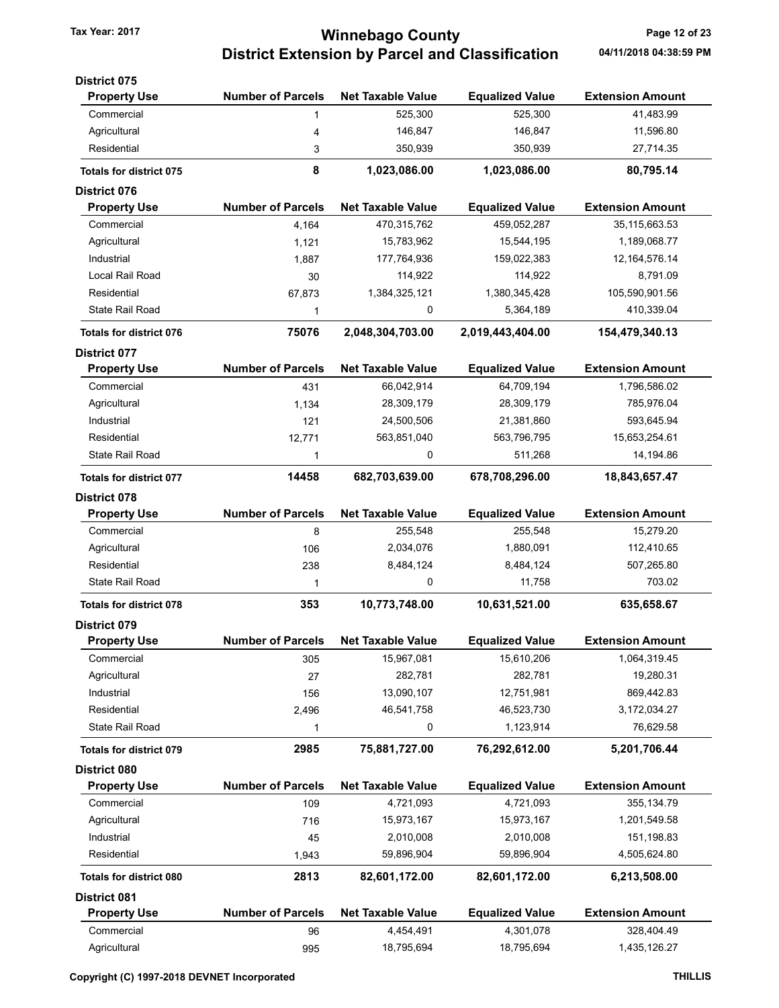# Tax Year: 2017 **Tax Year: 2017** Page 12 of 23 District Extension by Parcel and Classification 04/11/2018 04:38:59 PM

| <b>Number of Parcels</b><br><b>Net Taxable Value</b><br><b>Equalized Value</b><br><b>Extension Amount</b><br><b>Property Use</b><br>525,300<br>525,300<br>41,483.99<br>Commercial<br>1<br>146,847<br>146,847<br>11,596.80<br>Agricultural<br>4<br>Residential<br>350,939<br>350,939<br>27,714.35<br>3<br>8<br>1,023,086.00<br>1,023,086.00<br>80,795.14<br><b>Totals for district 075</b><br><b>Number of Parcels</b><br><b>Net Taxable Value</b><br><b>Extension Amount</b><br><b>Equalized Value</b><br><b>Property Use</b><br>470,315,762<br>459,052,287<br>35, 115, 663.53<br>Commercial<br>4,164<br>Agricultural<br>15,783,962<br>15,544,195<br>1,189,068.77<br>1,121<br>Industrial<br>177,764,936<br>159,022,383<br>12, 164, 576. 14<br>1,887<br>Local Rail Road<br>8,791.09<br>114,922<br>114,922<br>30<br>Residential<br>1,384,325,121<br>1,380,345,428<br>105,590,901.56<br>67,873<br>0<br><b>State Rail Road</b><br>5,364,189<br>410,339.04<br>1<br>2,019,443,404.00<br>75076<br>2,048,304,703.00<br>154,479,340.13<br><b>Totals for district 076</b><br><b>Number of Parcels</b><br><b>Net Taxable Value</b><br><b>Equalized Value</b><br><b>Extension Amount</b><br><b>Property Use</b><br>Commercial<br>66,042,914<br>64,709,194<br>1,796,586.02<br>431<br>Agricultural<br>28,309,179<br>28,309,179<br>785,976.04<br>1,134<br>Industrial<br>24,500,506<br>21,381,860<br>593,645.94<br>121<br>Residential<br>563,851,040<br>563,796,795<br>15,653,254.61<br>12,771<br><b>State Rail Road</b><br>0<br>511,268<br>14,194.86<br>1<br>678,708,296.00<br>18,843,657.47<br>14458<br>682,703,639.00<br><b>Totals for district 077</b><br><b>Number of Parcels</b><br><b>Net Taxable Value</b><br><b>Equalized Value</b><br><b>Extension Amount</b><br><b>Property Use</b><br>Commercial<br>255,548<br>255,548<br>15,279.20<br>8<br>Agricultural<br>2,034,076<br>1,880,091<br>112,410.65<br>106<br>8,484,124<br>507,265.80<br>Residential<br>8,484,124<br>238<br><b>State Rail Road</b><br>0<br>11,758<br>703.02<br>1<br>353<br>10,631,521.00<br>10,773,748.00<br>635,658.67<br><b>Totals for district 078</b><br><b>Number of Parcels</b><br><b>Net Taxable Value</b><br><b>Equalized Value</b><br><b>Extension Amount</b><br><b>Property Use</b><br>Commercial<br>15,967,081<br>15,610,206<br>1,064,319.45<br>305<br>Agricultural<br>282,781<br>19,280.31<br>282,781<br>27<br>Industrial<br>13,090,107<br>12,751,981<br>869,442.83<br>156<br>Residential<br>46,541,758<br>46,523,730<br>3,172,034.27<br>2,496<br><b>State Rail Road</b><br>76,629.58<br>0<br>1,123,914<br>1<br>2985<br>75,881,727.00<br>76,292,612.00<br>5,201,706.44<br><b>Totals for district 079</b><br><b>Number of Parcels</b><br><b>Net Taxable Value</b><br><b>Equalized Value</b><br><b>Extension Amount</b><br><b>Property Use</b><br>Commercial<br>4,721,093<br>355, 134.79<br>4,721,093<br>109<br>Agricultural<br>15,973,167<br>15,973,167<br>1,201,549.58<br>716<br>Industrial<br>2,010,008<br>2,010,008<br>151,198.83<br>45<br>Residential<br>59,896,904<br>59,896,904<br>4,505,624.80<br>1,943<br>2813<br>82,601,172.00<br>6,213,508.00<br>82,601,172.00<br><b>Totals for district 080</b><br><b>Number of Parcels</b><br><b>Net Taxable Value</b><br><b>Equalized Value</b><br><b>Extension Amount</b><br><b>Property Use</b><br>Commercial<br>4,301,078<br>328,404.49<br>4,454,491<br>96 | <b>District 075</b> |     |            |            |              |
|--------------------------------------------------------------------------------------------------------------------------------------------------------------------------------------------------------------------------------------------------------------------------------------------------------------------------------------------------------------------------------------------------------------------------------------------------------------------------------------------------------------------------------------------------------------------------------------------------------------------------------------------------------------------------------------------------------------------------------------------------------------------------------------------------------------------------------------------------------------------------------------------------------------------------------------------------------------------------------------------------------------------------------------------------------------------------------------------------------------------------------------------------------------------------------------------------------------------------------------------------------------------------------------------------------------------------------------------------------------------------------------------------------------------------------------------------------------------------------------------------------------------------------------------------------------------------------------------------------------------------------------------------------------------------------------------------------------------------------------------------------------------------------------------------------------------------------------------------------------------------------------------------------------------------------------------------------------------------------------------------------------------------------------------------------------------------------------------------------------------------------------------------------------------------------------------------------------------------------------------------------------------------------------------------------------------------------------------------------------------------------------------------------------------------------------------------------------------------------------------------------------------------------------------------------------------------------------------------------------------------------------------------------------------------------------------------------------------------------------------------------------------------------------------------------------------------------------------------------------------------------------------------------------------------------------------------------------------------------------------------------------------------------------------------------------------------------------------------------------------------------------------------------------------------------------------------------------------------------------------------------------------------------------------------------------------------------------------------------------------------------|---------------------|-----|------------|------------|--------------|
|                                                                                                                                                                                                                                                                                                                                                                                                                                                                                                                                                                                                                                                                                                                                                                                                                                                                                                                                                                                                                                                                                                                                                                                                                                                                                                                                                                                                                                                                                                                                                                                                                                                                                                                                                                                                                                                                                                                                                                                                                                                                                                                                                                                                                                                                                                                                                                                                                                                                                                                                                                                                                                                                                                                                                                                                                                                                                                                                                                                                                                                                                                                                                                                                                                                                                                                                                                                |                     |     |            |            |              |
|                                                                                                                                                                                                                                                                                                                                                                                                                                                                                                                                                                                                                                                                                                                                                                                                                                                                                                                                                                                                                                                                                                                                                                                                                                                                                                                                                                                                                                                                                                                                                                                                                                                                                                                                                                                                                                                                                                                                                                                                                                                                                                                                                                                                                                                                                                                                                                                                                                                                                                                                                                                                                                                                                                                                                                                                                                                                                                                                                                                                                                                                                                                                                                                                                                                                                                                                                                                |                     |     |            |            |              |
|                                                                                                                                                                                                                                                                                                                                                                                                                                                                                                                                                                                                                                                                                                                                                                                                                                                                                                                                                                                                                                                                                                                                                                                                                                                                                                                                                                                                                                                                                                                                                                                                                                                                                                                                                                                                                                                                                                                                                                                                                                                                                                                                                                                                                                                                                                                                                                                                                                                                                                                                                                                                                                                                                                                                                                                                                                                                                                                                                                                                                                                                                                                                                                                                                                                                                                                                                                                |                     |     |            |            |              |
|                                                                                                                                                                                                                                                                                                                                                                                                                                                                                                                                                                                                                                                                                                                                                                                                                                                                                                                                                                                                                                                                                                                                                                                                                                                                                                                                                                                                                                                                                                                                                                                                                                                                                                                                                                                                                                                                                                                                                                                                                                                                                                                                                                                                                                                                                                                                                                                                                                                                                                                                                                                                                                                                                                                                                                                                                                                                                                                                                                                                                                                                                                                                                                                                                                                                                                                                                                                |                     |     |            |            |              |
|                                                                                                                                                                                                                                                                                                                                                                                                                                                                                                                                                                                                                                                                                                                                                                                                                                                                                                                                                                                                                                                                                                                                                                                                                                                                                                                                                                                                                                                                                                                                                                                                                                                                                                                                                                                                                                                                                                                                                                                                                                                                                                                                                                                                                                                                                                                                                                                                                                                                                                                                                                                                                                                                                                                                                                                                                                                                                                                                                                                                                                                                                                                                                                                                                                                                                                                                                                                |                     |     |            |            |              |
|                                                                                                                                                                                                                                                                                                                                                                                                                                                                                                                                                                                                                                                                                                                                                                                                                                                                                                                                                                                                                                                                                                                                                                                                                                                                                                                                                                                                                                                                                                                                                                                                                                                                                                                                                                                                                                                                                                                                                                                                                                                                                                                                                                                                                                                                                                                                                                                                                                                                                                                                                                                                                                                                                                                                                                                                                                                                                                                                                                                                                                                                                                                                                                                                                                                                                                                                                                                | <b>District 076</b> |     |            |            |              |
|                                                                                                                                                                                                                                                                                                                                                                                                                                                                                                                                                                                                                                                                                                                                                                                                                                                                                                                                                                                                                                                                                                                                                                                                                                                                                                                                                                                                                                                                                                                                                                                                                                                                                                                                                                                                                                                                                                                                                                                                                                                                                                                                                                                                                                                                                                                                                                                                                                                                                                                                                                                                                                                                                                                                                                                                                                                                                                                                                                                                                                                                                                                                                                                                                                                                                                                                                                                |                     |     |            |            |              |
|                                                                                                                                                                                                                                                                                                                                                                                                                                                                                                                                                                                                                                                                                                                                                                                                                                                                                                                                                                                                                                                                                                                                                                                                                                                                                                                                                                                                                                                                                                                                                                                                                                                                                                                                                                                                                                                                                                                                                                                                                                                                                                                                                                                                                                                                                                                                                                                                                                                                                                                                                                                                                                                                                                                                                                                                                                                                                                                                                                                                                                                                                                                                                                                                                                                                                                                                                                                |                     |     |            |            |              |
|                                                                                                                                                                                                                                                                                                                                                                                                                                                                                                                                                                                                                                                                                                                                                                                                                                                                                                                                                                                                                                                                                                                                                                                                                                                                                                                                                                                                                                                                                                                                                                                                                                                                                                                                                                                                                                                                                                                                                                                                                                                                                                                                                                                                                                                                                                                                                                                                                                                                                                                                                                                                                                                                                                                                                                                                                                                                                                                                                                                                                                                                                                                                                                                                                                                                                                                                                                                |                     |     |            |            |              |
|                                                                                                                                                                                                                                                                                                                                                                                                                                                                                                                                                                                                                                                                                                                                                                                                                                                                                                                                                                                                                                                                                                                                                                                                                                                                                                                                                                                                                                                                                                                                                                                                                                                                                                                                                                                                                                                                                                                                                                                                                                                                                                                                                                                                                                                                                                                                                                                                                                                                                                                                                                                                                                                                                                                                                                                                                                                                                                                                                                                                                                                                                                                                                                                                                                                                                                                                                                                |                     |     |            |            |              |
|                                                                                                                                                                                                                                                                                                                                                                                                                                                                                                                                                                                                                                                                                                                                                                                                                                                                                                                                                                                                                                                                                                                                                                                                                                                                                                                                                                                                                                                                                                                                                                                                                                                                                                                                                                                                                                                                                                                                                                                                                                                                                                                                                                                                                                                                                                                                                                                                                                                                                                                                                                                                                                                                                                                                                                                                                                                                                                                                                                                                                                                                                                                                                                                                                                                                                                                                                                                |                     |     |            |            |              |
|                                                                                                                                                                                                                                                                                                                                                                                                                                                                                                                                                                                                                                                                                                                                                                                                                                                                                                                                                                                                                                                                                                                                                                                                                                                                                                                                                                                                                                                                                                                                                                                                                                                                                                                                                                                                                                                                                                                                                                                                                                                                                                                                                                                                                                                                                                                                                                                                                                                                                                                                                                                                                                                                                                                                                                                                                                                                                                                                                                                                                                                                                                                                                                                                                                                                                                                                                                                |                     |     |            |            |              |
|                                                                                                                                                                                                                                                                                                                                                                                                                                                                                                                                                                                                                                                                                                                                                                                                                                                                                                                                                                                                                                                                                                                                                                                                                                                                                                                                                                                                                                                                                                                                                                                                                                                                                                                                                                                                                                                                                                                                                                                                                                                                                                                                                                                                                                                                                                                                                                                                                                                                                                                                                                                                                                                                                                                                                                                                                                                                                                                                                                                                                                                                                                                                                                                                                                                                                                                                                                                |                     |     |            |            |              |
|                                                                                                                                                                                                                                                                                                                                                                                                                                                                                                                                                                                                                                                                                                                                                                                                                                                                                                                                                                                                                                                                                                                                                                                                                                                                                                                                                                                                                                                                                                                                                                                                                                                                                                                                                                                                                                                                                                                                                                                                                                                                                                                                                                                                                                                                                                                                                                                                                                                                                                                                                                                                                                                                                                                                                                                                                                                                                                                                                                                                                                                                                                                                                                                                                                                                                                                                                                                |                     |     |            |            |              |
|                                                                                                                                                                                                                                                                                                                                                                                                                                                                                                                                                                                                                                                                                                                                                                                                                                                                                                                                                                                                                                                                                                                                                                                                                                                                                                                                                                                                                                                                                                                                                                                                                                                                                                                                                                                                                                                                                                                                                                                                                                                                                                                                                                                                                                                                                                                                                                                                                                                                                                                                                                                                                                                                                                                                                                                                                                                                                                                                                                                                                                                                                                                                                                                                                                                                                                                                                                                | District 077        |     |            |            |              |
|                                                                                                                                                                                                                                                                                                                                                                                                                                                                                                                                                                                                                                                                                                                                                                                                                                                                                                                                                                                                                                                                                                                                                                                                                                                                                                                                                                                                                                                                                                                                                                                                                                                                                                                                                                                                                                                                                                                                                                                                                                                                                                                                                                                                                                                                                                                                                                                                                                                                                                                                                                                                                                                                                                                                                                                                                                                                                                                                                                                                                                                                                                                                                                                                                                                                                                                                                                                |                     |     |            |            |              |
|                                                                                                                                                                                                                                                                                                                                                                                                                                                                                                                                                                                                                                                                                                                                                                                                                                                                                                                                                                                                                                                                                                                                                                                                                                                                                                                                                                                                                                                                                                                                                                                                                                                                                                                                                                                                                                                                                                                                                                                                                                                                                                                                                                                                                                                                                                                                                                                                                                                                                                                                                                                                                                                                                                                                                                                                                                                                                                                                                                                                                                                                                                                                                                                                                                                                                                                                                                                |                     |     |            |            |              |
|                                                                                                                                                                                                                                                                                                                                                                                                                                                                                                                                                                                                                                                                                                                                                                                                                                                                                                                                                                                                                                                                                                                                                                                                                                                                                                                                                                                                                                                                                                                                                                                                                                                                                                                                                                                                                                                                                                                                                                                                                                                                                                                                                                                                                                                                                                                                                                                                                                                                                                                                                                                                                                                                                                                                                                                                                                                                                                                                                                                                                                                                                                                                                                                                                                                                                                                                                                                |                     |     |            |            |              |
|                                                                                                                                                                                                                                                                                                                                                                                                                                                                                                                                                                                                                                                                                                                                                                                                                                                                                                                                                                                                                                                                                                                                                                                                                                                                                                                                                                                                                                                                                                                                                                                                                                                                                                                                                                                                                                                                                                                                                                                                                                                                                                                                                                                                                                                                                                                                                                                                                                                                                                                                                                                                                                                                                                                                                                                                                                                                                                                                                                                                                                                                                                                                                                                                                                                                                                                                                                                |                     |     |            |            |              |
|                                                                                                                                                                                                                                                                                                                                                                                                                                                                                                                                                                                                                                                                                                                                                                                                                                                                                                                                                                                                                                                                                                                                                                                                                                                                                                                                                                                                                                                                                                                                                                                                                                                                                                                                                                                                                                                                                                                                                                                                                                                                                                                                                                                                                                                                                                                                                                                                                                                                                                                                                                                                                                                                                                                                                                                                                                                                                                                                                                                                                                                                                                                                                                                                                                                                                                                                                                                |                     |     |            |            |              |
|                                                                                                                                                                                                                                                                                                                                                                                                                                                                                                                                                                                                                                                                                                                                                                                                                                                                                                                                                                                                                                                                                                                                                                                                                                                                                                                                                                                                                                                                                                                                                                                                                                                                                                                                                                                                                                                                                                                                                                                                                                                                                                                                                                                                                                                                                                                                                                                                                                                                                                                                                                                                                                                                                                                                                                                                                                                                                                                                                                                                                                                                                                                                                                                                                                                                                                                                                                                |                     |     |            |            |              |
|                                                                                                                                                                                                                                                                                                                                                                                                                                                                                                                                                                                                                                                                                                                                                                                                                                                                                                                                                                                                                                                                                                                                                                                                                                                                                                                                                                                                                                                                                                                                                                                                                                                                                                                                                                                                                                                                                                                                                                                                                                                                                                                                                                                                                                                                                                                                                                                                                                                                                                                                                                                                                                                                                                                                                                                                                                                                                                                                                                                                                                                                                                                                                                                                                                                                                                                                                                                |                     |     |            |            |              |
|                                                                                                                                                                                                                                                                                                                                                                                                                                                                                                                                                                                                                                                                                                                                                                                                                                                                                                                                                                                                                                                                                                                                                                                                                                                                                                                                                                                                                                                                                                                                                                                                                                                                                                                                                                                                                                                                                                                                                                                                                                                                                                                                                                                                                                                                                                                                                                                                                                                                                                                                                                                                                                                                                                                                                                                                                                                                                                                                                                                                                                                                                                                                                                                                                                                                                                                                                                                | <b>District 078</b> |     |            |            |              |
|                                                                                                                                                                                                                                                                                                                                                                                                                                                                                                                                                                                                                                                                                                                                                                                                                                                                                                                                                                                                                                                                                                                                                                                                                                                                                                                                                                                                                                                                                                                                                                                                                                                                                                                                                                                                                                                                                                                                                                                                                                                                                                                                                                                                                                                                                                                                                                                                                                                                                                                                                                                                                                                                                                                                                                                                                                                                                                                                                                                                                                                                                                                                                                                                                                                                                                                                                                                |                     |     |            |            |              |
|                                                                                                                                                                                                                                                                                                                                                                                                                                                                                                                                                                                                                                                                                                                                                                                                                                                                                                                                                                                                                                                                                                                                                                                                                                                                                                                                                                                                                                                                                                                                                                                                                                                                                                                                                                                                                                                                                                                                                                                                                                                                                                                                                                                                                                                                                                                                                                                                                                                                                                                                                                                                                                                                                                                                                                                                                                                                                                                                                                                                                                                                                                                                                                                                                                                                                                                                                                                |                     |     |            |            |              |
|                                                                                                                                                                                                                                                                                                                                                                                                                                                                                                                                                                                                                                                                                                                                                                                                                                                                                                                                                                                                                                                                                                                                                                                                                                                                                                                                                                                                                                                                                                                                                                                                                                                                                                                                                                                                                                                                                                                                                                                                                                                                                                                                                                                                                                                                                                                                                                                                                                                                                                                                                                                                                                                                                                                                                                                                                                                                                                                                                                                                                                                                                                                                                                                                                                                                                                                                                                                |                     |     |            |            |              |
|                                                                                                                                                                                                                                                                                                                                                                                                                                                                                                                                                                                                                                                                                                                                                                                                                                                                                                                                                                                                                                                                                                                                                                                                                                                                                                                                                                                                                                                                                                                                                                                                                                                                                                                                                                                                                                                                                                                                                                                                                                                                                                                                                                                                                                                                                                                                                                                                                                                                                                                                                                                                                                                                                                                                                                                                                                                                                                                                                                                                                                                                                                                                                                                                                                                                                                                                                                                |                     |     |            |            |              |
|                                                                                                                                                                                                                                                                                                                                                                                                                                                                                                                                                                                                                                                                                                                                                                                                                                                                                                                                                                                                                                                                                                                                                                                                                                                                                                                                                                                                                                                                                                                                                                                                                                                                                                                                                                                                                                                                                                                                                                                                                                                                                                                                                                                                                                                                                                                                                                                                                                                                                                                                                                                                                                                                                                                                                                                                                                                                                                                                                                                                                                                                                                                                                                                                                                                                                                                                                                                |                     |     |            |            |              |
|                                                                                                                                                                                                                                                                                                                                                                                                                                                                                                                                                                                                                                                                                                                                                                                                                                                                                                                                                                                                                                                                                                                                                                                                                                                                                                                                                                                                                                                                                                                                                                                                                                                                                                                                                                                                                                                                                                                                                                                                                                                                                                                                                                                                                                                                                                                                                                                                                                                                                                                                                                                                                                                                                                                                                                                                                                                                                                                                                                                                                                                                                                                                                                                                                                                                                                                                                                                |                     |     |            |            |              |
|                                                                                                                                                                                                                                                                                                                                                                                                                                                                                                                                                                                                                                                                                                                                                                                                                                                                                                                                                                                                                                                                                                                                                                                                                                                                                                                                                                                                                                                                                                                                                                                                                                                                                                                                                                                                                                                                                                                                                                                                                                                                                                                                                                                                                                                                                                                                                                                                                                                                                                                                                                                                                                                                                                                                                                                                                                                                                                                                                                                                                                                                                                                                                                                                                                                                                                                                                                                | <b>District 079</b> |     |            |            |              |
|                                                                                                                                                                                                                                                                                                                                                                                                                                                                                                                                                                                                                                                                                                                                                                                                                                                                                                                                                                                                                                                                                                                                                                                                                                                                                                                                                                                                                                                                                                                                                                                                                                                                                                                                                                                                                                                                                                                                                                                                                                                                                                                                                                                                                                                                                                                                                                                                                                                                                                                                                                                                                                                                                                                                                                                                                                                                                                                                                                                                                                                                                                                                                                                                                                                                                                                                                                                |                     |     |            |            |              |
|                                                                                                                                                                                                                                                                                                                                                                                                                                                                                                                                                                                                                                                                                                                                                                                                                                                                                                                                                                                                                                                                                                                                                                                                                                                                                                                                                                                                                                                                                                                                                                                                                                                                                                                                                                                                                                                                                                                                                                                                                                                                                                                                                                                                                                                                                                                                                                                                                                                                                                                                                                                                                                                                                                                                                                                                                                                                                                                                                                                                                                                                                                                                                                                                                                                                                                                                                                                |                     |     |            |            |              |
|                                                                                                                                                                                                                                                                                                                                                                                                                                                                                                                                                                                                                                                                                                                                                                                                                                                                                                                                                                                                                                                                                                                                                                                                                                                                                                                                                                                                                                                                                                                                                                                                                                                                                                                                                                                                                                                                                                                                                                                                                                                                                                                                                                                                                                                                                                                                                                                                                                                                                                                                                                                                                                                                                                                                                                                                                                                                                                                                                                                                                                                                                                                                                                                                                                                                                                                                                                                |                     |     |            |            |              |
|                                                                                                                                                                                                                                                                                                                                                                                                                                                                                                                                                                                                                                                                                                                                                                                                                                                                                                                                                                                                                                                                                                                                                                                                                                                                                                                                                                                                                                                                                                                                                                                                                                                                                                                                                                                                                                                                                                                                                                                                                                                                                                                                                                                                                                                                                                                                                                                                                                                                                                                                                                                                                                                                                                                                                                                                                                                                                                                                                                                                                                                                                                                                                                                                                                                                                                                                                                                |                     |     |            |            |              |
|                                                                                                                                                                                                                                                                                                                                                                                                                                                                                                                                                                                                                                                                                                                                                                                                                                                                                                                                                                                                                                                                                                                                                                                                                                                                                                                                                                                                                                                                                                                                                                                                                                                                                                                                                                                                                                                                                                                                                                                                                                                                                                                                                                                                                                                                                                                                                                                                                                                                                                                                                                                                                                                                                                                                                                                                                                                                                                                                                                                                                                                                                                                                                                                                                                                                                                                                                                                |                     |     |            |            |              |
|                                                                                                                                                                                                                                                                                                                                                                                                                                                                                                                                                                                                                                                                                                                                                                                                                                                                                                                                                                                                                                                                                                                                                                                                                                                                                                                                                                                                                                                                                                                                                                                                                                                                                                                                                                                                                                                                                                                                                                                                                                                                                                                                                                                                                                                                                                                                                                                                                                                                                                                                                                                                                                                                                                                                                                                                                                                                                                                                                                                                                                                                                                                                                                                                                                                                                                                                                                                |                     |     |            |            |              |
|                                                                                                                                                                                                                                                                                                                                                                                                                                                                                                                                                                                                                                                                                                                                                                                                                                                                                                                                                                                                                                                                                                                                                                                                                                                                                                                                                                                                                                                                                                                                                                                                                                                                                                                                                                                                                                                                                                                                                                                                                                                                                                                                                                                                                                                                                                                                                                                                                                                                                                                                                                                                                                                                                                                                                                                                                                                                                                                                                                                                                                                                                                                                                                                                                                                                                                                                                                                |                     |     |            |            |              |
|                                                                                                                                                                                                                                                                                                                                                                                                                                                                                                                                                                                                                                                                                                                                                                                                                                                                                                                                                                                                                                                                                                                                                                                                                                                                                                                                                                                                                                                                                                                                                                                                                                                                                                                                                                                                                                                                                                                                                                                                                                                                                                                                                                                                                                                                                                                                                                                                                                                                                                                                                                                                                                                                                                                                                                                                                                                                                                                                                                                                                                                                                                                                                                                                                                                                                                                                                                                | District 080        |     |            |            |              |
|                                                                                                                                                                                                                                                                                                                                                                                                                                                                                                                                                                                                                                                                                                                                                                                                                                                                                                                                                                                                                                                                                                                                                                                                                                                                                                                                                                                                                                                                                                                                                                                                                                                                                                                                                                                                                                                                                                                                                                                                                                                                                                                                                                                                                                                                                                                                                                                                                                                                                                                                                                                                                                                                                                                                                                                                                                                                                                                                                                                                                                                                                                                                                                                                                                                                                                                                                                                |                     |     |            |            |              |
|                                                                                                                                                                                                                                                                                                                                                                                                                                                                                                                                                                                                                                                                                                                                                                                                                                                                                                                                                                                                                                                                                                                                                                                                                                                                                                                                                                                                                                                                                                                                                                                                                                                                                                                                                                                                                                                                                                                                                                                                                                                                                                                                                                                                                                                                                                                                                                                                                                                                                                                                                                                                                                                                                                                                                                                                                                                                                                                                                                                                                                                                                                                                                                                                                                                                                                                                                                                |                     |     |            |            |              |
|                                                                                                                                                                                                                                                                                                                                                                                                                                                                                                                                                                                                                                                                                                                                                                                                                                                                                                                                                                                                                                                                                                                                                                                                                                                                                                                                                                                                                                                                                                                                                                                                                                                                                                                                                                                                                                                                                                                                                                                                                                                                                                                                                                                                                                                                                                                                                                                                                                                                                                                                                                                                                                                                                                                                                                                                                                                                                                                                                                                                                                                                                                                                                                                                                                                                                                                                                                                |                     |     |            |            |              |
|                                                                                                                                                                                                                                                                                                                                                                                                                                                                                                                                                                                                                                                                                                                                                                                                                                                                                                                                                                                                                                                                                                                                                                                                                                                                                                                                                                                                                                                                                                                                                                                                                                                                                                                                                                                                                                                                                                                                                                                                                                                                                                                                                                                                                                                                                                                                                                                                                                                                                                                                                                                                                                                                                                                                                                                                                                                                                                                                                                                                                                                                                                                                                                                                                                                                                                                                                                                |                     |     |            |            |              |
|                                                                                                                                                                                                                                                                                                                                                                                                                                                                                                                                                                                                                                                                                                                                                                                                                                                                                                                                                                                                                                                                                                                                                                                                                                                                                                                                                                                                                                                                                                                                                                                                                                                                                                                                                                                                                                                                                                                                                                                                                                                                                                                                                                                                                                                                                                                                                                                                                                                                                                                                                                                                                                                                                                                                                                                                                                                                                                                                                                                                                                                                                                                                                                                                                                                                                                                                                                                |                     |     |            |            |              |
|                                                                                                                                                                                                                                                                                                                                                                                                                                                                                                                                                                                                                                                                                                                                                                                                                                                                                                                                                                                                                                                                                                                                                                                                                                                                                                                                                                                                                                                                                                                                                                                                                                                                                                                                                                                                                                                                                                                                                                                                                                                                                                                                                                                                                                                                                                                                                                                                                                                                                                                                                                                                                                                                                                                                                                                                                                                                                                                                                                                                                                                                                                                                                                                                                                                                                                                                                                                |                     |     |            |            |              |
|                                                                                                                                                                                                                                                                                                                                                                                                                                                                                                                                                                                                                                                                                                                                                                                                                                                                                                                                                                                                                                                                                                                                                                                                                                                                                                                                                                                                                                                                                                                                                                                                                                                                                                                                                                                                                                                                                                                                                                                                                                                                                                                                                                                                                                                                                                                                                                                                                                                                                                                                                                                                                                                                                                                                                                                                                                                                                                                                                                                                                                                                                                                                                                                                                                                                                                                                                                                | <b>District 081</b> |     |            |            |              |
|                                                                                                                                                                                                                                                                                                                                                                                                                                                                                                                                                                                                                                                                                                                                                                                                                                                                                                                                                                                                                                                                                                                                                                                                                                                                                                                                                                                                                                                                                                                                                                                                                                                                                                                                                                                                                                                                                                                                                                                                                                                                                                                                                                                                                                                                                                                                                                                                                                                                                                                                                                                                                                                                                                                                                                                                                                                                                                                                                                                                                                                                                                                                                                                                                                                                                                                                                                                |                     |     |            |            |              |
|                                                                                                                                                                                                                                                                                                                                                                                                                                                                                                                                                                                                                                                                                                                                                                                                                                                                                                                                                                                                                                                                                                                                                                                                                                                                                                                                                                                                                                                                                                                                                                                                                                                                                                                                                                                                                                                                                                                                                                                                                                                                                                                                                                                                                                                                                                                                                                                                                                                                                                                                                                                                                                                                                                                                                                                                                                                                                                                                                                                                                                                                                                                                                                                                                                                                                                                                                                                |                     |     |            |            |              |
|                                                                                                                                                                                                                                                                                                                                                                                                                                                                                                                                                                                                                                                                                                                                                                                                                                                                                                                                                                                                                                                                                                                                                                                                                                                                                                                                                                                                                                                                                                                                                                                                                                                                                                                                                                                                                                                                                                                                                                                                                                                                                                                                                                                                                                                                                                                                                                                                                                                                                                                                                                                                                                                                                                                                                                                                                                                                                                                                                                                                                                                                                                                                                                                                                                                                                                                                                                                | Agricultural        | 995 | 18,795,694 | 18,795,694 | 1,435,126.27 |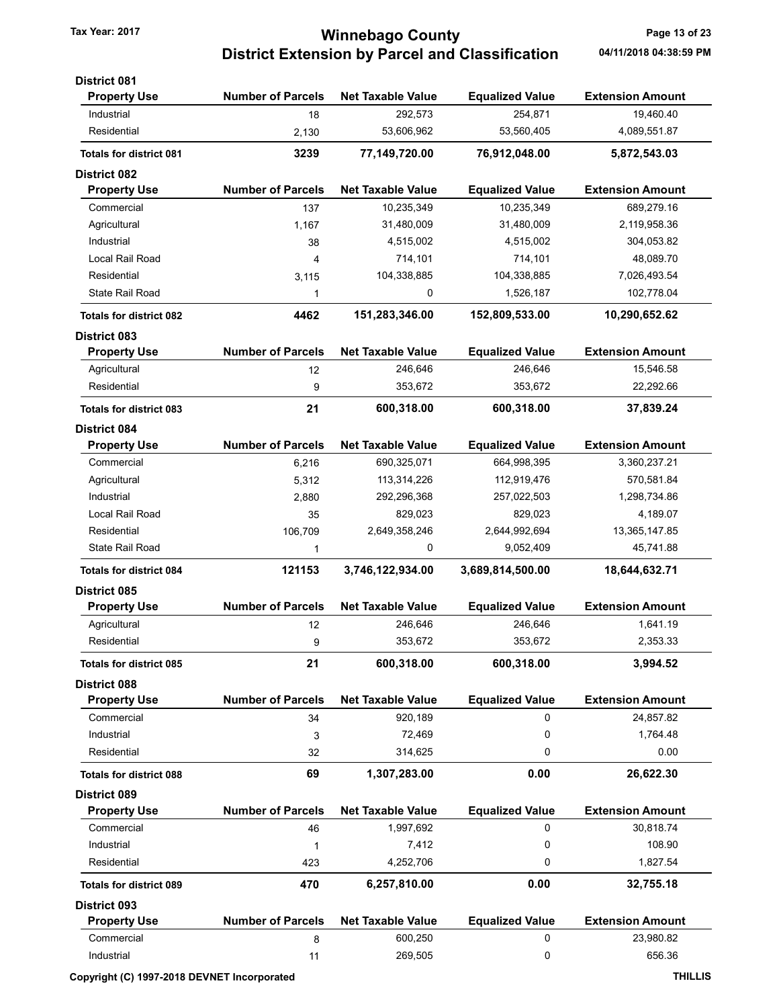# Tax Year: 2017 **Tax Year: 2017 Tax Year: 2017** Page 13 of 23 District Extension by Parcel and Classification 04/11/2018 04:38:59 PM

| <b>District 081</b>            |                          |                          |                        |                         |
|--------------------------------|--------------------------|--------------------------|------------------------|-------------------------|
| <b>Property Use</b>            | <b>Number of Parcels</b> | <b>Net Taxable Value</b> | <b>Equalized Value</b> | <b>Extension Amount</b> |
| Industrial                     | 18                       | 292,573                  | 254,871                | 19,460.40               |
| Residential                    | 2,130                    | 53,606,962               | 53,560,405             | 4,089,551.87            |
| <b>Totals for district 081</b> | 3239                     | 77,149,720.00            | 76,912,048.00          | 5,872,543.03            |
| <b>District 082</b>            |                          |                          |                        |                         |
| <b>Property Use</b>            | <b>Number of Parcels</b> | <b>Net Taxable Value</b> | <b>Equalized Value</b> | <b>Extension Amount</b> |
| Commercial                     | 137                      | 10,235,349               | 10,235,349             | 689,279.16              |
| Agricultural                   | 1,167                    | 31,480,009               | 31,480,009             | 2,119,958.36            |
| Industrial                     | 38                       | 4,515,002                | 4,515,002              | 304,053.82              |
| Local Rail Road                | 4                        | 714,101                  | 714,101                | 48,089.70               |
| Residential                    | 3,115                    | 104,338,885              | 104,338,885            | 7,026,493.54            |
| <b>State Rail Road</b>         | 1                        | 0                        | 1,526,187              | 102,778.04              |
| <b>Totals for district 082</b> | 4462                     | 151,283,346.00           | 152,809,533.00         | 10,290,652.62           |
| <b>District 083</b>            |                          |                          |                        |                         |
| <b>Property Use</b>            | <b>Number of Parcels</b> | <b>Net Taxable Value</b> | <b>Equalized Value</b> | <b>Extension Amount</b> |
| Agricultural                   | 12                       | 246,646                  | 246,646                | 15,546.58               |
| Residential                    | 9                        | 353,672                  | 353,672                | 22,292.66               |
| <b>Totals for district 083</b> | 21                       | 600,318.00               | 600,318.00             | 37,839.24               |
| <b>District 084</b>            |                          |                          |                        |                         |
| <b>Property Use</b>            | <b>Number of Parcels</b> | <b>Net Taxable Value</b> | <b>Equalized Value</b> | <b>Extension Amount</b> |
| Commercial                     | 6,216                    | 690,325,071              | 664,998,395            | 3,360,237.21            |
| Agricultural                   | 5,312                    | 113,314,226              | 112,919,476            | 570,581.84              |
| Industrial                     | 2,880                    | 292,296,368              | 257,022,503            | 1,298,734.86            |
| Local Rail Road                | 35                       | 829,023                  | 829,023                | 4,189.07                |
| Residential                    | 106,709                  | 2,649,358,246            | 2,644,992,694          | 13,365,147.85           |
| State Rail Road                | 1                        | 0                        | 9,052,409              | 45,741.88               |
| <b>Totals for district 084</b> | 121153                   | 3,746,122,934.00         | 3,689,814,500.00       | 18,644,632.71           |
| <b>District 085</b>            |                          |                          |                        |                         |
| <b>Property Use</b>            | <b>Number of Parcels</b> | <b>Net Taxable Value</b> | <b>Equalized Value</b> | <b>Extension Amount</b> |
| Agricultural                   | 12                       | 246,646                  | 246,646                | 1,641.19                |
| Residential                    | 9                        | 353,672                  | 353,672                | 2,353.33                |
| <b>Totals for district 085</b> | 21                       | 600,318.00               | 600,318.00             | 3,994.52                |
| <b>District 088</b>            |                          |                          |                        |                         |
| <b>Property Use</b>            | <b>Number of Parcels</b> | <b>Net Taxable Value</b> | <b>Equalized Value</b> | <b>Extension Amount</b> |
| Commercial                     | 34                       | 920,189                  | 0                      | 24,857.82               |
| Industrial                     | 3                        | 72,469                   | 0                      | 1,764.48                |
| Residential                    | 32                       | 314,625                  | 0                      | 0.00                    |
|                                |                          | 1,307,283.00             |                        |                         |
| <b>Totals for district 088</b> | 69                       |                          | 0.00                   | 26,622.30               |
| <b>District 089</b>            |                          |                          |                        |                         |
| <b>Property Use</b>            | <b>Number of Parcels</b> | <b>Net Taxable Value</b> | <b>Equalized Value</b> | <b>Extension Amount</b> |
| Commercial                     | 46                       | 1,997,692                | 0                      | 30,818.74               |
| Industrial                     | 1                        | 7,412                    | 0                      | 108.90                  |
| Residential                    | 423                      | 4,252,706                | 0                      | 1,827.54                |
| <b>Totals for district 089</b> | 470                      | 6,257,810.00             | 0.00                   | 32,755.18               |
| <b>District 093</b>            |                          |                          |                        |                         |
| <b>Property Use</b>            | <b>Number of Parcels</b> | <b>Net Taxable Value</b> | <b>Equalized Value</b> | <b>Extension Amount</b> |
| Commercial                     | 8                        | 600,250                  | 0                      | 23,980.82               |
| Industrial                     | 11                       | 269,505                  | 0                      | 656.36                  |

#### Copyright (C) 1997-2018 DEVNET Incorporated THILLIS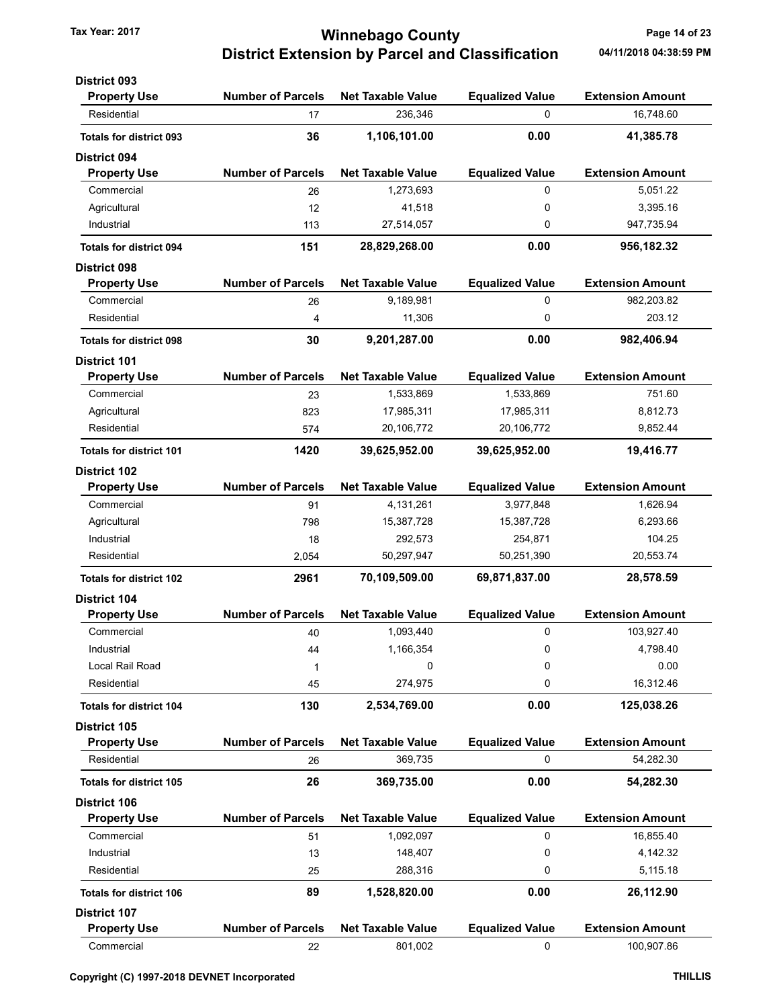# Tax Year: 2017 **Tax Year: 2017 Tax Year: 2017** Page 14 of 23 District Extension by Parcel and Classification 04/11/2018 04:38:59 PM

| <b>District 093</b>                        |                          |                          |                        |                         |
|--------------------------------------------|--------------------------|--------------------------|------------------------|-------------------------|
| <b>Property Use</b>                        | <b>Number of Parcels</b> | <b>Net Taxable Value</b> | <b>Equalized Value</b> | <b>Extension Amount</b> |
| Residential                                | 17                       | 236,346                  | 0                      | 16,748.60               |
| <b>Totals for district 093</b>             | 36                       | 1,106,101.00             | 0.00                   | 41,385.78               |
| <b>District 094</b>                        |                          |                          |                        |                         |
| <b>Property Use</b>                        | <b>Number of Parcels</b> | <b>Net Taxable Value</b> | <b>Equalized Value</b> | <b>Extension Amount</b> |
| Commercial                                 | 26                       | 1,273,693                | 0                      | 5,051.22                |
| Agricultural                               | 12                       | 41,518                   | 0                      | 3,395.16                |
| Industrial                                 | 113                      | 27,514,057               | 0                      | 947,735.94              |
| <b>Totals for district 094</b>             | 151                      | 28,829,268.00            | 0.00                   | 956,182.32              |
| <b>District 098</b>                        |                          |                          |                        |                         |
| <b>Property Use</b>                        | <b>Number of Parcels</b> | <b>Net Taxable Value</b> | <b>Equalized Value</b> | <b>Extension Amount</b> |
| Commercial                                 | 26                       | 9,189,981                | $\mathbf 0$            | 982,203.82              |
| Residential                                | 4                        | 11,306                   | 0                      | 203.12                  |
|                                            |                          |                          |                        |                         |
| <b>Totals for district 098</b>             | 30                       | 9,201,287.00             | 0.00                   | 982,406.94              |
| <b>District 101</b><br><b>Property Use</b> | <b>Number of Parcels</b> | <b>Net Taxable Value</b> | <b>Equalized Value</b> | <b>Extension Amount</b> |
| Commercial                                 | 23                       | 1,533,869                | 1,533,869              | 751.60                  |
|                                            |                          | 17,985,311               | 17,985,311             | 8,812.73                |
| Agricultural<br>Residential                | 823                      |                          |                        |                         |
|                                            | 574                      | 20,106,772               | 20,106,772             | 9,852.44                |
| <b>Totals for district 101</b>             | 1420                     | 39,625,952.00            | 39,625,952.00          | 19,416.77               |
| <b>District 102</b>                        | <b>Number of Parcels</b> | <b>Net Taxable Value</b> |                        |                         |
| <b>Property Use</b>                        |                          |                          | <b>Equalized Value</b> | <b>Extension Amount</b> |
| Commercial                                 | 91                       | 4,131,261                | 3,977,848              | 1,626.94                |
| Agricultural                               | 798                      | 15,387,728               | 15,387,728             | 6,293.66                |
| Industrial                                 | 18                       | 292,573                  | 254,871                | 104.25                  |
| Residential                                | 2,054                    | 50,297,947               | 50,251,390             | 20,553.74               |
| <b>Totals for district 102</b>             | 2961                     | 70,109,509.00            | 69,871,837.00          | 28,578.59               |
| <b>District 104</b>                        |                          |                          |                        |                         |
| <b>Property Use</b>                        | <b>Number of Parcels</b> | <b>Net Taxable Value</b> | <b>Equalized Value</b> | <b>Extension Amount</b> |
| Commercial                                 | 40                       | 1,093,440                | 0                      | 103,927.40              |
| Industrial                                 | 44                       | 1,166,354                | 0                      | 4,798.40                |
| Local Rail Road                            | 1                        | 0                        | 0                      | 0.00                    |
| Residential                                | 45                       | 274,975                  | 0                      | 16,312.46               |
| <b>Totals for district 104</b>             | 130                      | 2,534,769.00             | 0.00                   | 125,038.26              |
| District 105                               |                          |                          |                        |                         |
| <b>Property Use</b>                        | <b>Number of Parcels</b> | <b>Net Taxable Value</b> | <b>Equalized Value</b> | <b>Extension Amount</b> |
| Residential                                | 26                       | 369,735                  | 0                      | 54,282.30               |
| <b>Totals for district 105</b>             | 26                       | 369,735.00               | 0.00                   | 54,282.30               |
| <b>District 106</b>                        |                          |                          |                        |                         |
| <b>Property Use</b>                        | <b>Number of Parcels</b> | <b>Net Taxable Value</b> | <b>Equalized Value</b> | <b>Extension Amount</b> |
| Commercial                                 | 51                       | 1,092,097                | 0                      | 16,855.40               |
| Industrial                                 | 13                       | 148,407                  | 0                      | 4,142.32                |
| Residential                                | 25                       | 288,316                  | 0                      | 5,115.18                |
| <b>Totals for district 106</b>             | 89                       | 1,528,820.00             | 0.00                   | 26,112.90               |
| <b>District 107</b>                        |                          |                          |                        |                         |
| <b>Property Use</b>                        | <b>Number of Parcels</b> | <b>Net Taxable Value</b> | <b>Equalized Value</b> | <b>Extension Amount</b> |
| Commercial                                 | 22                       | 801,002                  | 0                      | 100,907.86              |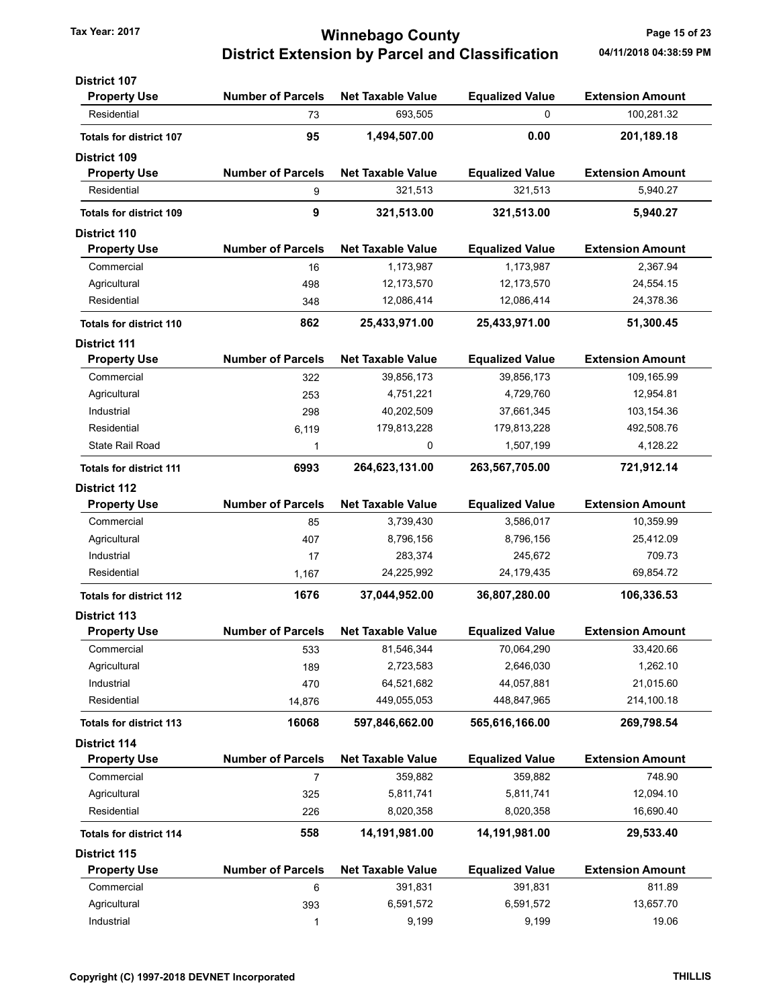## Tax Year: 2017 **Tax Year: 2017 Tax Year: 2017** Page 15 of 23 District Extension by Parcel and Classification 04/11/2018 04:38:59 PM

| <b>District 107</b>            |                          |                          |                        |                         |
|--------------------------------|--------------------------|--------------------------|------------------------|-------------------------|
| <b>Property Use</b>            | <b>Number of Parcels</b> | <b>Net Taxable Value</b> | <b>Equalized Value</b> | <b>Extension Amount</b> |
| Residential                    | 73                       | 693,505                  | 0                      | 100,281.32              |
| <b>Totals for district 107</b> | 95                       | 1,494,507.00             | 0.00                   | 201,189.18              |
| <b>District 109</b>            |                          |                          |                        |                         |
| <b>Property Use</b>            | <b>Number of Parcels</b> | <b>Net Taxable Value</b> | <b>Equalized Value</b> | <b>Extension Amount</b> |
| Residential                    | 9                        | 321,513                  | 321,513                | 5,940.27                |
| <b>Totals for district 109</b> | 9                        | 321,513.00               | 321,513.00             | 5,940.27                |
| <b>District 110</b>            |                          |                          |                        |                         |
| <b>Property Use</b>            | <b>Number of Parcels</b> | <b>Net Taxable Value</b> | <b>Equalized Value</b> | <b>Extension Amount</b> |
| Commercial                     | 16                       | 1,173,987                | 1,173,987              | 2,367.94                |
| Agricultural                   | 498                      | 12,173,570               | 12,173,570             | 24,554.15               |
| Residential                    | 348                      | 12,086,414               | 12,086,414             | 24,378.36               |
| <b>Totals for district 110</b> | 862                      | 25,433,971.00            | 25,433,971.00          | 51,300.45               |
| <b>District 111</b>            |                          |                          |                        |                         |
| <b>Property Use</b>            | <b>Number of Parcels</b> | <b>Net Taxable Value</b> | <b>Equalized Value</b> | <b>Extension Amount</b> |
| Commercial                     | 322                      | 39,856,173               | 39,856,173             | 109,165.99              |
| Agricultural                   | 253                      | 4,751,221                | 4,729,760              | 12,954.81               |
| Industrial                     | 298                      | 40,202,509               | 37,661,345             | 103,154.36              |
| Residential                    | 6,119                    | 179,813,228              | 179,813,228            | 492,508.76              |
| State Rail Road                | 1                        | 0                        | 1,507,199              | 4,128.22                |
| <b>Totals for district 111</b> | 6993                     | 264,623,131.00           | 263,567,705.00         | 721,912.14              |
| <b>District 112</b>            |                          |                          |                        |                         |
| <b>Property Use</b>            | <b>Number of Parcels</b> | <b>Net Taxable Value</b> | <b>Equalized Value</b> | <b>Extension Amount</b> |
| Commercial                     | 85                       | 3,739,430                | 3,586,017              | 10,359.99               |
| Agricultural                   | 407                      | 8,796,156                | 8,796,156              | 25,412.09               |
| Industrial                     | 17                       | 283,374                  | 245,672                | 709.73                  |
| Residential                    | 1,167                    | 24,225,992               | 24,179,435             | 69,854.72               |
| <b>Totals for district 112</b> | 1676                     | 37,044,952.00            | 36,807,280.00          | 106,336.53              |
| <b>District 113</b>            |                          |                          |                        |                         |
| <b>Property Use</b>            | <b>Number of Parcels</b> | <b>Net Taxable Value</b> | <b>Equalized Value</b> | <b>Extension Amount</b> |
| Commercial                     | 533                      | 81,546,344               | 70,064,290             | 33,420.66               |
| Agricultural                   | 189                      | 2,723,583                | 2,646,030              | 1,262.10                |
| Industrial                     | 470                      | 64,521,682               | 44,057,881             | 21,015.60               |
| Residential                    | 14,876                   | 449,055,053              | 448,847,965            | 214,100.18              |
| <b>Totals for district 113</b> | 16068                    | 597,846,662.00           | 565,616,166.00         | 269,798.54              |
| <b>District 114</b>            |                          |                          |                        |                         |
| <b>Property Use</b>            | <b>Number of Parcels</b> | <b>Net Taxable Value</b> | <b>Equalized Value</b> | <b>Extension Amount</b> |
| Commercial                     | 7                        | 359,882                  | 359,882                | 748.90                  |
| Agricultural                   | 325                      | 5,811,741                | 5,811,741              | 12,094.10               |
| Residential                    | 226                      | 8,020,358                | 8,020,358              | 16,690.40               |
| <b>Totals for district 114</b> | 558                      | 14,191,981.00            | 14,191,981.00          | 29,533.40               |
| <b>District 115</b>            |                          |                          |                        |                         |
| <b>Property Use</b>            | <b>Number of Parcels</b> | <b>Net Taxable Value</b> | <b>Equalized Value</b> | <b>Extension Amount</b> |
| Commercial                     | 6                        | 391,831                  | 391,831                | 811.89                  |
| Agricultural                   | 393                      | 6,591,572                | 6,591,572              | 13,657.70               |
| Industrial                     | 1                        | 9,199                    | 9,199                  | 19.06                   |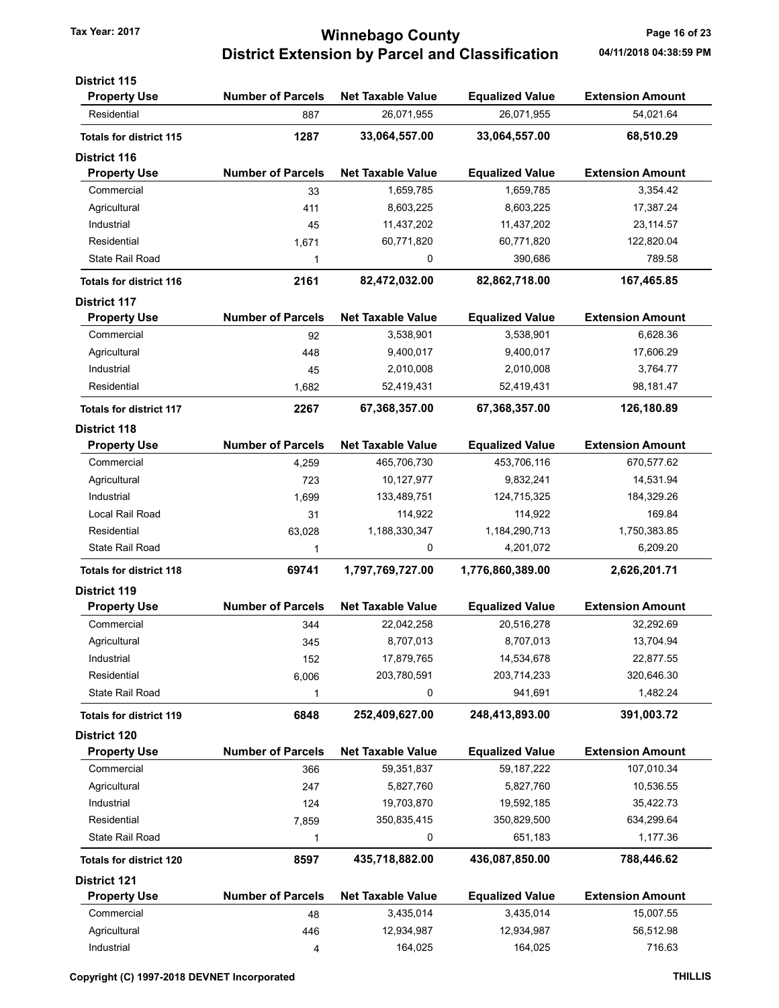# Tax Year: 2017 **Tax Year: 2017 Tax Year: 2017** Page 16 of 23 District Extension by Parcel and Classification 04/11/2018 04:38:59 PM

| <b>District 115</b>                        |                          |                          |                        |                         |
|--------------------------------------------|--------------------------|--------------------------|------------------------|-------------------------|
| <b>Property Use</b>                        | <b>Number of Parcels</b> | <b>Net Taxable Value</b> | <b>Equalized Value</b> | <b>Extension Amount</b> |
| Residential                                | 887                      | 26,071,955               | 26,071,955             | 54,021.64               |
| <b>Totals for district 115</b>             | 1287                     | 33,064,557.00            | 33,064,557.00          | 68,510.29               |
| <b>District 116</b>                        |                          |                          |                        |                         |
| <b>Property Use</b>                        | <b>Number of Parcels</b> | <b>Net Taxable Value</b> | <b>Equalized Value</b> | <b>Extension Amount</b> |
| Commercial                                 | 33                       | 1,659,785                | 1,659,785              | 3,354.42                |
| Agricultural                               | 411                      | 8,603,225                | 8,603,225              | 17,387.24               |
| Industrial                                 | 45                       | 11,437,202               | 11,437,202             | 23, 114.57              |
| Residential                                | 1,671                    | 60,771,820               | 60,771,820             | 122,820.04              |
| State Rail Road                            | 1                        | 0                        | 390,686                | 789.58                  |
| <b>Totals for district 116</b>             | 2161                     | 82,472,032.00            | 82,862,718.00          | 167,465.85              |
| <b>District 117</b>                        |                          |                          |                        |                         |
| <b>Property Use</b>                        | <b>Number of Parcels</b> | <b>Net Taxable Value</b> | <b>Equalized Value</b> | <b>Extension Amount</b> |
| Commercial                                 | 92                       | 3,538,901                | 3,538,901              | 6,628.36                |
| Agricultural                               | 448                      | 9,400,017                | 9,400,017              | 17,606.29               |
| Industrial                                 | 45                       | 2,010,008                | 2,010,008              | 3,764.77                |
| Residential                                | 1,682                    | 52,419,431               | 52,419,431             | 98,181.47               |
|                                            |                          |                          | 67,368,357.00          | 126,180.89              |
| <b>Totals for district 117</b>             | 2267                     | 67,368,357.00            |                        |                         |
| <b>District 118</b><br><b>Property Use</b> | <b>Number of Parcels</b> | <b>Net Taxable Value</b> | <b>Equalized Value</b> | <b>Extension Amount</b> |
| Commercial                                 | 4,259                    | 465,706,730              | 453,706,116            | 670,577.62              |
| Agricultural                               | 723                      | 10,127,977               | 9,832,241              | 14,531.94               |
| Industrial                                 | 1,699                    | 133,489,751              | 124,715,325            | 184,329.26              |
| Local Rail Road                            | 31                       | 114,922                  | 114,922                | 169.84                  |
| Residential                                | 63,028                   | 1,188,330,347            | 1,184,290,713          | 1,750,383.85            |
| <b>State Rail Road</b>                     | 1                        | 0                        | 4,201,072              | 6,209.20                |
| <b>Totals for district 118</b>             | 69741                    | 1,797,769,727.00         | 1,776,860,389.00       | 2,626,201.71            |
|                                            |                          |                          |                        |                         |
| <b>District 119</b>                        | <b>Number of Parcels</b> | <b>Net Taxable Value</b> | <b>Equalized Value</b> | <b>Extension Amount</b> |
| <b>Property Use</b><br>Commercial          |                          | 22,042,258               |                        | 32,292.69               |
|                                            | 344                      |                          | 20,516,278             |                         |
| Agricultural                               | 345                      | 8,707,013                | 8,707,013              | 13,704.94               |
| Industrial                                 | 152                      | 17,879,765               | 14,534,678             | 22,877.55               |
| Residential                                | 6,006                    | 203,780,591              | 203,714,233            | 320,646.30              |
| State Rail Road                            | 1                        | 0                        | 941,691                | 1,482.24                |
| <b>Totals for district 119</b>             | 6848                     | 252,409,627.00           | 248,413,893.00         | 391,003.72              |
| <b>District 120</b>                        |                          |                          |                        |                         |
| <b>Property Use</b>                        | <b>Number of Parcels</b> | <b>Net Taxable Value</b> | <b>Equalized Value</b> | <b>Extension Amount</b> |
| Commercial                                 | 366                      | 59,351,837               | 59, 187, 222           | 107,010.34              |
| Agricultural                               | 247                      | 5,827,760                | 5,827,760              | 10,536.55               |
| Industrial                                 | 124                      | 19,703,870               | 19,592,185             | 35,422.73               |
| Residential                                | 7,859                    | 350,835,415              | 350,829,500            | 634,299.64              |
| State Rail Road                            | 1                        | 0                        | 651,183                | 1,177.36                |
| <b>Totals for district 120</b>             | 8597                     | 435,718,882.00           | 436,087,850.00         | 788,446.62              |
| <b>District 121</b>                        |                          |                          |                        |                         |
| <b>Property Use</b>                        | <b>Number of Parcels</b> | <b>Net Taxable Value</b> | <b>Equalized Value</b> | <b>Extension Amount</b> |
| Commercial                                 | 48                       | 3,435,014                | 3,435,014              | 15,007.55               |
| Agricultural                               | 446                      | 12,934,987               | 12,934,987             | 56,512.98               |
| Industrial                                 | 4                        | 164,025                  | 164,025                | 716.63                  |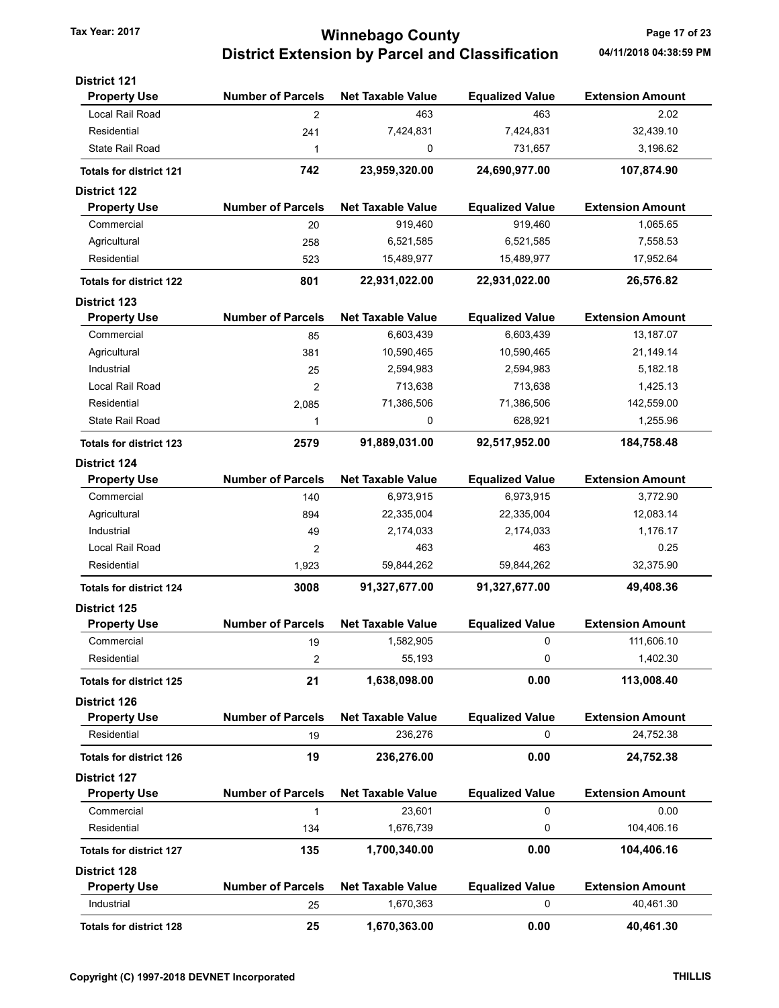# Tax Year: 2017 **Tax Year: 2017 Tax Year: 2017 Page 17 of 23** District Extension by Parcel and Classification 04/11/2018 04:38:59 PM

| <b>District 121</b>            |                          |                          |                        |                         |
|--------------------------------|--------------------------|--------------------------|------------------------|-------------------------|
| <b>Property Use</b>            | <b>Number of Parcels</b> | <b>Net Taxable Value</b> | <b>Equalized Value</b> | <b>Extension Amount</b> |
| Local Rail Road                | $\overline{2}$           | 463                      | 463                    | 2.02                    |
| Residential                    | 241                      | 7,424,831                | 7,424,831              | 32,439.10               |
| <b>State Rail Road</b>         | 1                        | 0                        | 731,657                | 3,196.62                |
| <b>Totals for district 121</b> | 742                      | 23,959,320.00            | 24,690,977.00          | 107,874.90              |
| <b>District 122</b>            |                          |                          |                        |                         |
| <b>Property Use</b>            | <b>Number of Parcels</b> | <b>Net Taxable Value</b> | <b>Equalized Value</b> | <b>Extension Amount</b> |
| Commercial                     | 20                       | 919,460                  | 919,460                | 1,065.65                |
| Agricultural                   | 258                      | 6,521,585                | 6,521,585              | 7,558.53                |
| Residential                    | 523                      | 15,489,977               | 15,489,977             | 17,952.64               |
| <b>Totals for district 122</b> | 801                      | 22,931,022.00            | 22,931,022.00          | 26,576.82               |
| <b>District 123</b>            |                          |                          |                        |                         |
| <b>Property Use</b>            | <b>Number of Parcels</b> | <b>Net Taxable Value</b> | <b>Equalized Value</b> | <b>Extension Amount</b> |
| Commercial                     | 85                       | 6,603,439                | 6,603,439              | 13,187.07               |
| Agricultural                   | 381                      | 10,590,465               | 10,590,465             | 21,149.14               |
| Industrial                     | 25                       | 2,594,983                | 2,594,983              | 5,182.18                |
| Local Rail Road                | 2                        | 713,638                  | 713,638                | 1,425.13                |
| Residential                    | 2,085                    | 71,386,506               | 71,386,506             | 142,559.00              |
| State Rail Road                | 1                        | 0                        | 628,921                | 1,255.96                |
| <b>Totals for district 123</b> | 2579                     | 91,889,031.00            | 92,517,952.00          | 184,758.48              |
| <b>District 124</b>            |                          |                          |                        |                         |
| <b>Property Use</b>            | <b>Number of Parcels</b> | <b>Net Taxable Value</b> | <b>Equalized Value</b> | <b>Extension Amount</b> |
| Commercial                     | 140                      | 6,973,915                | 6,973,915              | 3,772.90                |
| Agricultural                   | 894                      | 22,335,004               | 22,335,004             | 12,083.14               |
| Industrial                     | 49                       | 2,174,033                | 2,174,033              | 1,176.17                |
| Local Rail Road                | 2                        | 463                      | 463                    | 0.25                    |
| Residential                    | 1,923                    | 59,844,262               | 59,844,262             | 32,375.90               |
| <b>Totals for district 124</b> | 3008                     | 91,327,677.00            | 91,327,677.00          | 49,408.36               |
| <b>District 125</b>            |                          |                          |                        |                         |
| <b>Property Use</b>            | <b>Number of Parcels</b> | <b>Net Taxable Value</b> | <b>Equalized Value</b> | <b>Extension Amount</b> |
| Commercial                     | 19                       | 1,582,905                | 0                      | 111,606.10              |
| Residential                    | 2                        | 55,193                   | 0                      | 1,402.30                |
| <b>Totals for district 125</b> | 21                       | 1,638,098.00             | 0.00                   | 113,008.40              |
| <b>District 126</b>            |                          |                          |                        |                         |
| <b>Property Use</b>            | <b>Number of Parcels</b> | <b>Net Taxable Value</b> | <b>Equalized Value</b> | <b>Extension Amount</b> |
| Residential                    | 19                       | 236,276                  | 0                      | 24,752.38               |
| <b>Totals for district 126</b> | 19                       | 236,276.00               | 0.00                   | 24,752.38               |
| <b>District 127</b>            |                          |                          |                        |                         |
| <b>Property Use</b>            | <b>Number of Parcels</b> | <b>Net Taxable Value</b> | <b>Equalized Value</b> | <b>Extension Amount</b> |
| Commercial                     | 1                        | 23,601                   | 0                      | 0.00                    |
| Residential                    | 134                      | 1,676,739                | 0                      | 104,406.16              |
| <b>Totals for district 127</b> | 135                      | 1,700,340.00             | 0.00                   | 104,406.16              |
| <b>District 128</b>            |                          |                          |                        |                         |
| <b>Property Use</b>            | <b>Number of Parcels</b> | <b>Net Taxable Value</b> | <b>Equalized Value</b> | <b>Extension Amount</b> |
| Industrial                     | 25                       | 1,670,363                | 0                      | 40,461.30               |
| <b>Totals for district 128</b> | 25                       | 1,670,363.00             | 0.00                   | 40,461.30               |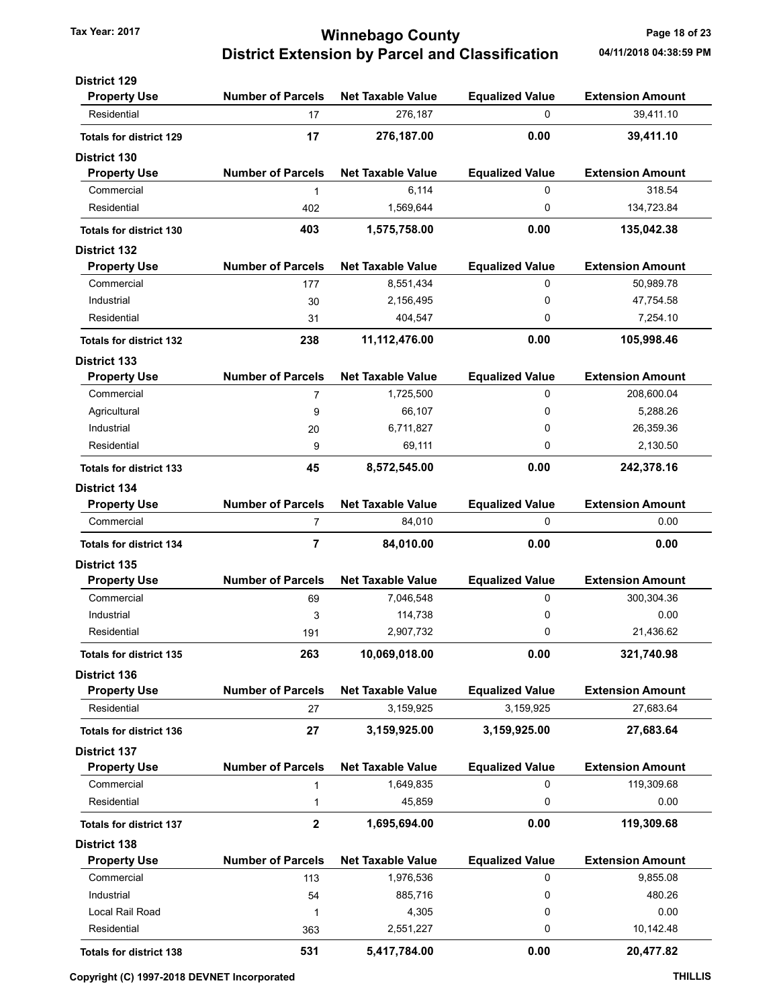# Tax Year: 2017 **Tax Year: 2017 Tax Year: 2017** Page 18 of 23 District Extension by Parcel and Classification 04/11/2018 04:38:59 PM

| <b>District 129</b>                        |                          |                          |                        |                         |
|--------------------------------------------|--------------------------|--------------------------|------------------------|-------------------------|
| <b>Property Use</b>                        | <b>Number of Parcels</b> | <b>Net Taxable Value</b> | <b>Equalized Value</b> | <b>Extension Amount</b> |
| Residential                                | 17                       | 276,187                  | 0                      | 39,411.10               |
| <b>Totals for district 129</b>             | 17                       | 276,187.00               | 0.00                   | 39,411.10               |
| District 130                               |                          |                          |                        |                         |
| <b>Property Use</b>                        | <b>Number of Parcels</b> | <b>Net Taxable Value</b> | <b>Equalized Value</b> | <b>Extension Amount</b> |
| Commercial                                 | 1                        | 6,114                    | 0                      | 318.54                  |
| Residential                                | 402                      | 1,569,644                | 0                      | 134,723.84              |
| <b>Totals for district 130</b>             | 403                      | 1,575,758.00             | 0.00                   | 135,042.38              |
| <b>District 132</b>                        |                          |                          |                        |                         |
| <b>Property Use</b>                        | <b>Number of Parcels</b> | <b>Net Taxable Value</b> | <b>Equalized Value</b> | <b>Extension Amount</b> |
| Commercial                                 | 177                      | 8,551,434                | 0                      | 50,989.78               |
| Industrial                                 |                          | 2,156,495                | 0                      | 47,754.58               |
| Residential                                | 30                       |                          | 0                      |                         |
|                                            | 31                       | 404,547                  |                        | 7,254.10                |
| <b>Totals for district 132</b>             | 238                      | 11,112,476.00            | 0.00                   | 105,998.46              |
| <b>District 133</b><br><b>Property Use</b> | <b>Number of Parcels</b> | <b>Net Taxable Value</b> | <b>Equalized Value</b> | <b>Extension Amount</b> |
| Commercial                                 |                          | 1,725,500                | 0                      | 208,600.04              |
|                                            | 7                        | 66,107                   | 0                      | 5,288.26                |
| Agricultural<br>Industrial                 | 9                        |                          |                        |                         |
|                                            | 20                       | 6,711,827                | 0                      | 26,359.36               |
| Residential                                | 9                        | 69,111                   | 0                      | 2,130.50                |
| <b>Totals for district 133</b>             | 45                       | 8,572,545.00             | 0.00                   | 242,378.16              |
| <b>District 134</b>                        |                          |                          |                        |                         |
| <b>Property Use</b>                        | <b>Number of Parcels</b> | <b>Net Taxable Value</b> | <b>Equalized Value</b> | <b>Extension Amount</b> |
| Commercial                                 | $\overline{7}$           | 84,010                   | 0                      | 0.00                    |
| <b>Totals for district 134</b>             | $\overline{7}$           | 84,010.00                | 0.00                   | 0.00                    |
| <b>District 135</b>                        |                          |                          |                        |                         |
| <b>Property Use</b>                        | <b>Number of Parcels</b> | <b>Net Taxable Value</b> | <b>Equalized Value</b> | <b>Extension Amount</b> |
| Commercial                                 | 69                       | 7,046,548                | 0                      | 300,304.36              |
| Industrial                                 | 3                        | 114,738                  | 0                      | 0.00                    |
| Residential                                | 191                      | 2,907,732                | 0                      | 21,436.62               |
| <b>Totals for district 135</b>             | 263                      | 10,069,018.00            | 0.00                   | 321,740.98              |
| <b>District 136</b>                        |                          |                          |                        |                         |
| <b>Property Use</b>                        | <b>Number of Parcels</b> | <b>Net Taxable Value</b> | <b>Equalized Value</b> | <b>Extension Amount</b> |
| Residential                                | 27                       | 3,159,925                | 3,159,925              | 27,683.64               |
| <b>Totals for district 136</b>             | 27                       | 3,159,925.00             | 3,159,925.00           | 27,683.64               |
| <b>District 137</b>                        |                          |                          |                        |                         |
| <b>Property Use</b>                        | <b>Number of Parcels</b> | <b>Net Taxable Value</b> | <b>Equalized Value</b> | <b>Extension Amount</b> |
| Commercial                                 | 1                        | 1,649,835                | 0                      | 119,309.68              |
| Residential                                | 1                        | 45,859                   | 0                      | 0.00                    |
| <b>Totals for district 137</b>             | $\boldsymbol{2}$         | 1,695,694.00             | 0.00                   | 119,309.68              |
| <b>District 138</b>                        |                          |                          |                        |                         |
| <b>Property Use</b>                        | <b>Number of Parcels</b> | <b>Net Taxable Value</b> | <b>Equalized Value</b> | <b>Extension Amount</b> |
| Commercial                                 | 113                      | 1,976,536                | 0                      | 9,855.08                |
| Industrial                                 | 54                       | 885,716                  | 0                      | 480.26                  |
| Local Rail Road                            | 1                        | 4,305                    | 0                      | 0.00                    |
| Residential                                | 363                      | 2,551,227                | 0                      | 10,142.48               |
|                                            |                          |                          |                        |                         |
| <b>Totals for district 138</b>             | 531                      | 5,417,784.00             | 0.00                   | 20,477.82               |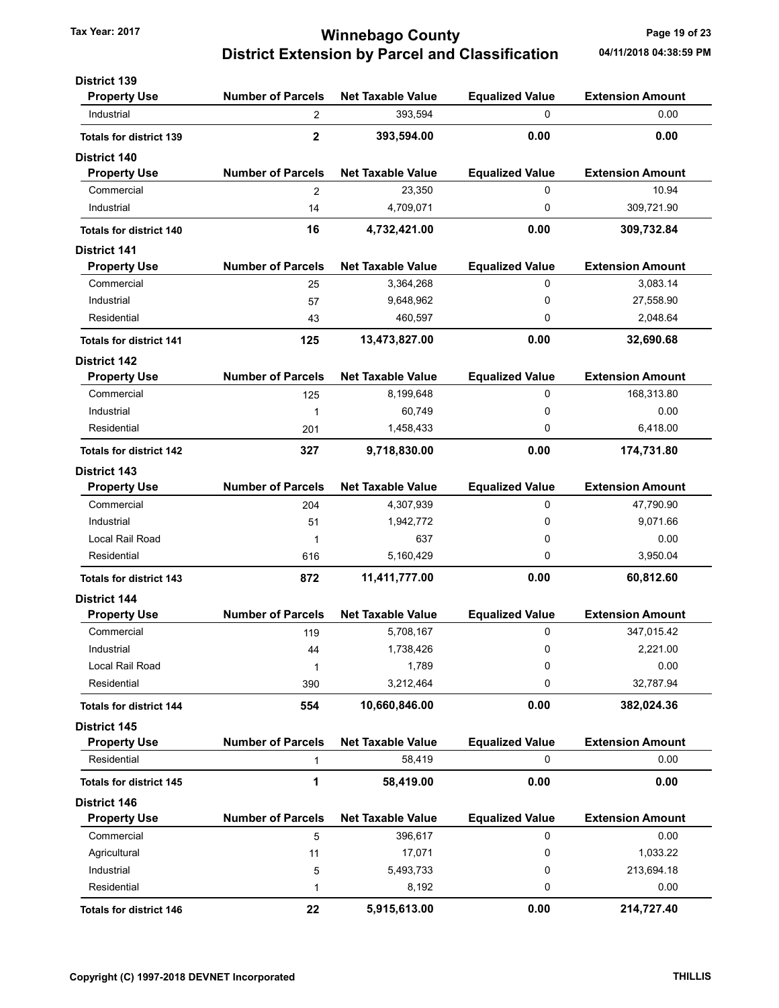# Tax Year: 2017 **Ninnebago County Tax Year: 2017** Page 19 of 23 District Extension by Parcel and Classification 04/11/2018 04:38:59 PM

| <b>District 139</b>            |                          |                          |                        |                         |
|--------------------------------|--------------------------|--------------------------|------------------------|-------------------------|
| <b>Property Use</b>            | <b>Number of Parcels</b> | <b>Net Taxable Value</b> | <b>Equalized Value</b> | <b>Extension Amount</b> |
| Industrial                     | $\overline{2}$           | 393,594                  | 0                      | 0.00                    |
| <b>Totals for district 139</b> | $\mathbf 2$              | 393,594.00               | 0.00                   | 0.00                    |
| <b>District 140</b>            |                          |                          |                        |                         |
| <b>Property Use</b>            | <b>Number of Parcels</b> | <b>Net Taxable Value</b> | <b>Equalized Value</b> | <b>Extension Amount</b> |
| Commercial                     | $\overline{2}$           | 23,350                   | 0                      | 10.94                   |
| Industrial                     | 14                       | 4,709,071                | 0                      | 309,721.90              |
| <b>Totals for district 140</b> | 16                       | 4,732,421.00             | 0.00                   | 309,732.84              |
| <b>District 141</b>            |                          |                          |                        |                         |
| <b>Property Use</b>            | <b>Number of Parcels</b> | <b>Net Taxable Value</b> | <b>Equalized Value</b> | <b>Extension Amount</b> |
| Commercial                     | 25                       | 3,364,268                | 0                      | 3,083.14                |
| Industrial                     | 57                       | 9,648,962                | 0                      | 27,558.90               |
| Residential                    | 43                       | 460,597                  | 0                      | 2,048.64                |
| <b>Totals for district 141</b> | 125                      | 13,473,827.00            | 0.00                   | 32,690.68               |
| <b>District 142</b>            |                          |                          |                        |                         |
| <b>Property Use</b>            | <b>Number of Parcels</b> | <b>Net Taxable Value</b> | <b>Equalized Value</b> | <b>Extension Amount</b> |
| Commercial                     | 125                      | 8,199,648                | 0                      | 168,313.80              |
| Industrial                     | 1                        | 60,749                   | 0                      | 0.00                    |
| Residential                    | 201                      | 1,458,433                | 0                      | 6,418.00                |
| <b>Totals for district 142</b> | 327                      | 9,718,830.00             | 0.00                   | 174,731.80              |
| <b>District 143</b>            |                          |                          |                        |                         |
| <b>Property Use</b>            | <b>Number of Parcels</b> | <b>Net Taxable Value</b> | <b>Equalized Value</b> | <b>Extension Amount</b> |
| Commercial                     | 204                      | 4,307,939                | 0                      | 47,790.90               |
| Industrial                     | 51                       | 1,942,772                | 0                      | 9,071.66                |
| Local Rail Road                | 1                        | 637                      | 0                      | 0.00                    |
| Residential                    | 616                      | 5,160,429                | 0                      | 3,950.04                |
| <b>Totals for district 143</b> | 872                      | 11,411,777.00            | 0.00                   | 60,812.60               |
| <b>District 144</b>            |                          |                          |                        |                         |
| <b>Property Use</b>            | <b>Number of Parcels</b> | <b>Net Taxable Value</b> | <b>Equalized Value</b> | <b>Extension Amount</b> |
| Commercial                     | 119                      | 5,708,167                | 0                      | 347,015.42              |
| Industrial                     | 44                       | 1,738,426                | 0                      | 2,221.00                |
| Local Rail Road                | 1                        | 1,789                    | 0                      | 0.00                    |
| Residential                    | 390                      | 3,212,464                | 0                      | 32,787.94               |
| <b>Totals for district 144</b> | 554                      | 10,660,846.00            | 0.00                   | 382,024.36              |
| <b>District 145</b>            |                          |                          |                        |                         |
| <b>Property Use</b>            | <b>Number of Parcels</b> | <b>Net Taxable Value</b> | <b>Equalized Value</b> | <b>Extension Amount</b> |
| Residential                    | $\mathbf{1}$             | 58,419                   | 0                      | 0.00                    |
| <b>Totals for district 145</b> | 1                        | 58,419.00                | 0.00                   | 0.00                    |
| <b>District 146</b>            |                          |                          |                        |                         |
| <b>Property Use</b>            | <b>Number of Parcels</b> | <b>Net Taxable Value</b> | <b>Equalized Value</b> | <b>Extension Amount</b> |
| Commercial                     | 5                        | 396,617                  | 0                      | 0.00                    |
| Agricultural                   | 11                       | 17,071                   | 0                      | 1,033.22                |
| Industrial                     | 5                        | 5,493,733                | 0                      | 213,694.18              |
| Residential                    | 1                        | 8,192                    | 0                      | 0.00                    |
| <b>Totals for district 146</b> |                          |                          | 0.00                   |                         |
|                                | 22                       | 5,915,613.00             |                        | 214,727.40              |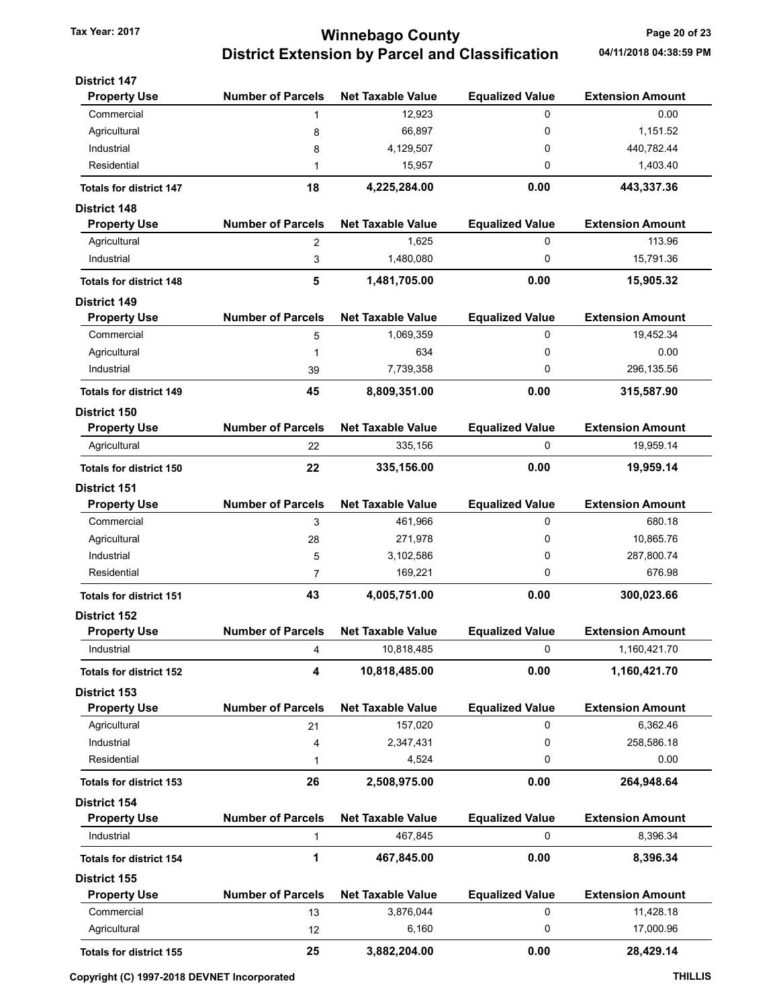# Tax Year: 2017 **Tax Year: 2017** Page 20 of 23 District Extension by Parcel and Classification 04/11/2018 04:38:59 PM

| <b>District 147</b>            |                          |                          |                        |                         |
|--------------------------------|--------------------------|--------------------------|------------------------|-------------------------|
| <b>Property Use</b>            | <b>Number of Parcels</b> | <b>Net Taxable Value</b> | <b>Equalized Value</b> | <b>Extension Amount</b> |
| Commercial                     | $\mathbf{1}$             | 12,923                   | 0                      | 0.00                    |
| Agricultural                   | 8                        | 66,897                   | 0                      | 1,151.52                |
| Industrial                     | 8                        | 4,129,507                | 0                      | 440,782.44              |
| Residential                    | 1                        | 15,957                   | 0                      | 1,403.40                |
| <b>Totals for district 147</b> | 18                       | 4,225,284.00             | 0.00                   | 443,337.36              |
| <b>District 148</b>            |                          |                          |                        |                         |
| <b>Property Use</b>            | <b>Number of Parcels</b> | <b>Net Taxable Value</b> | <b>Equalized Value</b> | <b>Extension Amount</b> |
| Agricultural                   | 2                        | 1,625                    | 0                      | 113.96                  |
| Industrial                     | 3                        | 1,480,080                | 0                      | 15,791.36               |
| <b>Totals for district 148</b> | 5                        | 1,481,705.00             | 0.00                   | 15,905.32               |
| <b>District 149</b>            |                          |                          |                        |                         |
| <b>Property Use</b>            | <b>Number of Parcels</b> | <b>Net Taxable Value</b> | <b>Equalized Value</b> | <b>Extension Amount</b> |
| Commercial                     | 5                        | 1,069,359                | 0                      | 19,452.34               |
| Agricultural                   | 1                        | 634                      | 0                      | 0.00                    |
| Industrial                     | 39                       | 7,739,358                | 0                      | 296, 135.56             |
| <b>Totals for district 149</b> | 45                       | 8,809,351.00             | 0.00                   | 315,587.90              |
| <b>District 150</b>            |                          |                          |                        |                         |
| <b>Property Use</b>            | <b>Number of Parcels</b> | <b>Net Taxable Value</b> | <b>Equalized Value</b> | <b>Extension Amount</b> |
| Agricultural                   | 22                       | 335,156                  | 0                      | 19,959.14               |
| <b>Totals for district 150</b> | 22                       | 335,156.00               | 0.00                   | 19,959.14               |
| <b>District 151</b>            |                          |                          |                        |                         |
| <b>Property Use</b>            | <b>Number of Parcels</b> | <b>Net Taxable Value</b> | <b>Equalized Value</b> | <b>Extension Amount</b> |
| Commercial                     | 3                        | 461,966                  | 0                      | 680.18                  |
| Agricultural                   | 28                       | 271,978                  | 0                      | 10,865.76               |
| Industrial                     | 5                        | 3,102,586                | 0                      | 287,800.74              |
| Residential                    | 7                        | 169,221                  | 0                      | 676.98                  |
| <b>Totals for district 151</b> | 43                       | 4,005,751.00             | 0.00                   | 300,023.66              |
| District 152                   |                          |                          |                        |                         |
| <b>Property Use</b>            | <b>Number of Parcels</b> | <b>Net Taxable Value</b> | <b>Equalized Value</b> | <b>Extension Amount</b> |
| Industrial                     | 4                        | 10,818,485               | 0                      | 1,160,421.70            |
| <b>Totals for district 152</b> | 4                        | 10,818,485.00            | 0.00                   | 1,160,421.70            |
| <b>District 153</b>            |                          |                          |                        |                         |
| <b>Property Use</b>            | <b>Number of Parcels</b> | <b>Net Taxable Value</b> | <b>Equalized Value</b> | <b>Extension Amount</b> |
| Agricultural                   | 21                       | 157,020                  | 0                      | 6,362.46                |
| Industrial                     | 4                        | 2,347,431                | 0                      | 258,586.18              |
| Residential                    | 1                        | 4,524                    | 0                      | 0.00                    |
| <b>Totals for district 153</b> | 26                       | 2,508,975.00             | 0.00                   | 264,948.64              |
| <b>District 154</b>            |                          |                          |                        |                         |
| <b>Property Use</b>            | <b>Number of Parcels</b> | <b>Net Taxable Value</b> | <b>Equalized Value</b> | <b>Extension Amount</b> |
| Industrial                     | 1                        | 467,845                  | 0                      | 8,396.34                |
| <b>Totals for district 154</b> | 1                        | 467,845.00               | 0.00                   | 8,396.34                |
| <b>District 155</b>            |                          |                          |                        |                         |
| <b>Property Use</b>            | <b>Number of Parcels</b> | <b>Net Taxable Value</b> | <b>Equalized Value</b> | <b>Extension Amount</b> |
| Commercial                     | 13                       | 3,876,044                | 0                      | 11,428.18               |
| Agricultural                   | 12                       | 6,160                    | 0                      | 17,000.96               |
| <b>Totals for district 155</b> | 25                       | 3,882,204.00             | 0.00                   | 28,429.14               |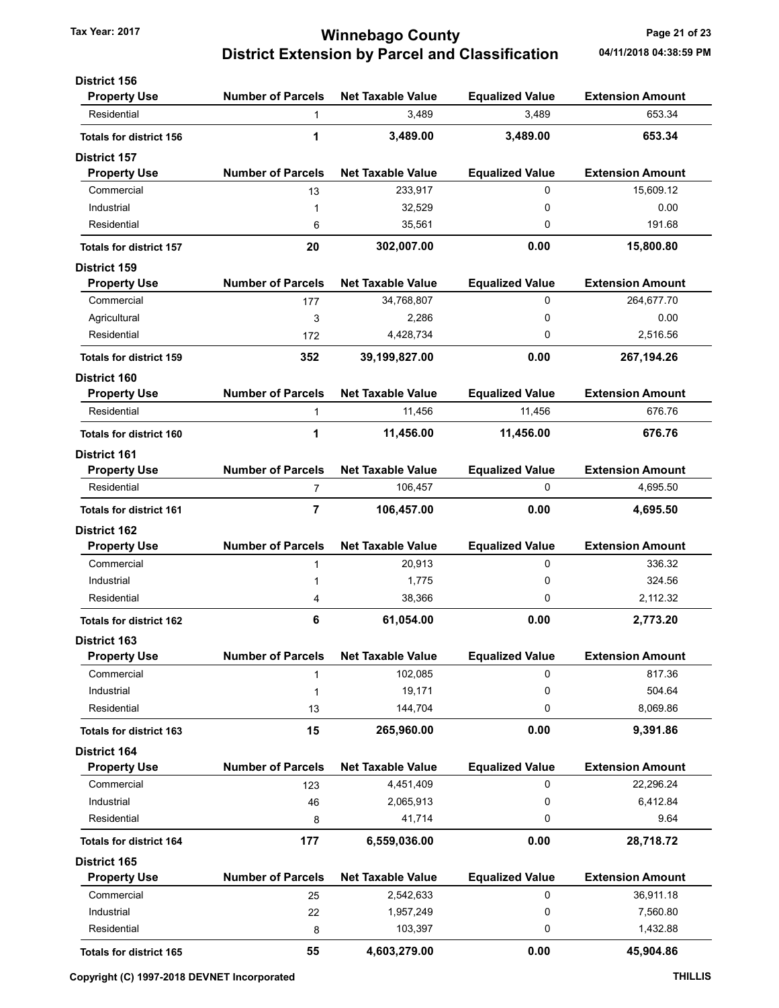# Tax Year: 2017 **Tax Year: 2017 Tax Year: 2017** Page 21 of 23 District Extension by Parcel and Classification 04/11/2018 04:38:59 PM

| <b>District 156</b>            |                          |                          |                        |                         |
|--------------------------------|--------------------------|--------------------------|------------------------|-------------------------|
| <b>Property Use</b>            | <b>Number of Parcels</b> | <b>Net Taxable Value</b> | <b>Equalized Value</b> | <b>Extension Amount</b> |
| Residential                    | $\mathbf{1}$             | 3,489                    | 3,489                  | 653.34                  |
| <b>Totals for district 156</b> | 1                        | 3,489.00                 | 3,489.00               | 653.34                  |
| <b>District 157</b>            |                          |                          |                        |                         |
| <b>Property Use</b>            | <b>Number of Parcels</b> | <b>Net Taxable Value</b> | <b>Equalized Value</b> | <b>Extension Amount</b> |
| Commercial                     | 13                       | 233,917                  | 0                      | 15,609.12               |
| Industrial                     | 1                        | 32,529                   | 0                      | 0.00                    |
| Residential                    | 6                        | 35,561                   | 0                      | 191.68                  |
| <b>Totals for district 157</b> | 20                       | 302,007.00               | 0.00                   | 15,800.80               |
| <b>District 159</b>            |                          |                          |                        |                         |
| <b>Property Use</b>            | <b>Number of Parcels</b> | <b>Net Taxable Value</b> | <b>Equalized Value</b> | <b>Extension Amount</b> |
| Commercial                     | 177                      | 34,768,807               | 0                      | 264,677.70              |
| Agricultural                   | 3                        | 2,286                    | 0                      | 0.00                    |
| Residential                    | 172                      | 4,428,734                | 0                      | 2,516.56                |
| <b>Totals for district 159</b> | 352                      | 39,199,827.00            | 0.00                   | 267,194.26              |
| District 160                   |                          |                          |                        |                         |
| <b>Property Use</b>            | <b>Number of Parcels</b> | <b>Net Taxable Value</b> | <b>Equalized Value</b> | <b>Extension Amount</b> |
| Residential                    | $\mathbf{1}$             | 11,456                   | 11,456                 | 676.76                  |
| <b>Totals for district 160</b> | 1                        | 11,456.00                | 11,456.00              | 676.76                  |
| <b>District 161</b>            |                          |                          |                        |                         |
| <b>Property Use</b>            | <b>Number of Parcels</b> | <b>Net Taxable Value</b> | <b>Equalized Value</b> | <b>Extension Amount</b> |
| Residential                    | 7                        | 106,457                  | 0                      | 4,695.50                |
| <b>Totals for district 161</b> | 7                        | 106,457.00               | 0.00                   | 4,695.50                |
| <b>District 162</b>            |                          |                          |                        |                         |
| <b>Property Use</b>            | <b>Number of Parcels</b> | <b>Net Taxable Value</b> | <b>Equalized Value</b> | <b>Extension Amount</b> |
| Commercial                     | $\mathbf{1}$             | 20,913                   | 0                      | 336.32                  |
| Industrial                     | 1                        | 1,775                    | 0                      | 324.56                  |
| Residential                    | 4                        | 38,366                   | 0                      | 2,112.32                |
| <b>Totals for district 162</b> | 6                        | 61,054.00                | 0.00                   | 2,773.20                |
| <b>District 163</b>            |                          |                          |                        |                         |
| <b>Property Use</b>            | <b>Number of Parcels</b> | <b>Net Taxable Value</b> | <b>Equalized Value</b> | <b>Extension Amount</b> |
| Commercial                     | 1                        | 102,085                  | 0                      | 817.36                  |
| Industrial                     | 1                        | 19,171                   | 0                      | 504.64                  |
| Residential                    | 13                       | 144,704                  | 0                      | 8,069.86                |
| <b>Totals for district 163</b> | 15                       | 265,960.00               | 0.00                   | 9,391.86                |
| <b>District 164</b>            |                          |                          |                        |                         |
| <b>Property Use</b>            | <b>Number of Parcels</b> | <b>Net Taxable Value</b> | <b>Equalized Value</b> | <b>Extension Amount</b> |
| Commercial                     | 123                      | 4,451,409                | 0                      | 22,296.24               |
| Industrial                     | 46                       | 2,065,913                | 0                      | 6,412.84                |
| Residential                    | 8                        | 41,714                   | 0                      | 9.64                    |
| <b>Totals for district 164</b> | 177                      | 6,559,036.00             | 0.00                   | 28,718.72               |
| District 165                   |                          |                          |                        |                         |
| <b>Property Use</b>            | <b>Number of Parcels</b> | <b>Net Taxable Value</b> | <b>Equalized Value</b> | <b>Extension Amount</b> |
| Commercial                     | 25                       | 2,542,633                | 0                      | 36,911.18               |
| Industrial                     | 22                       | 1,957,249                | 0                      | 7,560.80                |
| Residential                    | 8                        | 103,397                  | 0                      | 1,432.88                |
| <b>Totals for district 165</b> | 55                       | 4,603,279.00             | 0.00                   | 45,904.86               |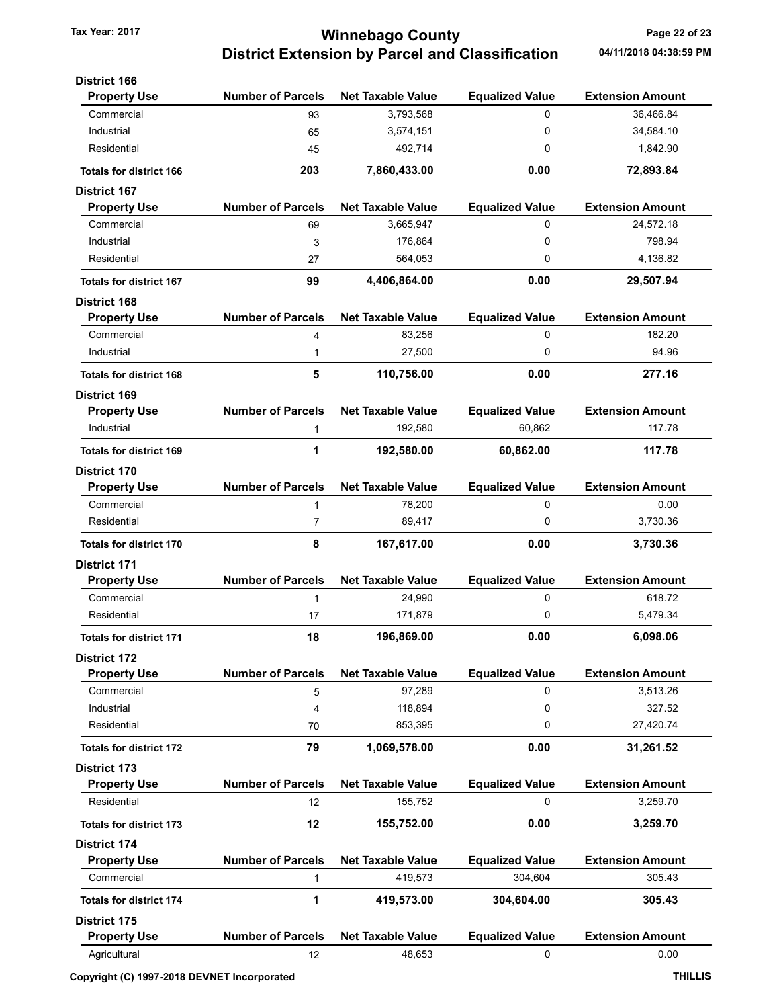# Tax Year: 2017 **Tax Year: 2017** Page 22 of 23 District Extension by Parcel and Classification 04/11/2018 04:38:59 PM

| <b>District 166</b>            |                          |                          |                        |                         |
|--------------------------------|--------------------------|--------------------------|------------------------|-------------------------|
| <b>Property Use</b>            | <b>Number of Parcels</b> | <b>Net Taxable Value</b> | <b>Equalized Value</b> | <b>Extension Amount</b> |
| Commercial                     | 93                       | 3,793,568                | 0                      | 36,466.84               |
| Industrial                     | 65                       | 3,574,151                | 0                      | 34,584.10               |
| Residential                    | 45                       | 492,714                  | 0                      | 1,842.90                |
| <b>Totals for district 166</b> | 203                      | 7,860,433.00             | 0.00                   | 72,893.84               |
| <b>District 167</b>            |                          |                          |                        |                         |
| <b>Property Use</b>            | <b>Number of Parcels</b> | <b>Net Taxable Value</b> | <b>Equalized Value</b> | <b>Extension Amount</b> |
| Commercial                     | 69                       | 3,665,947                | 0                      | 24,572.18               |
| Industrial                     | 3                        | 176,864                  | 0                      | 798.94                  |
| Residential                    | 27                       | 564,053                  | 0                      | 4,136.82                |
| <b>Totals for district 167</b> | 99                       | 4,406,864.00             | 0.00                   | 29,507.94               |
| <b>District 168</b>            |                          |                          |                        |                         |
| <b>Property Use</b>            | <b>Number of Parcels</b> | <b>Net Taxable Value</b> | <b>Equalized Value</b> | <b>Extension Amount</b> |
| Commercial                     | 4                        | 83,256                   | 0                      | 182.20                  |
| Industrial                     | 1                        | 27,500                   | 0                      | 94.96                   |
| <b>Totals for district 168</b> | 5                        | 110,756.00               | 0.00                   | 277.16                  |
| <b>District 169</b>            |                          |                          |                        |                         |
| <b>Property Use</b>            | <b>Number of Parcels</b> | <b>Net Taxable Value</b> | <b>Equalized Value</b> | <b>Extension Amount</b> |
| Industrial                     | 1                        | 192,580                  | 60,862                 | 117.78                  |
| <b>Totals for district 169</b> | 1                        | 192,580.00               | 60,862.00              | 117.78                  |
| <b>District 170</b>            |                          |                          |                        |                         |
| <b>Property Use</b>            | <b>Number of Parcels</b> | <b>Net Taxable Value</b> | <b>Equalized Value</b> | <b>Extension Amount</b> |
| Commercial                     | 1                        | 78,200                   | 0                      | 0.00                    |
| Residential                    | 7                        | 89,417                   | 0                      | 3,730.36                |
| <b>Totals for district 170</b> | 8                        | 167,617.00               | 0.00                   | 3,730.36                |
| District 171                   |                          |                          |                        |                         |
| <b>Property Use</b>            | <b>Number of Parcels</b> | <b>Net Taxable Value</b> | <b>Equalized Value</b> | <b>Extension Amount</b> |
| Commercial                     | 1                        | 24,990                   | 0                      | 618.72                  |
| Residential                    | 17                       | 171,879                  | 0                      | 5,479.34                |
| <b>Totals for district 171</b> | 18                       | 196.869.00               | 0.00                   | 6,098.06                |
| <b>District 172</b>            |                          |                          |                        |                         |
| <b>Property Use</b>            | <b>Number of Parcels</b> | <b>Net Taxable Value</b> | <b>Equalized Value</b> | <b>Extension Amount</b> |
| Commercial                     | 5                        | 97,289                   | 0                      | 3,513.26                |
| Industrial                     | 4                        | 118,894                  | 0                      | 327.52                  |
| Residential                    | 70                       | 853,395                  | 0                      | 27,420.74               |
| <b>Totals for district 172</b> | 79                       | 1,069,578.00             | 0.00                   | 31,261.52               |
| <b>District 173</b>            |                          |                          |                        |                         |
| <b>Property Use</b>            | <b>Number of Parcels</b> | <b>Net Taxable Value</b> | <b>Equalized Value</b> | <b>Extension Amount</b> |
| Residential                    | 12                       | 155,752                  | 0                      | 3,259.70                |
| <b>Totals for district 173</b> | 12                       | 155,752.00               | 0.00                   | 3,259.70                |
| <b>District 174</b>            |                          |                          |                        |                         |
| <b>Property Use</b>            | <b>Number of Parcels</b> | <b>Net Taxable Value</b> | <b>Equalized Value</b> | <b>Extension Amount</b> |
| Commercial                     | 1                        | 419,573                  | 304,604                | 305.43                  |
| <b>Totals for district 174</b> | 1                        | 419,573.00               | 304,604.00             | 305.43                  |
| <b>District 175</b>            |                          |                          |                        |                         |
| <b>Property Use</b>            | <b>Number of Parcels</b> | <b>Net Taxable Value</b> | <b>Equalized Value</b> | <b>Extension Amount</b> |
| Agricultural                   | 12                       | 48,653                   | 0                      | 0.00                    |